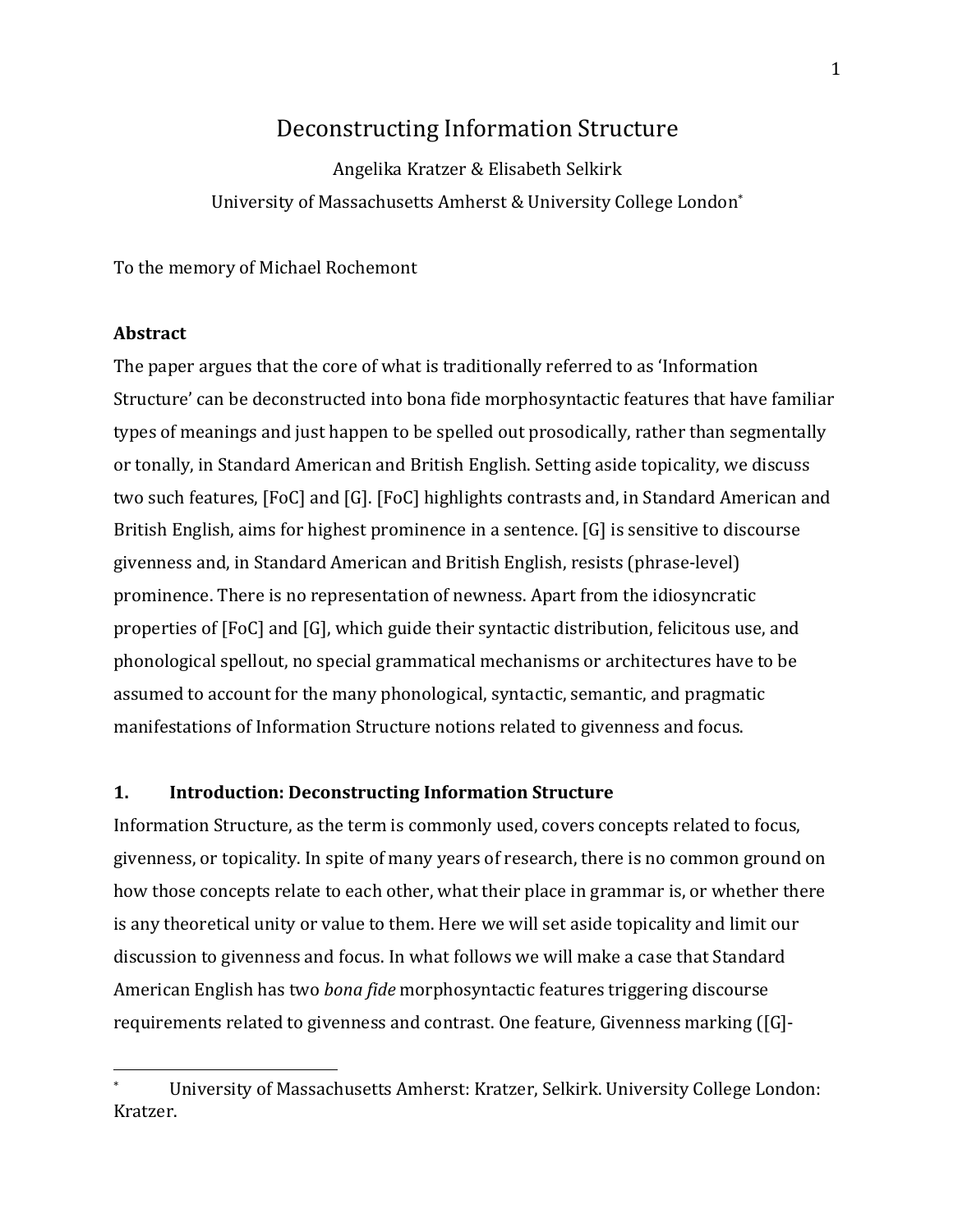# Deconstructing Information Structure

Angelika Kratzer & Elisabeth Selkirk University of Massachusetts Amherst & University College London\*

To the memory of Michael Rochemont

### **Abstract**

The paper argues that the core of what is traditionally referred to as 'Information Structure' can be deconstructed into bona fide morphosyntactic features that have familiar types of meanings and just happen to be spelled out prosodically, rather than segmentally or tonally, in Standard American and British English. Setting aside topicality, we discuss two such features, [FoC] and [G]. [FoC] highlights contrasts and, in Standard American and British English, aims for highest prominence in a sentence.  $[G]$  is sensitive to discourse givenness and, in Standard American and British English, resists (phrase-level) prominence. There is no representation of newness. Apart from the idiosyncratic properties of [FoC] and [G], which guide their syntactic distribution, felicitous use, and phonological spellout, no special grammatical mechanisms or architectures have to be assumed to account for the many phonological, syntactic, semantic, and pragmatic manifestations of Information Structure notions related to givenness and focus.

### **1.** Introduction: Deconstructing Information Structure

 

Information Structure, as the term is commonly used, covers concepts related to focus, givenness, or topicality. In spite of many years of research, there is no common ground on how those concepts relate to each other, what their place in grammar is, or whether there is any theoretical unity or value to them. Here we will set aside topicality and limit our discussion to givenness and focus. In what follows we will make a case that Standard American English has two *bona fide* morphosyntactic features triggering discourse requirements related to givenness and contrast. One feature, Givenness marking ([G]-

University of Massachusetts Amherst: Kratzer, Selkirk. University College London: Kratzer.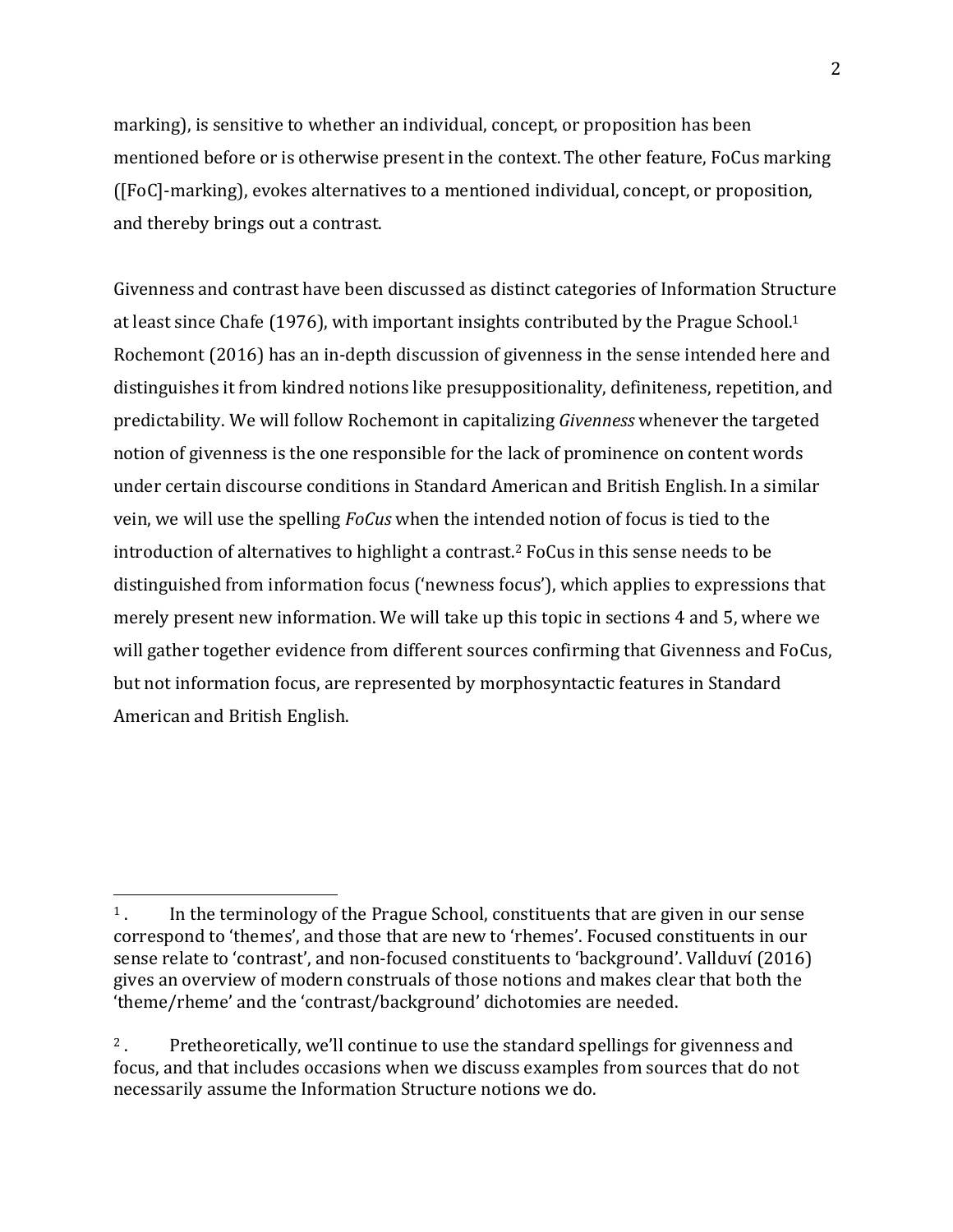marking), is sensitive to whether an individual, concept, or proposition has been mentioned before or is otherwise present in the context. The other feature, FoCus marking ([FoC]-marking], evokes alternatives to a mentioned individual, concept, or proposition, and thereby brings out a contrast.

Givenness and contrast have been discussed as distinct categories of Information Structure at least since Chafe (1976), with important insights contributed by the Prague School.<sup>1</sup> Rochemont (2016) has an in-depth discussion of givenness in the sense intended here and distinguishes it from kindred notions like presuppositionality, definiteness, repetition, and predictability. We will follow Rochemont in capitalizing *Givenness* whenever the targeted notion of givenness is the one responsible for the lack of prominence on content words under certain discourse conditions in Standard American and British English. In a similar vein, we will use the spelling *FoCus* when the intended notion of focus is tied to the introduction of alternatives to highlight a contrast.<sup>2</sup> FoCus in this sense needs to be distinguished from information focus ('newness focus'), which applies to expressions that merely present new information. We will take up this topic in sections 4 and 5, where we will gather together evidence from different sources confirming that Givenness and FoCus, but not information focus, are represented by morphosyntactic features in Standard American and British English.

 $1$ . In the terminology of the Prague School, constituents that are given in our sense correspond to 'themes', and those that are new to 'rhemes'. Focused constituents in our sense relate to 'contrast', and non-focused constituents to 'background'. Vallduví (2016) gives an overview of modern construals of those notions and makes clear that both the 'theme/rheme' and the 'contrast/background' dichotomies are needed.

<sup>&</sup>lt;sup>2</sup>. Pretheoretically, we'll continue to use the standard spellings for givenness and focus, and that includes occasions when we discuss examples from sources that do not necessarily assume the Information Structure notions we do.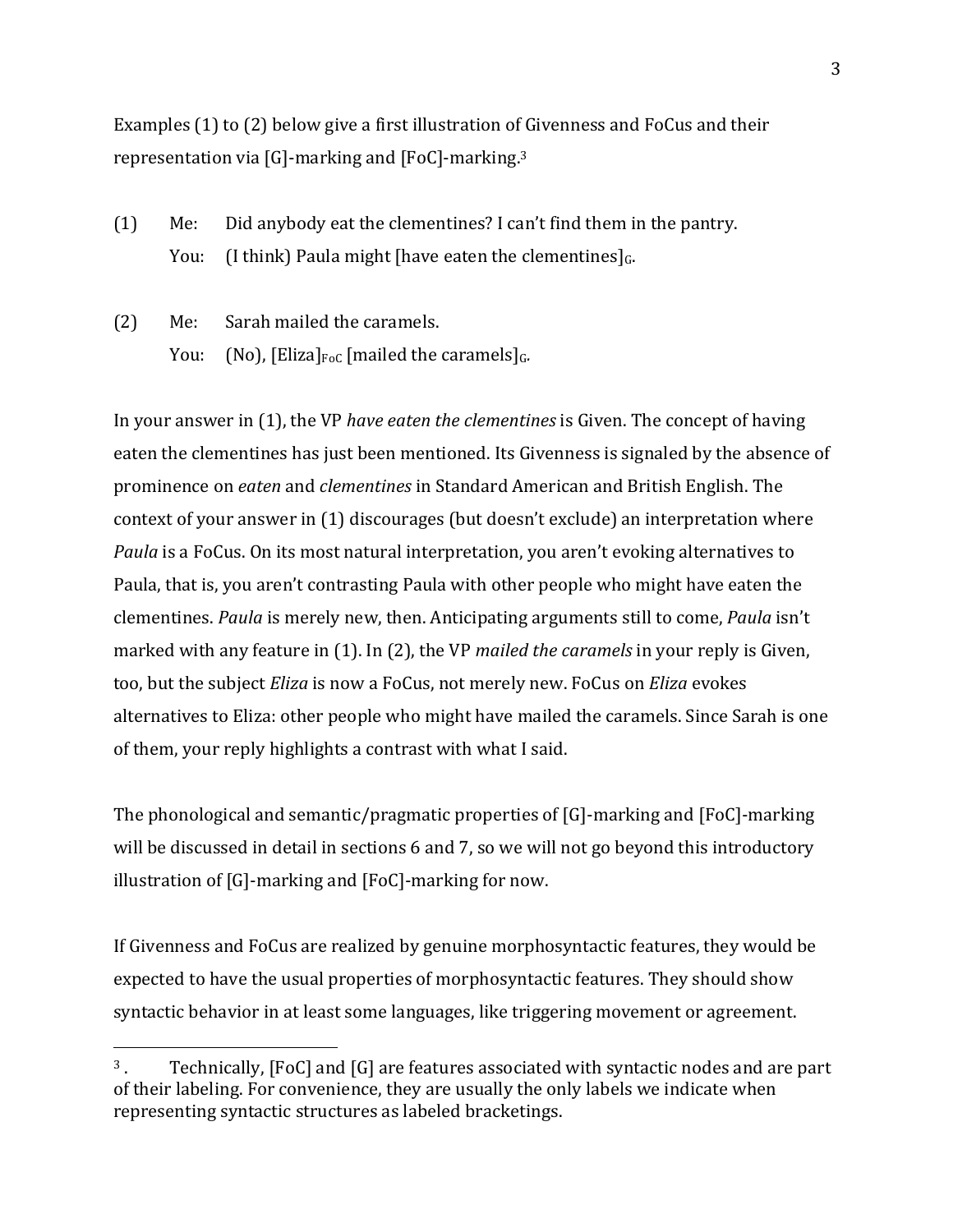Examples  $(1)$  to  $(2)$  below give a first illustration of Givenness and FoCus and their representation via [G]-marking and [FoC]-marking.<sup>3</sup>

- $(1)$  Me: Did anybody eat the clementines? I can't find them in the pantry. You: (I think) Paula might [have eaten the clementines] $<sub>G</sub>$ .</sub>
- (2) Me: Sarah mailed the caramels. You: (No),  $[Eliza]_{FoC}$  [mailed the caramels] $_G$ .

 

In your answer in (1), the VP *have eaten the clementines* is Given. The concept of having eaten the clementines has just been mentioned. Its Givenness is signaled by the absence of prominence on *eaten* and *clementines* in Standard American and British English. The context of your answer in (1) discourages (but doesn't exclude) an interpretation where *Paula* is a FoCus. On its most natural interpretation, you aren't evoking alternatives to Paula, that is, you aren't contrasting Paula with other people who might have eaten the clementines. *Paula* is merely new, then. Anticipating arguments still to come, *Paula* isn't marked with any feature in (1). In (2), the VP *mailed the caramels* in your reply is Given, too, but the subject *Eliza* is now a FoCus, not merely new. FoCus on *Eliza* evokes alternatives to Eliza: other people who might have mailed the caramels. Since Sarah is one of them, your reply highlights a contrast with what I said.

The phonological and semantic/pragmatic properties of  $[G]$ -marking and  $[FoC]$ -marking will be discussed in detail in sections 6 and 7, so we will not go beyond this introductory illustration of  $[G]$ -marking and  $[FoC]$ -marking for now.

If Givenness and FoCus are realized by genuine morphosyntactic features, they would be expected to have the usual properties of morphosyntactic features. They should show syntactic behavior in at least some languages, like triggering movement or agreement.

<sup>&</sup>lt;sup>3</sup>. Technically, [FoC] and [G] are features associated with syntactic nodes and are part of their labeling. For convenience, they are usually the only labels we indicate when representing syntactic structures as labeled bracketings.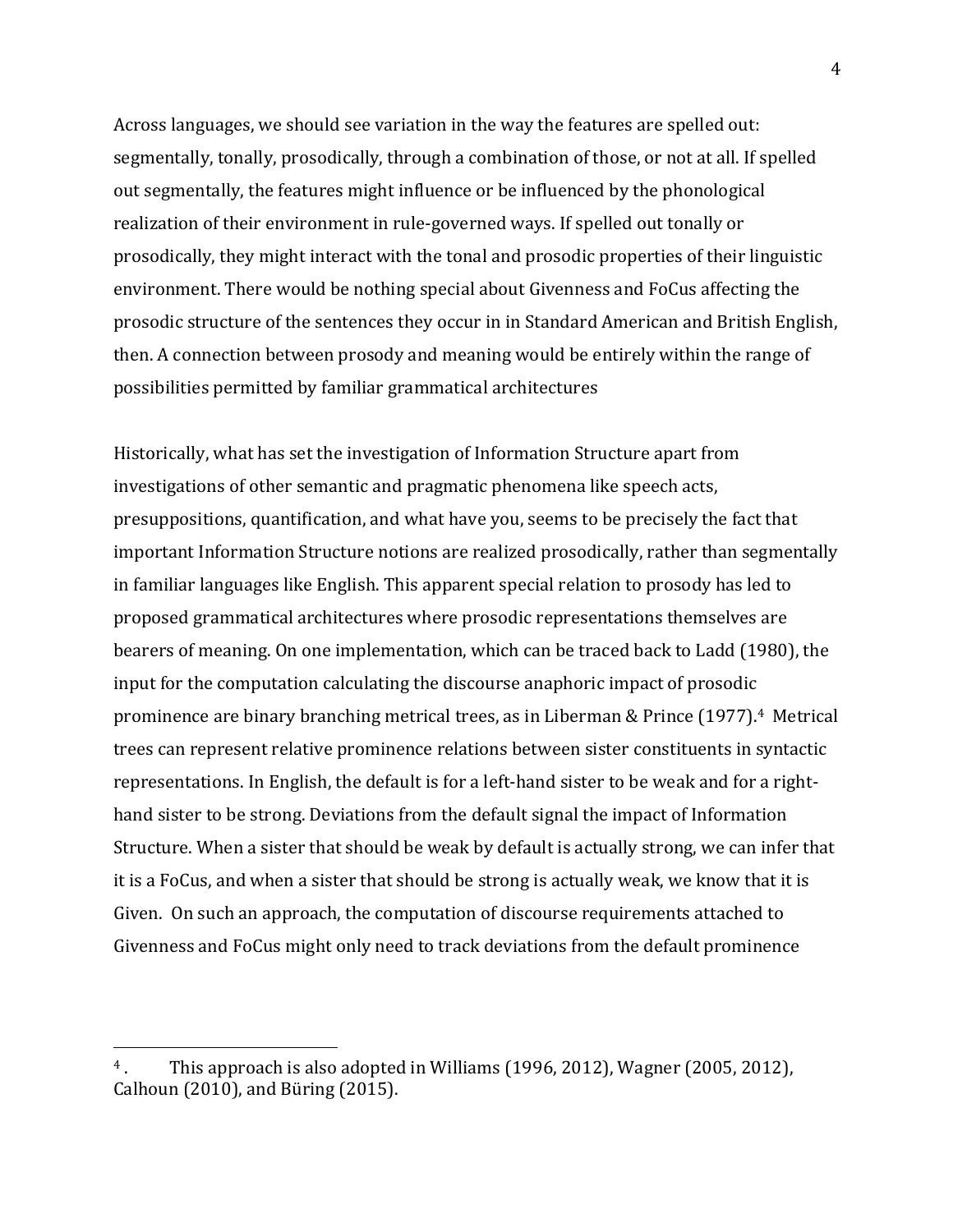Across languages, we should see variation in the way the features are spelled out: segmentally, tonally, prosodically, through a combination of those, or not at all. If spelled out segmentally, the features might influence or be influenced by the phonological realization of their environment in rule-governed ways. If spelled out tonally or prosodically, they might interact with the tonal and prosodic properties of their linguistic environment. There would be nothing special about Givenness and FoCus affecting the prosodic structure of the sentences they occur in in Standard American and British English, then. A connection between prosody and meaning would be entirely within the range of possibilities permitted by familiar grammatical architectures

Historically, what has set the investigation of Information Structure apart from investigations of other semantic and pragmatic phenomena like speech acts, presuppositions, quantification, and what have you, seems to be precisely the fact that important Information Structure notions are realized prosodically, rather than segmentally in familiar languages like English. This apparent special relation to prosody has led to proposed grammatical architectures where prosodic representations themselves are bearers of meaning. On one implementation, which can be traced back to Ladd (1980), the input for the computation calculating the discourse anaphoric impact of prosodic prominence are binary branching metrical trees, as in Liberman & Prince (1977).<sup>4</sup> Metrical trees can represent relative prominence relations between sister constituents in syntactic representations. In English, the default is for a left-hand sister to be weak and for a righthand sister to be strong. Deviations from the default signal the impact of Information Structure. When a sister that should be weak by default is actually strong, we can infer that it is a FoCus, and when a sister that should be strong is actually weak, we know that it is Given. On such an approach, the computation of discourse requirements attached to Givenness and FoCus might only need to track deviations from the default prominence

<sup>&</sup>lt;sup>4</sup>. This approach is also adopted in Williams (1996, 2012), Wagner (2005, 2012), Calhoun  $(2010)$ , and Büring  $(2015)$ .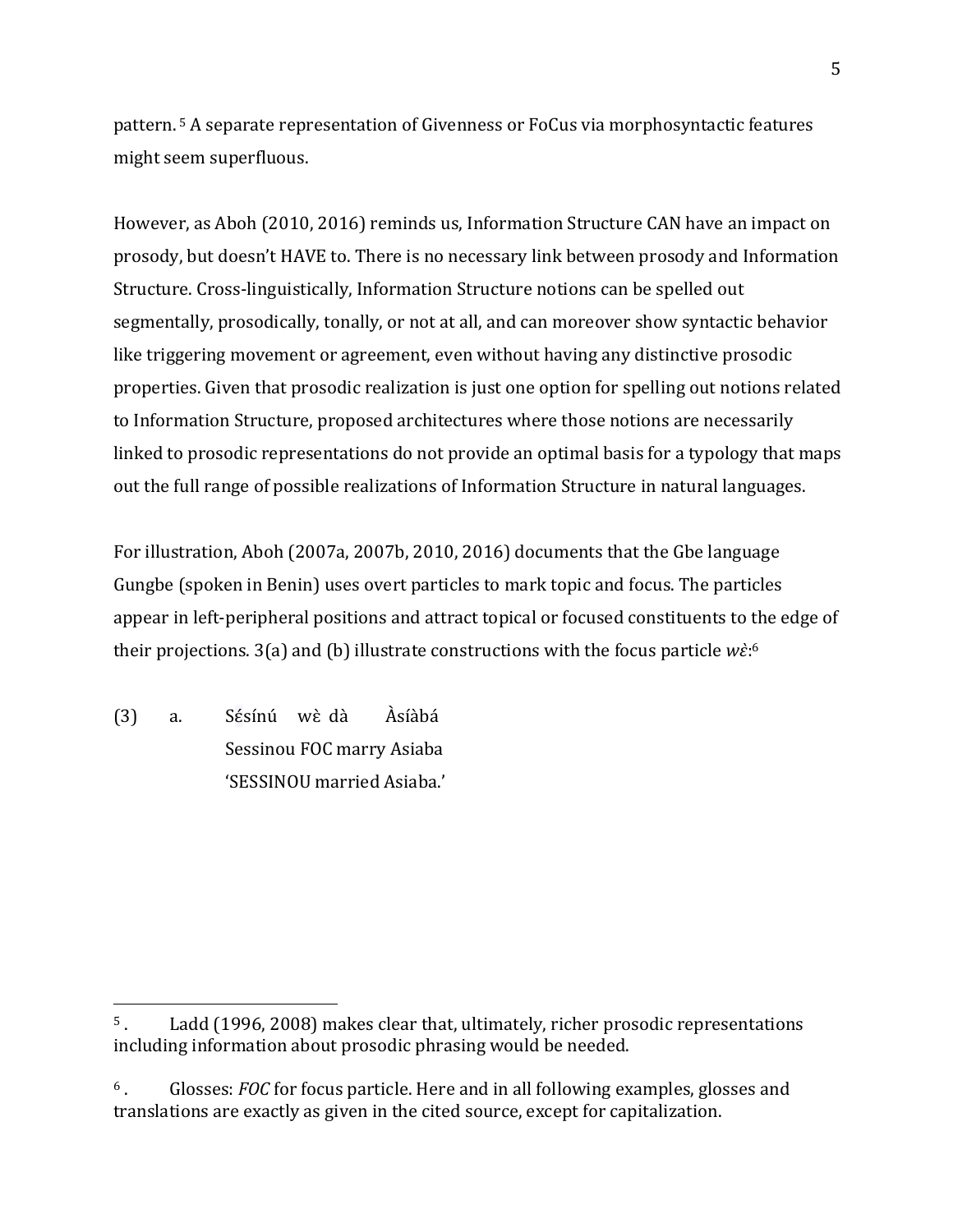pattern.<sup>5</sup> A separate representation of Givenness or FoCus via morphosyntactic features might seem superfluous.

However, as Aboh (2010, 2016) reminds us, Information Structure CAN have an impact on prosody, but doesn't HAVE to. There is no necessary link between prosody and Information Structure. Cross-linguistically, Information Structure notions can be spelled out segmentally, prosodically, tonally, or not at all, and can moreover show syntactic behavior like triggering movement or agreement, even without having any distinctive prosodic properties. Given that prosodic realization is just one option for spelling out notions related to Information Structure, proposed architectures where those notions are necessarily linked to prosodic representations do not provide an optimal basis for a typology that maps out the full range of possible realizations of Information Structure in natural languages.

For illustration, Aboh (2007a, 2007b, 2010, 2016) documents that the Gbe language Gungbe (spoken in Benin) uses overt particles to mark topic and focus. The particles appear in left-peripheral positions and attract topical or focused constituents to the edge of their projections.  $3(a)$  and (b) illustrate constructions with the focus particle  $w\dot{\epsilon}$ :<sup>6</sup>

(3) a. Sésínú wè dà Àsíàbá Sessinou FOC marry Asiaba 'SESSINOU married Asiaba.'

 $5$ . Ladd (1996, 2008) makes clear that, ultimately, richer prosodic representations including information about prosodic phrasing would be needed.

<sup>&</sup>lt;sup>6</sup>. Glosses: *FOC* for focus particle. Here and in all following examples, glosses and translations are exactly as given in the cited source, except for capitalization.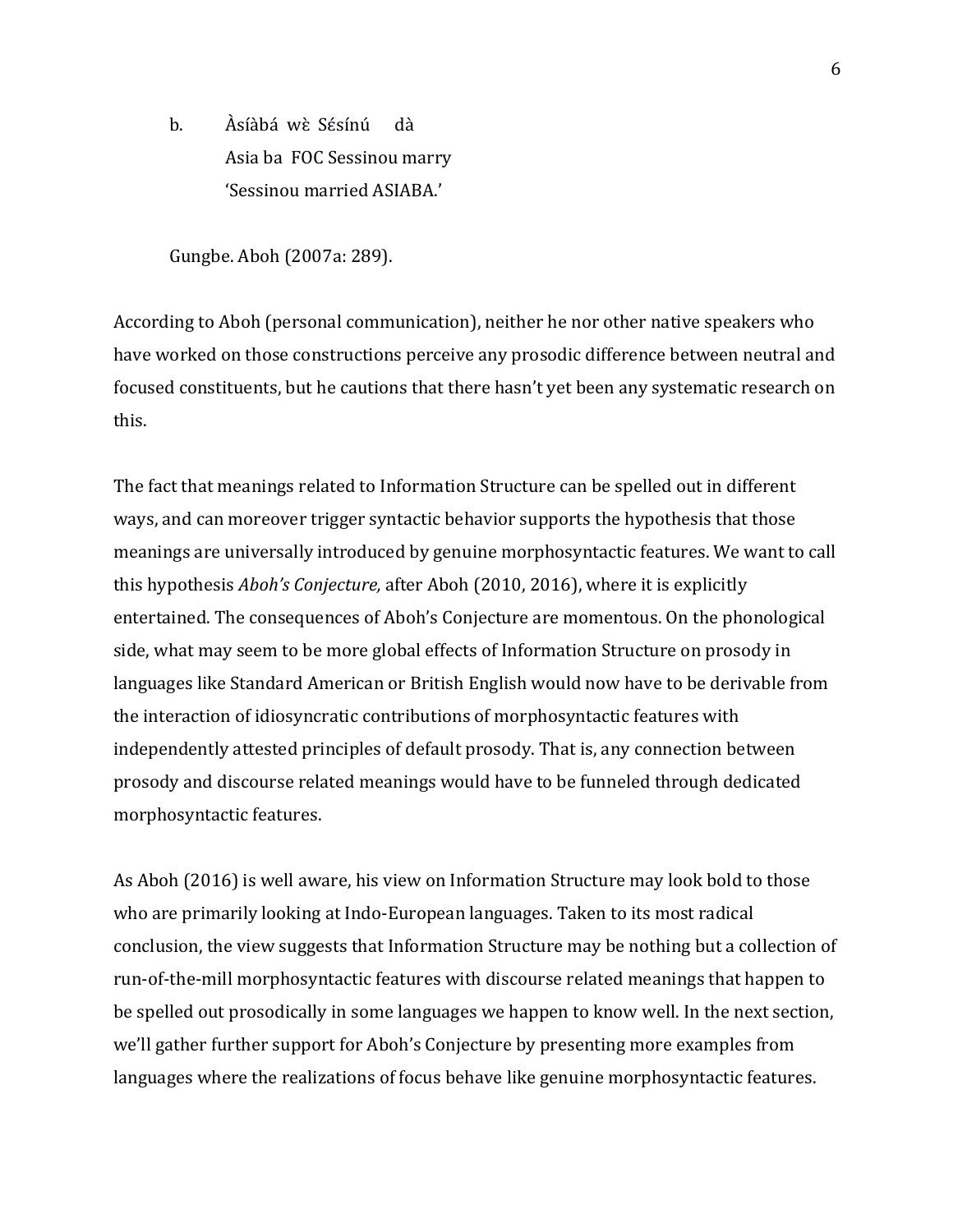b. Asíàbá wè Sésínú dà Asia ba FOC Sessinou marry 'Sessinou married ASIABA.'

Gungbe. Aboh (2007a: 289).

According to Aboh (personal communication), neither he nor other native speakers who have worked on those constructions perceive any prosodic difference between neutral and focused constituents, but he cautions that there hasn't yet been any systematic research on this. 

The fact that meanings related to Information Structure can be spelled out in different ways, and can moreover trigger syntactic behavior supports the hypothesis that those meanings are universally introduced by genuine morphosyntactic features. We want to call this hypothesis *Aboh's Conjecture*, after Aboh (2010, 2016), where it is explicitly entertained. The consequences of Aboh's Conjecture are momentous. On the phonological side, what may seem to be more global effects of Information Structure on prosody in languages like Standard American or British English would now have to be derivable from the interaction of idiosyncratic contributions of morphosyntactic features with independently attested principles of default prosody. That is, any connection between prosody and discourse related meanings would have to be funneled through dedicated morphosyntactic features.

As Aboh (2016) is well aware, his view on Information Structure may look bold to those who are primarily looking at Indo-European languages. Taken to its most radical conclusion, the view suggests that Information Structure may be nothing but a collection of run-of-the-mill morphosyntactic features with discourse related meanings that happen to be spelled out prosodically in some languages we happen to know well. In the next section, we'll gather further support for Aboh's Conjecture by presenting more examples from languages where the realizations of focus behave like genuine morphosyntactic features.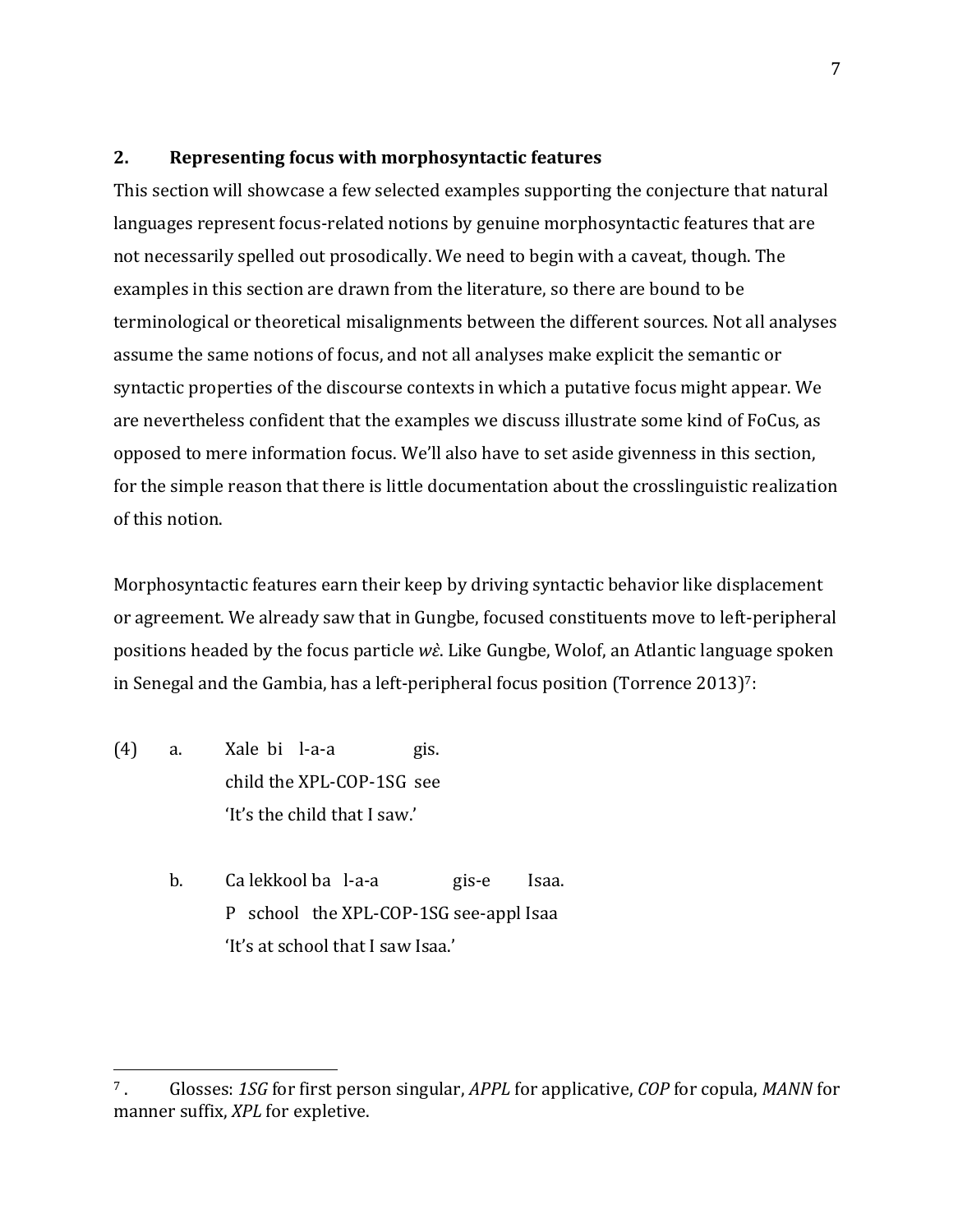## **2. Representing focus with morphosyntactic features**

This section will showcase a few selected examples supporting the conjecture that natural languages represent focus-related notions by genuine morphosyntactic features that are not necessarily spelled out prosodically. We need to begin with a caveat, though. The examples in this section are drawn from the literature, so there are bound to be terminological or theoretical misalignments between the different sources. Not all analyses assume the same notions of focus, and not all analyses make explicit the semantic or syntactic properties of the discourse contexts in which a putative focus might appear. We are nevertheless confident that the examples we discuss illustrate some kind of FoCus, as opposed to mere information focus. We'll also have to set aside givenness in this section, for the simple reason that there is little documentation about the crosslinguistic realization of this notion.

Morphosyntactic features earn their keep by driving syntactic behavior like displacement or agreement. We already saw that in Gungbe, focused constituents move to left-peripheral positions headed by the focus particle *wi*. Like Gungbe, Wolof, an Atlantic language spoken in Senegal and the Gambia, has a left-peripheral focus position (Torrence  $2013$ )<sup>7</sup>:

 $(4)$  a. Xale bi l-a-a gis. child the XPL-COP-1SG see 'It's the child that I saw.'

 

b. Ca lekkool ba l-a-a gis-e Isaa. P school the XPL-COP-1SG see-appl Isaa 'It's at school that I saw Isaa.'

<sup>&</sup>lt;sup>7</sup>. Glosses: 1SG for first person singular, *APPL* for applicative, *COP* for copula, *MANN* for manner suffix, *XPL* for expletive.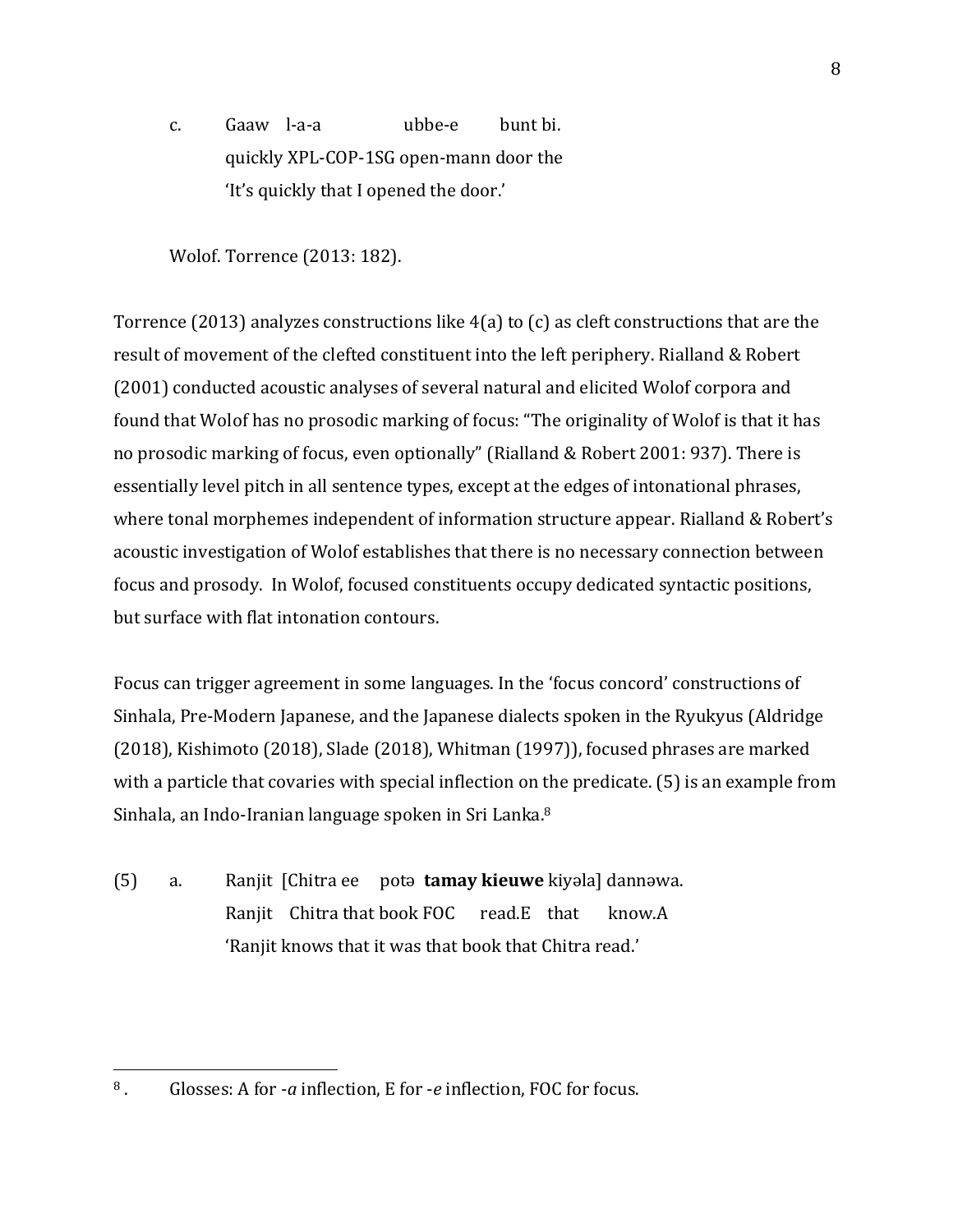c. Gaaw l-a-a ubbe-e bunt bi. quickly XPL-COP-1SG open-mann door the 'It's quickly that I opened the door.'

Wolof. Torrence (2013: 182).

Torrence (2013) analyzes constructions like  $4(a)$  to (c) as cleft constructions that are the result of movement of the clefted constituent into the left periphery. Rialland & Robert (2001) conducted acoustic analyses of several natural and elicited Wolof corpora and found that Wolof has no prosodic marking of focus: "The originality of Wolof is that it has no prosodic marking of focus, even optionally" (Rialland & Robert 2001: 937). There is essentially level pitch in all sentence types, except at the edges of intonational phrases, where tonal morphemes independent of information structure appear. Rialland & Robert's acoustic investigation of Wolof establishes that there is no necessary connection between focus and prosody. In Wolof, focused constituents occupy dedicated syntactic positions, but surface with flat intonation contours.

Focus can trigger agreement in some languages. In the 'focus concord' constructions of Sinhala, Pre-Modern Japanese, and the Japanese dialects spoken in the Ryukyus (Aldridge  $(2018)$ , Kishimoto  $(2018)$ , Slade  $(2018)$ , Whitman  $(1997)$ ), focused phrases are marked with a particle that covaries with special inflection on the predicate.  $(5)$  is an example from Sinhala, an Indo-Iranian language spoken in Sri Lanka.<sup>8</sup>

(5) a. Ranjit [Chitra ee pota **tamay kieuwe** kiyala] dannawa. Ranjit Chitra that book FOC read.E that know.A 'Ranjit knows that it was that book that Chitra read.'

<sup>&</sup>lt;sup>8</sup>. Glosses: A for *-a* inflection, E for *-e* inflection, FOC for focus.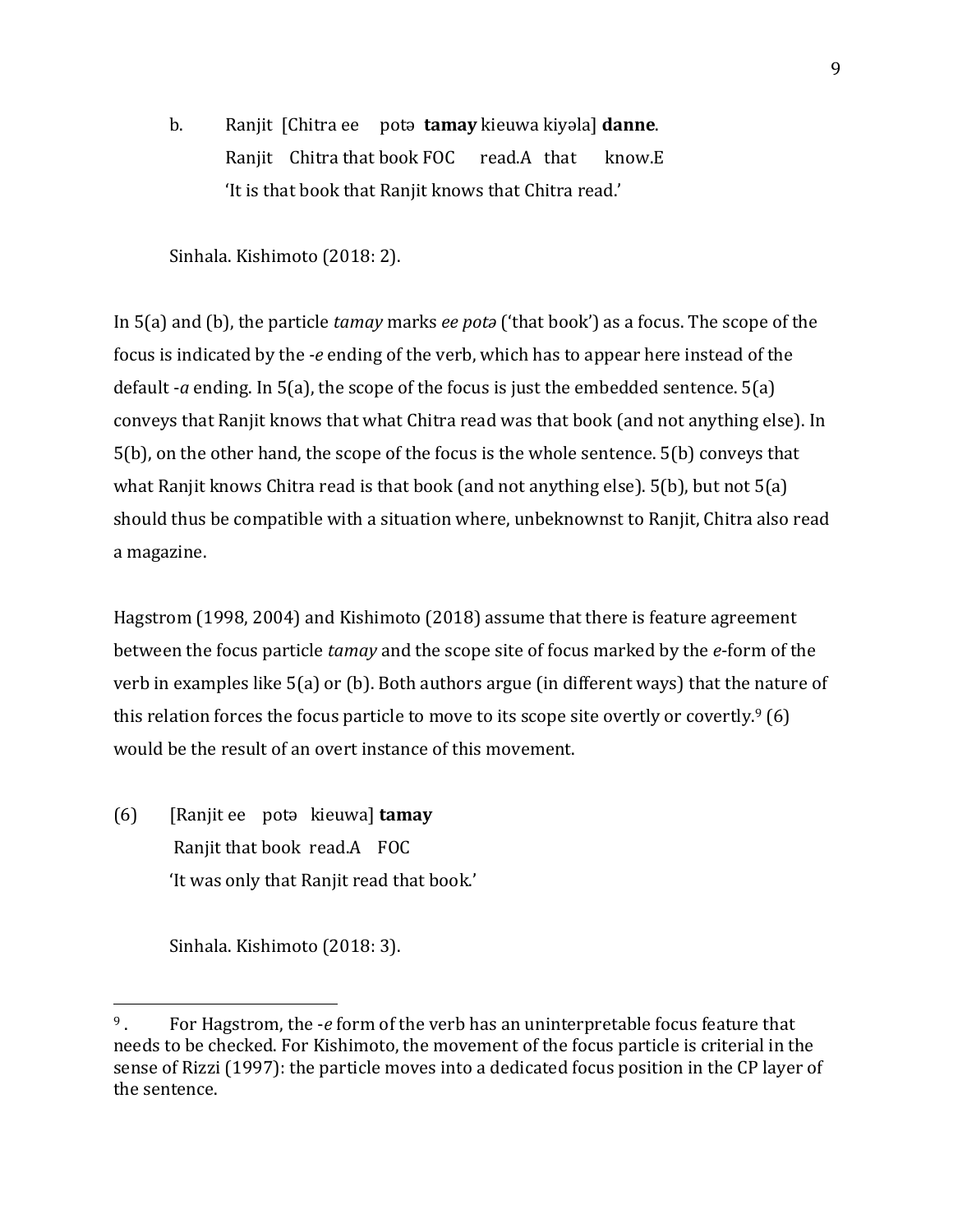**b.** Ranjit [Chitra ee pota **tamay** kieuwa kiyəla] **danne**. Ranjit  $Chitra$  that book FOC read.A that know.E 'It is that book that Ranjit knows that Chitra read.'

Sinhala. Kishimoto (2018: 2).

In 5(a) and (b), the particle *tamay* marks *ee pota* ('that book') as a focus. The scope of the focus is indicated by the *-e* ending of the verb, which has to appear here instead of the default  $-a$  ending. In  $5(a)$ , the scope of the focus is just the embedded sentence.  $5(a)$ conveys that Ranjit knows that what Chitra read was that book (and not anything else). In  $5(b)$ , on the other hand, the scope of the focus is the whole sentence.  $5(b)$  conveys that what Ranjit knows Chitra read is that book (and not anything else).  $5(b)$ , but not  $5(a)$ should thus be compatible with a situation where, unbeknownst to Ranjit, Chitra also read a magazine. 

Hagstrom (1998, 2004) and Kishimoto (2018) assume that there is feature agreement between the focus particle *tamay* and the scope site of focus marked by the *e*-form of the verb in examples like  $5(a)$  or (b). Both authors argue (in different ways) that the nature of this relation forces the focus particle to move to its scope site overtly or covertly.<sup>9</sup> (6) would be the result of an overt instance of this movement.

(6) [Ranjit ee potǝ kieuwa] **tamay** Ranjit that book read.A FOC 'It was only that Ranjit read that book.'

Sinhala. Kishimoto (2018: 3).

<sup>&</sup>lt;sup>9</sup>. For Hagstrom, the *-e* form of the verb has an uninterpretable focus feature that needs to be checked. For Kishimoto, the movement of the focus particle is criterial in the sense of Rizzi (1997): the particle moves into a dedicated focus position in the CP layer of the sentence.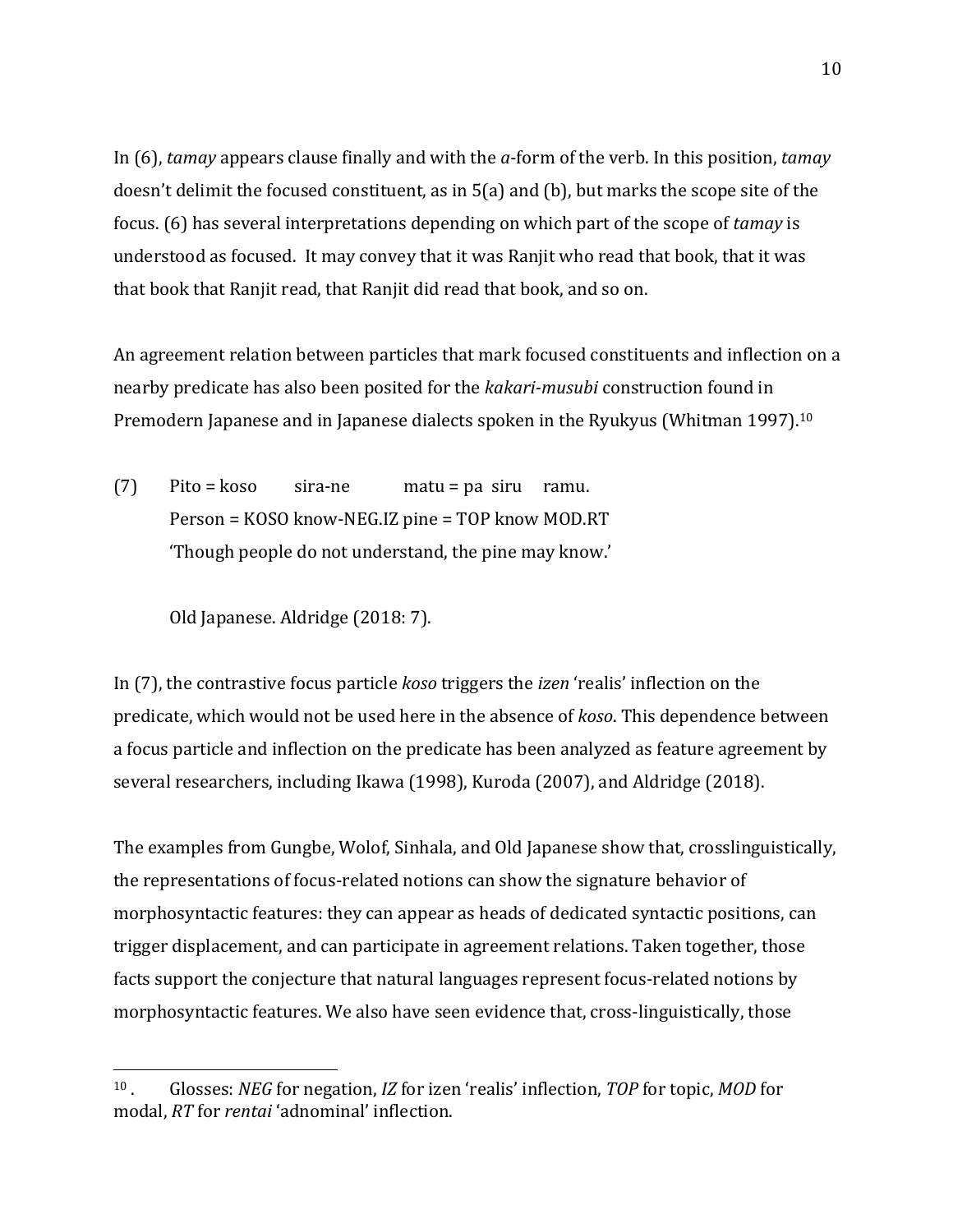In (6), *tamay* appears clause finally and with the *a*-form of the verb. In this position, *tamay* doesn't delimit the focused constituent, as in  $5(a)$  and (b), but marks the scope site of the focus. (6) has several interpretations depending on which part of the scope of *tamay* is understood as focused. It may convey that it was Ranjit who read that book, that it was that book that Ranjit read, that Ranjit did read that book, and so on.

An agreement relation between particles that mark focused constituents and inflection on a nearby predicate has also been posited for the *kakari-musubi* construction found in Premodern Japanese and in Japanese dialects spoken in the Ryukyus (Whitman 1997).<sup>10</sup>

 $(7)$  Pito = koso sira-ne matu = pa siru ramu. Person = KOSO know-NEG.IZ pine = TOP know MOD.RT 'Though people do not understand, the pine may know.'

Old Japanese. Aldridge (2018: 7).

 

In (7), the contrastive focus particle *koso* triggers the *izen* 'realis' inflection on the predicate, which would not be used here in the absence of *koso*. This dependence between a focus particle and inflection on the predicate has been analyzed as feature agreement by several researchers, including Ikawa  $(1998)$ , Kuroda  $(2007)$ , and Aldridge  $(2018)$ .

The examples from Gungbe, Wolof, Sinhala, and Old Japanese show that, crosslinguistically, the representations of focus-related notions can show the signature behavior of morphosyntactic features: they can appear as heads of dedicated syntactic positions, can trigger displacement, and can participate in agreement relations. Taken together, those facts support the conjecture that natural languages represent focus-related notions by morphosyntactic features. We also have seen evidence that, cross-linguistically, those

<sup>&</sup>lt;sup>10</sup>. Glosses: *NEG* for negation, *IZ* for izen 'realis' inflection, *TOP* for topic, *MOD* for modal, *RT* for *rentai* 'adnominal' inflection.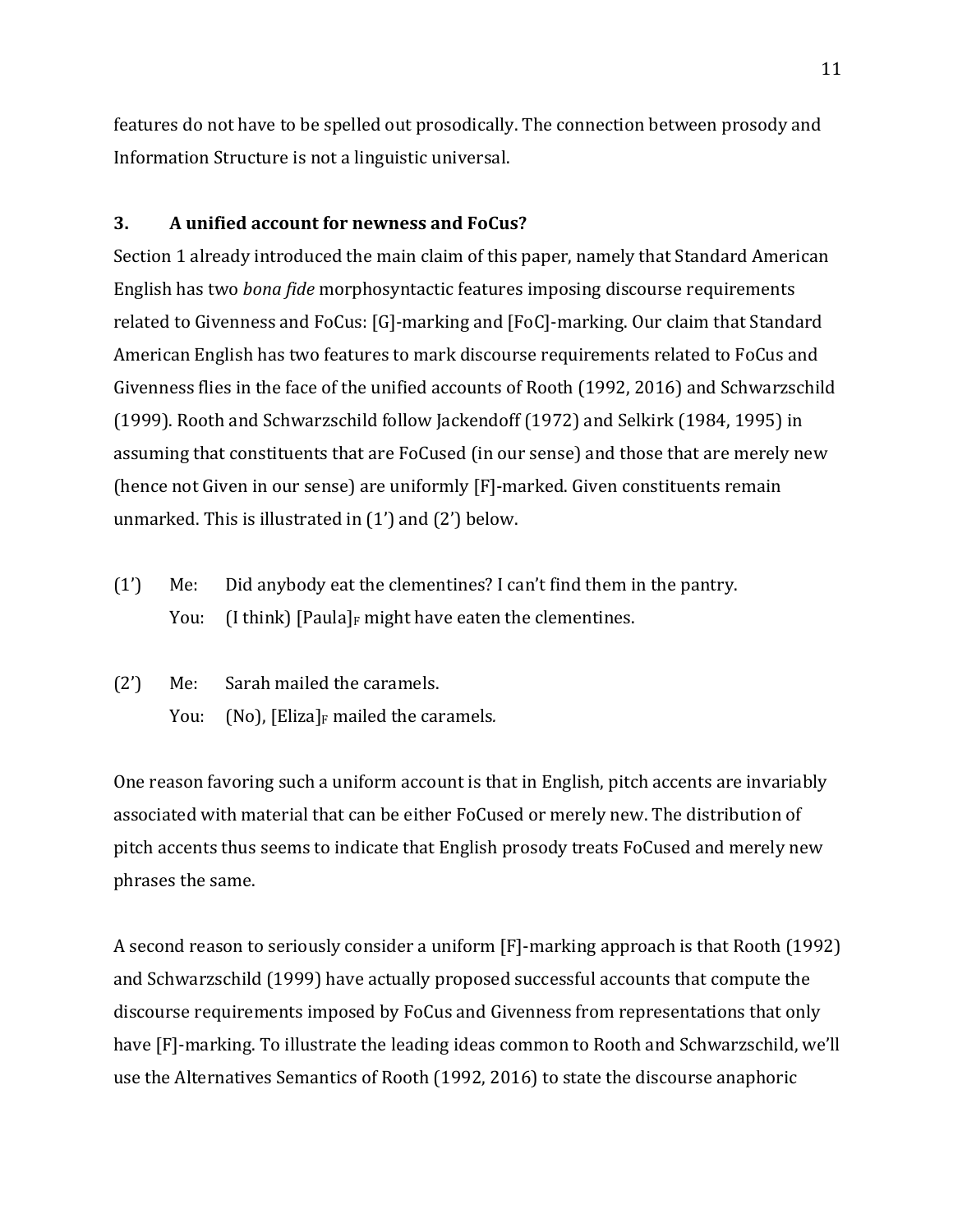features do not have to be spelled out prosodically. The connection between prosody and Information Structure is not a linguistic universal.

## **3. A** unified account for newness and FoCus?

Section 1 already introduced the main claim of this paper, namely that Standard American English has two *bona fide* morphosyntactic features imposing discourse requirements related to Givenness and FoCus:  $[G]$ -marking and  $[FeC]$ -marking. Our claim that Standard American English has two features to mark discourse requirements related to FoCus and Givenness flies in the face of the unified accounts of Rooth (1992, 2016) and Schwarzschild (1999). Rooth and Schwarzschild follow Jackendoff (1972) and Selkirk (1984, 1995) in assuming that constituents that are FoCused (in our sense) and those that are merely new (hence not Given in our sense) are uniformly [F]-marked. Given constituents remain unmarked. This is illustrated in  $(1')$  and  $(2')$  below.

- (1') Me: Did anybody eat the clementines? I can't find them in the pantry. You: (I think) [Paula]<sub>F</sub> might have eaten the clementines.
- $(2')$  Me: Sarah mailed the caramels. You: (No), [Eliza]<sub>F</sub> mailed the caramels.

One reason favoring such a uniform account is that in English, pitch accents are invariably associated with material that can be either FoCused or merely new. The distribution of pitch accents thus seems to indicate that English prosody treats FoCused and merely new phrases the same.

A second reason to seriously consider a uniform  $[F]$ -marking approach is that Rooth (1992) and Schwarzschild (1999) have actually proposed successful accounts that compute the discourse requirements imposed by FoCus and Givenness from representations that only have [F]-marking. To illustrate the leading ideas common to Rooth and Schwarzschild, we'll use the Alternatives Semantics of Rooth (1992, 2016) to state the discourse anaphoric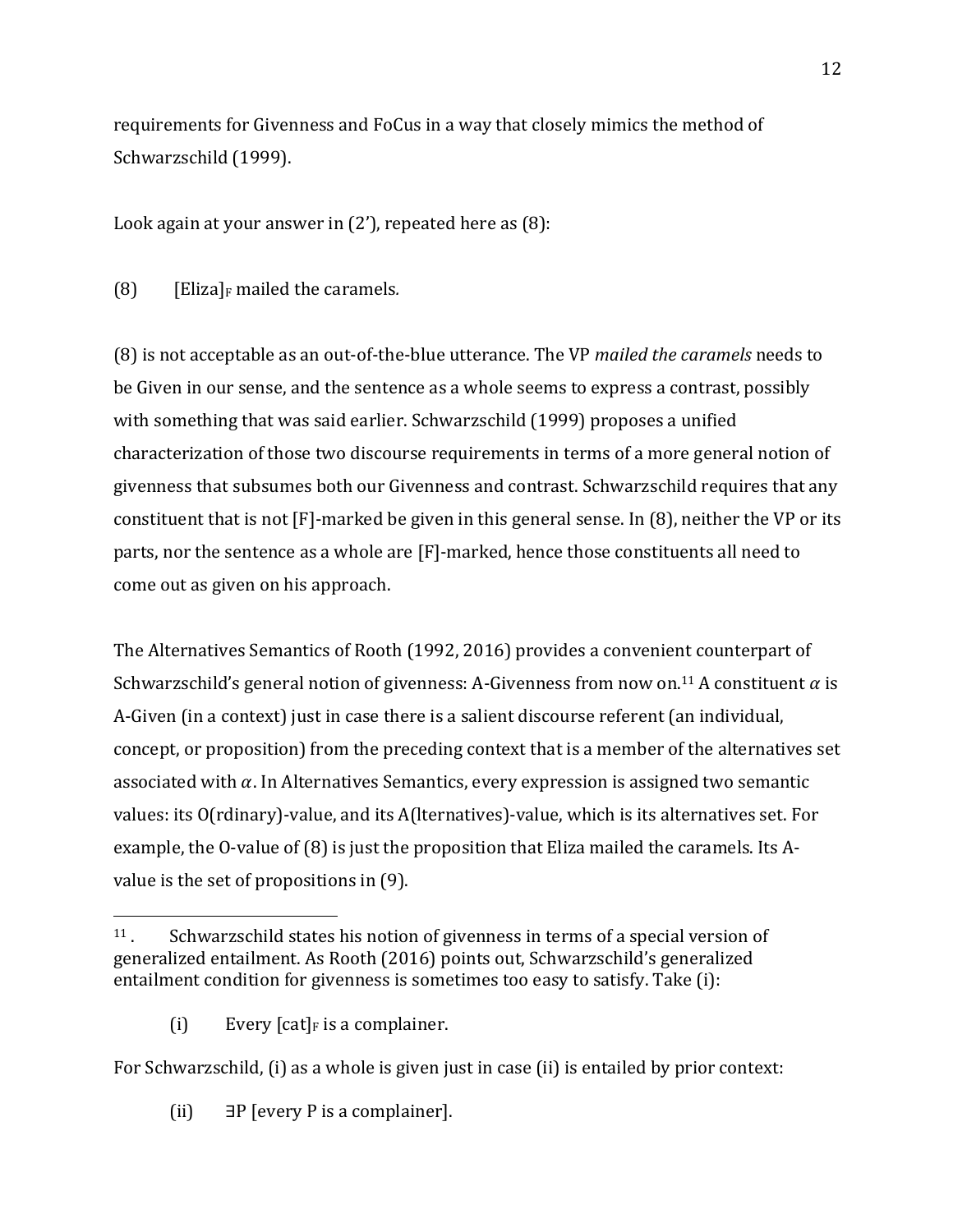requirements for Givenness and FoCus in a way that closely mimics the method of Schwarzschild (1999).

Look again at your answer in  $(2')$ , repeated here as  $(8)$ :

(8)  $[Elizabeth]$  [Eliza]<sub>F</sub> mailed the caramels.

(8) is not acceptable as an out-of-the-blue utterance. The VP *mailed the caramels* needs to be Given in our sense, and the sentence as a whole seems to express a contrast, possibly with something that was said earlier. Schwarzschild (1999) proposes a unified characterization of those two discourse requirements in terms of a more general notion of givenness that subsumes both our Givenness and contrast. Schwarzschild requires that any constituent that is not  $[F]$ -marked be given in this general sense. In  $(8)$ , neither the VP or its parts, nor the sentence as a whole are [F]-marked, hence those constituents all need to come out as given on his approach.

The Alternatives Semantics of Rooth (1992, 2016) provides a convenient counterpart of Schwarzschild's general notion of givenness: A-Givenness from now on.<sup>11</sup> A constituent  $\alpha$  is A-Given (in a context) just in case there is a salient discourse referent (an individual, concept, or proposition) from the preceding context that is a member of the alternatives set associated with  $\alpha$ . In Alternatives Semantics, every expression is assigned two semantic values: its O(rdinary)-value, and its A(lternatives)-value, which is its alternatives set. For example, the O-value of  $(8)$  is just the proposition that Eliza mailed the caramels. Its Avalue is the set of propositions in  $(9)$ .

(i) Every  $[cat]_F$  is a complainer.

 

For Schwarzschild,  $(i)$  as a whole is given just in case  $(ii)$  is entailed by prior context:

(ii)  $\exists P$  [every P is a complainer].

 $11$ . Schwarzschild states his notion of givenness in terms of a special version of generalized entailment. As Rooth (2016) points out, Schwarzschild's generalized entailment condition for givenness is sometimes too easy to satisfy. Take  $(i)$ :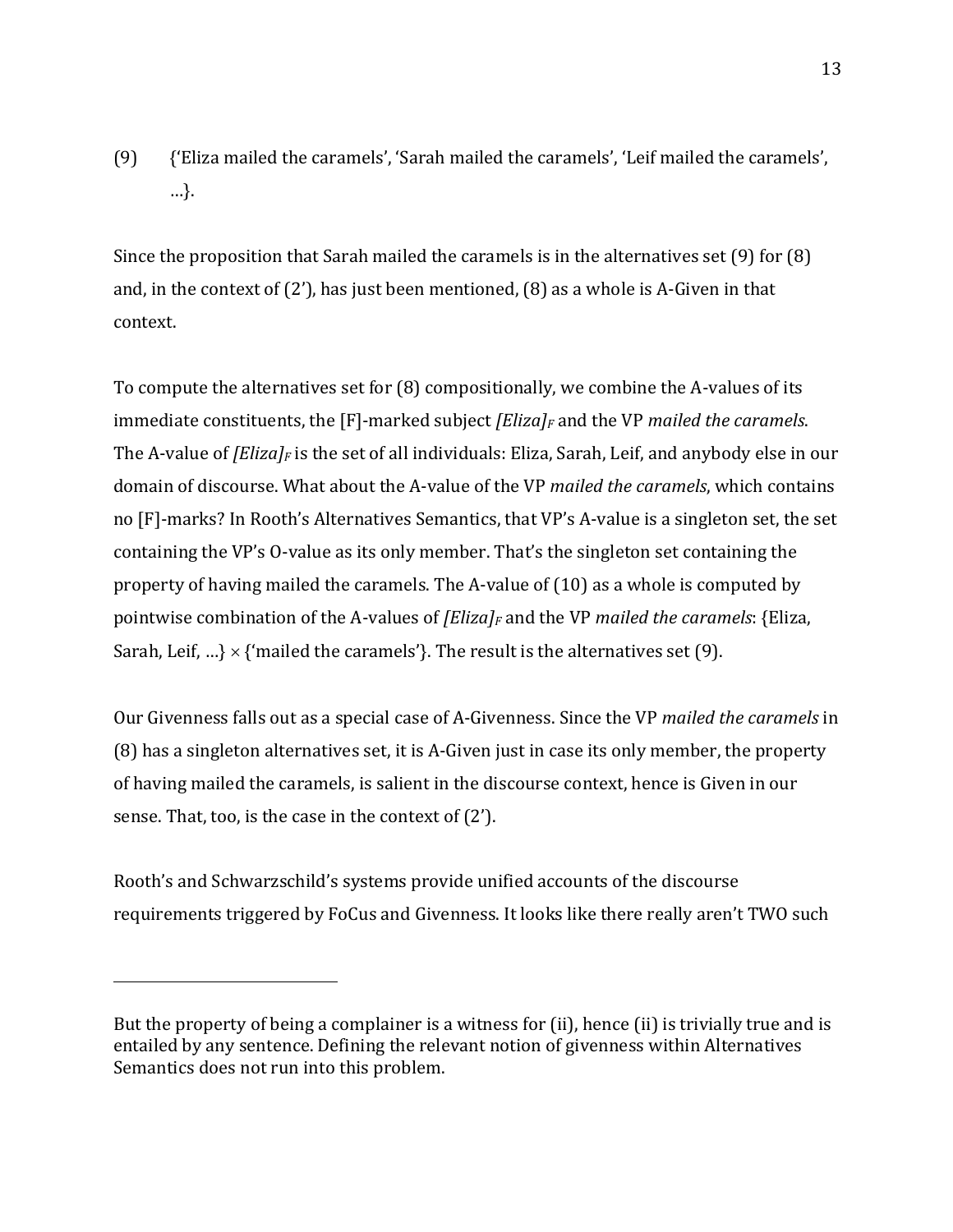(9) {'Eliza mailed the caramels', 'Sarah mailed the caramels', 'Leif mailed the caramels', …}. 

Since the proposition that Sarah mailed the caramels is in the alternatives set  $(9)$  for  $(8)$ and, in the context of  $(2')$ , has just been mentioned,  $(8)$  as a whole is A-Given in that context. 

To compute the alternatives set for  $(8)$  compositionally, we combine the A-values of its immediate constituents, the  $[F]$ -marked subject *[Eliza]<sub>F</sub>* and the VP *mailed the caramels*. The A-value of *[Eliza]<sub>F</sub>* is the set of all individuals: Eliza, Sarah, Leif, and anybody else in our domain of discourse. What about the A-value of the VP *mailed the caramels*, which contains no [F]-marks? In Rooth's Alternatives Semantics, that VP's A-value is a singleton set, the set containing the VP's O-value as its only member. That's the singleton set containing the property of having mailed the caramels. The A-value of  $(10)$  as a whole is computed by pointwise combination of the A-values of *[Eliza]<sub>F</sub>* and the VP *mailed the caramels*: {Eliza, Sarah, Leif, ...}  $\times$  {'mailed the caramels'}. The result is the alternatives set (9).

Our Givenness falls out as a special case of A-Givenness. Since the VP *mailed the caramels* in  $(8)$  has a singleton alternatives set, it is A-Given just in case its only member, the property of having mailed the caramels, is salient in the discourse context, hence is Given in our sense. That, too, is the case in the context of  $(2')$ .

Rooth's and Schwarzschild's systems provide unified accounts of the discourse requirements triggered by FoCus and Givenness. It looks like there really aren't TWO such

But the property of being a complainer is a witness for (ii), hence (ii) is trivially true and is entailed by any sentence. Defining the relevant notion of givenness within Alternatives Semantics does not run into this problem.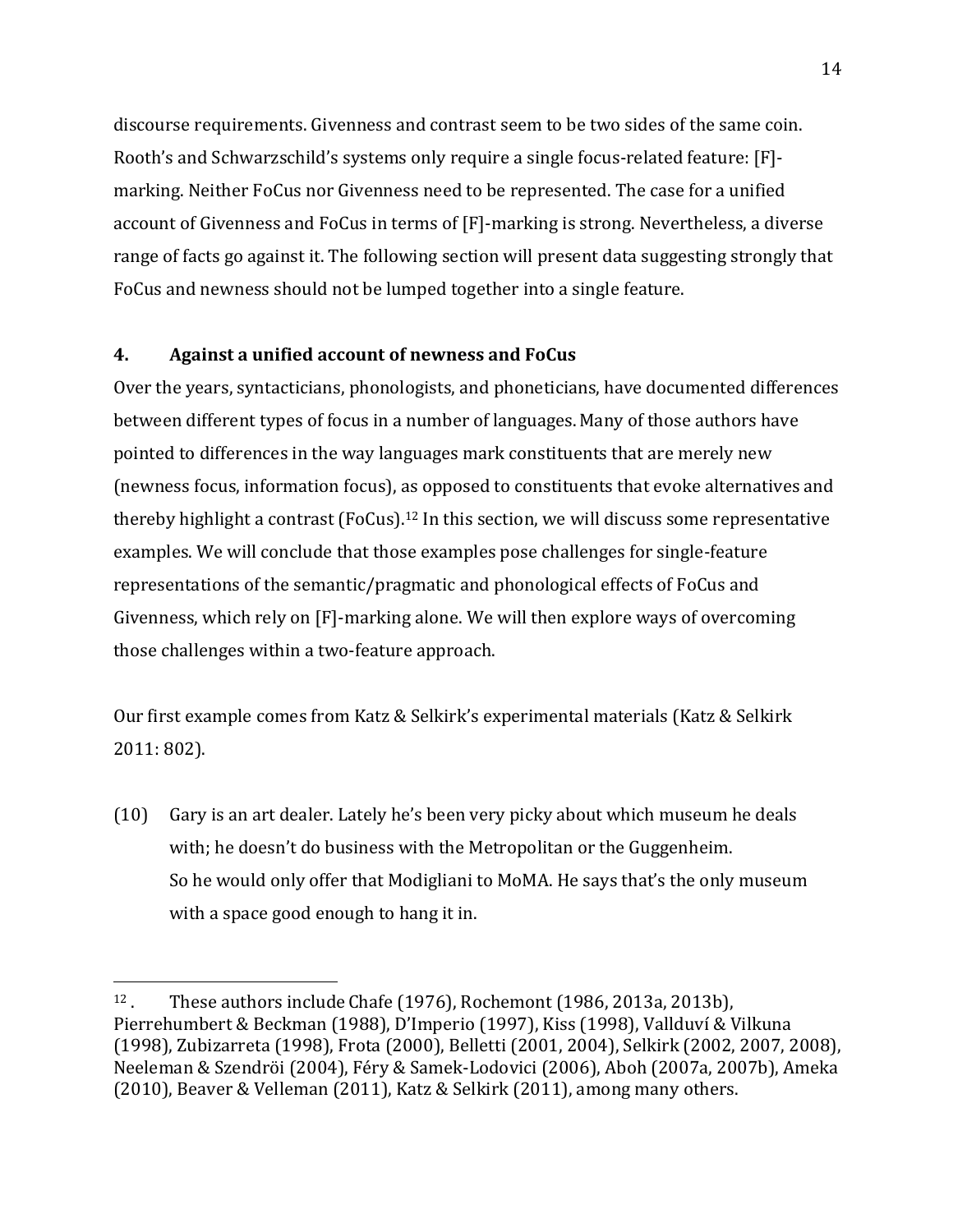discourse requirements. Givenness and contrast seem to be two sides of the same coin. Rooth's and Schwarzschild's systems only require a single focus-related feature: [F]marking. Neither FoCus nor Givenness need to be represented. The case for a unified account of Givenness and FoCus in terms of [F]-marking is strong. Nevertheless, a diverse range of facts go against it. The following section will present data suggesting strongly that FoCus and newness should not be lumped together into a single feature.

## **4. Against a unified account of newness and FoCus**

 

Over the years, syntacticians, phonologists, and phoneticians, have documented differences between different types of focus in a number of languages. Many of those authors have pointed to differences in the way languages mark constituents that are merely new (newness focus, information focus), as opposed to constituents that evoke alternatives and thereby highlight a contrast  $(FoCus).<sup>12</sup>$  In this section, we will discuss some representative examples. We will conclude that those examples pose challenges for single-feature representations of the semantic/pragmatic and phonological effects of FoCus and Givenness, which rely on  $[F]$ -marking alone. We will then explore ways of overcoming those challenges within a two-feature approach.

Our first example comes from Katz & Selkirk's experimental materials (Katz & Selkirk 2011: 802).

 $(10)$  Gary is an art dealer. Lately he's been very picky about which museum he deals with; he doesn't do business with the Metropolitan or the Guggenheim. So he would only offer that Modigliani to MoMA. He says that's the only museum with a space good enough to hang it in.

 $12$ . These authors include Chafe (1976), Rochemont (1986, 2013a, 2013b), Pierrehumbert & Beckman (1988), D'Imperio (1997), Kiss (1998), Vallduví & Vilkuna (1998), Zubizarreta (1998), Frota (2000), Belletti (2001, 2004), Selkirk (2002, 2007, 2008), Neeleman & Szendröi (2004), Féry & Samek-Lodovici (2006), Aboh (2007a, 2007b), Ameka (2010), Beaver & Velleman (2011), Katz & Selkirk (2011), among many others.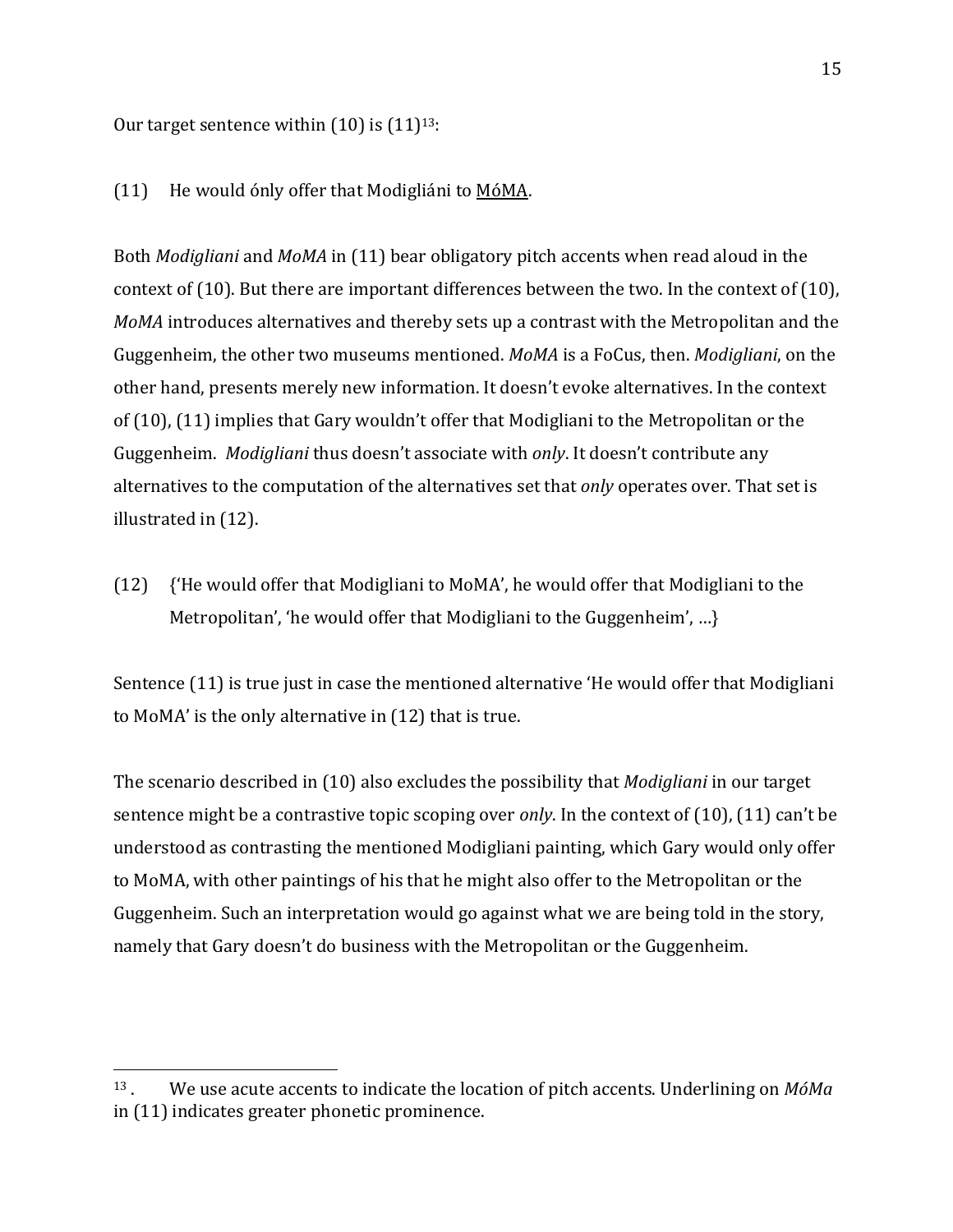Our target sentence within  $(10)$  is  $(11)^{13}$ :

 

### (11) He would only offer that Modigliáni to MóMA.

Both *Modigliani* and *MoMA* in (11) bear obligatory pitch accents when read aloud in the context of  $(10)$ . But there are important differences between the two. In the context of  $(10)$ , *MoMA* introduces alternatives and thereby sets up a contrast with the Metropolitan and the Guggenheim, the other two museums mentioned. *MoMA* is a FoCus, then. *Modigliani*, on the other hand, presents merely new information. It doesn't evoke alternatives. In the context of (10), (11) implies that Gary wouldn't offer that Modigliani to the Metropolitan or the Guggenheim. *Modigliani* thus doesn't associate with *only*. It doesn't contribute any alternatives to the computation of the alternatives set that *only* operates over. That set is illustrated in  $(12)$ .

 $(12)$  {'He would offer that Modigliani to MoMA', he would offer that Modigliani to the Metropolitan', 'he would offer that Modigliani to the Guggenheim', ...}

Sentence  $(11)$  is true just in case the mentioned alternative 'He would offer that Modigliani to MoMA' is the only alternative in  $(12)$  that is true.

The scenario described in (10) also excludes the possibility that *Modigliani* in our target sentence might be a contrastive topic scoping over *only*. In the context of (10), (11) can't be understood as contrasting the mentioned Modigliani painting, which Gary would only offer to MoMA, with other paintings of his that he might also offer to the Metropolitan or the Guggenheim. Such an interpretation would go against what we are being told in the story, namely that Gary doesn't do business with the Metropolitan or the Guggenheim.

<sup>&</sup>lt;sup>13</sup>. We use acute accents to indicate the location of pitch accents. Underlining on  $M_0$ in  $(11)$  indicates greater phonetic prominence.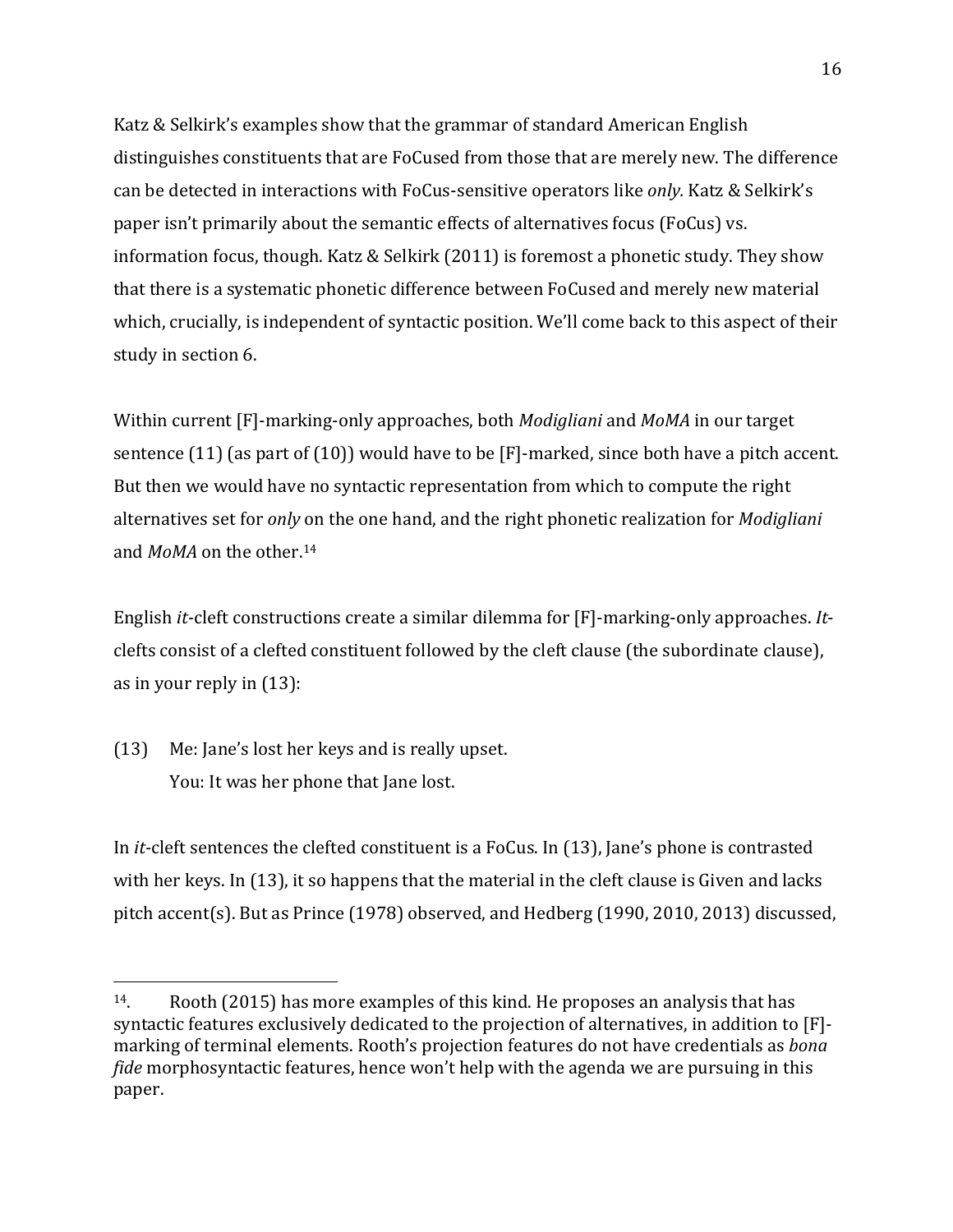Katz & Selkirk's examples show that the grammar of standard American English distinguishes constituents that are FoCused from those that are merely new. The difference can be detected in interactions with FoCus-sensitive operators like *only*. Katz & Selkirk's paper isn't primarily about the semantic effects of alternatives focus (FoCus) vs. information focus, though. Katz & Selkirk  $(2011)$  is foremost a phonetic study. They show that there is a systematic phonetic difference between FoCused and merely new material which, crucially, is independent of syntactic position. We'll come back to this aspect of their study in section 6.

Within current [F]-marking-only approaches, both *Modigliani* and *MoMA* in our target sentence  $(11)$  (as part of  $(10)$ ) would have to be [F]-marked, since both have a pitch accent. But then we would have no syntactic representation from which to compute the right alternatives set for *only* on the one hand, and the right phonetic realization for *Modigliani* and  $M_0MA$  on the other.<sup>14</sup>

English *it-cleft* constructions create a similar dilemma for [F]-marking-only approaches. *It*clefts consist of a clefted constituent followed by the cleft clause (the subordinate clause), as in your reply in  $(13)$ :

(13) Me: Jane's lost her keys and is really upset. You: It was her phone that Jane lost.

 

In *it-cleft* sentences the clefted constituent is a FoCus. In (13), Jane's phone is contrasted with her keys. In  $(13)$ , it so happens that the material in the cleft clause is Given and lacks pitch accent(s). But as Prince (1978) observed, and Hedberg (1990, 2010, 2013) discussed,

 $14.$  Rooth (2015) has more examples of this kind. He proposes an analysis that has syntactic features exclusively dedicated to the projection of alternatives, in addition to [F]marking of terminal elements. Rooth's projection features do not have credentials as *bong fide* morphosyntactic features, hence won't help with the agenda we are pursuing in this paper.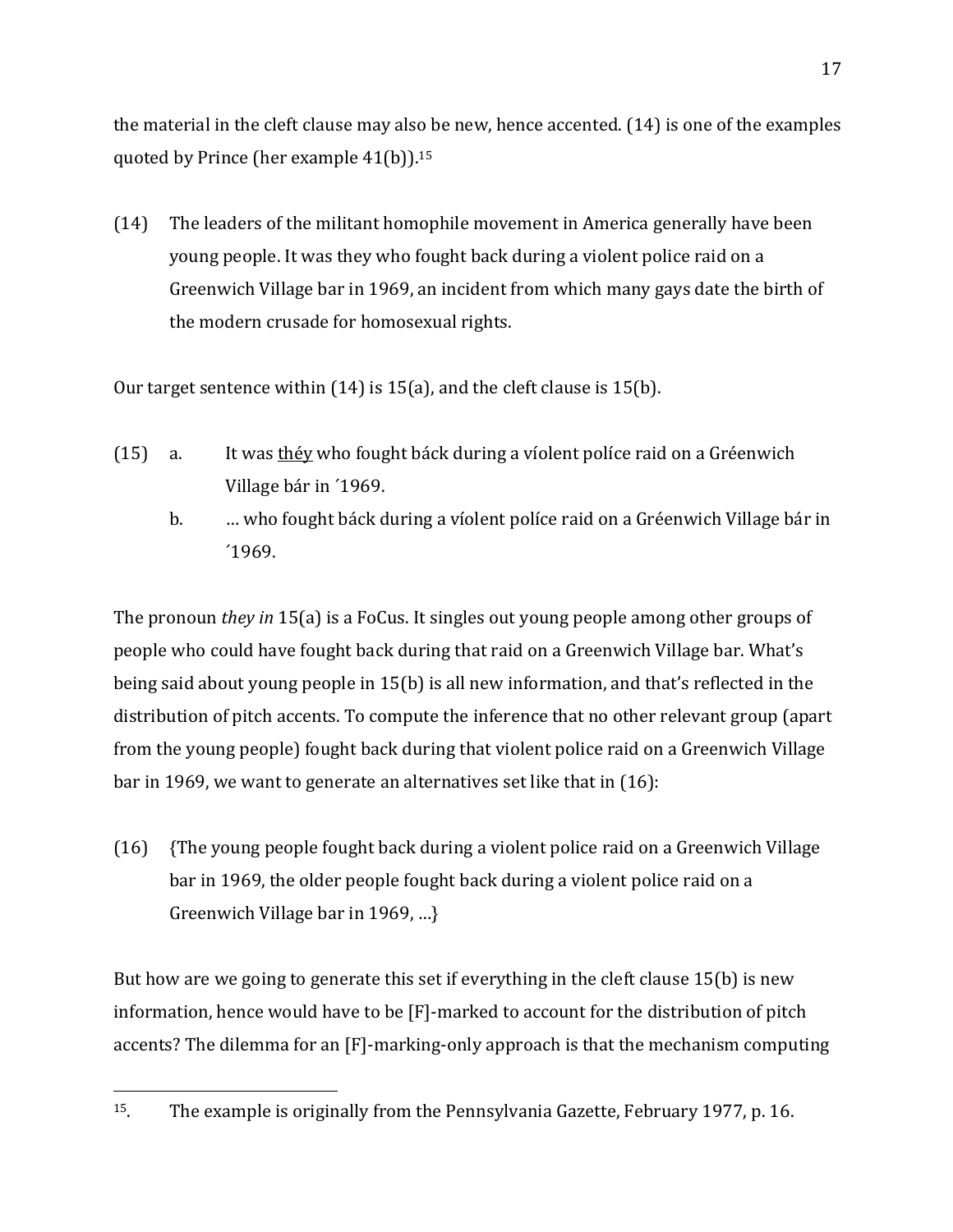the material in the cleft clause may also be new, hence accented.  $(14)$  is one of the examples quoted by Prince (her example  $41(b)$ ).<sup>15</sup>

 $(14)$  The leaders of the militant homophile movement in America generally have been young people. It was they who fought back during a violent police raid on a Greenwich Village bar in 1969, an incident from which many gays date the birth of the modern crusade for homosexual rights.

Our target sentence within  $(14)$  is  $15(a)$ , and the cleft clause is  $15(b)$ .

- (15) a. It was théy who fought báck during a víolent políce raid on a Gréenwich Village bár in '1969.
	- b. … who fought báck during a víolent políce raid on a Gréenwich Village bár in  $1969.$

The pronoun *they in* 15(a) is a FoCus. It singles out young people among other groups of people who could have fought back during that raid on a Greenwich Village bar. What's being said about young people in 15(b) is all new information, and that's reflected in the distribution of pitch accents. To compute the inference that no other relevant group (apart from the young people) fought back during that violent police raid on a Greenwich Village bar in 1969, we want to generate an alternatives set like that in  $(16)$ :

 $(16)$  {The young people fought back during a violent police raid on a Greenwich Village bar in 1969, the older people fought back during a violent police raid on a Greenwich Village bar in 1969, ...}

But how are we going to generate this set if everything in the cleft clause  $15(b)$  is new information, hence would have to be [F]-marked to account for the distribution of pitch accents? The dilemma for an [F]-marking-only approach is that the mechanism computing

<sup>&</sup>lt;sup>15</sup>. The example is originally from the Pennsylvania Gazette, February 1977, p. 16.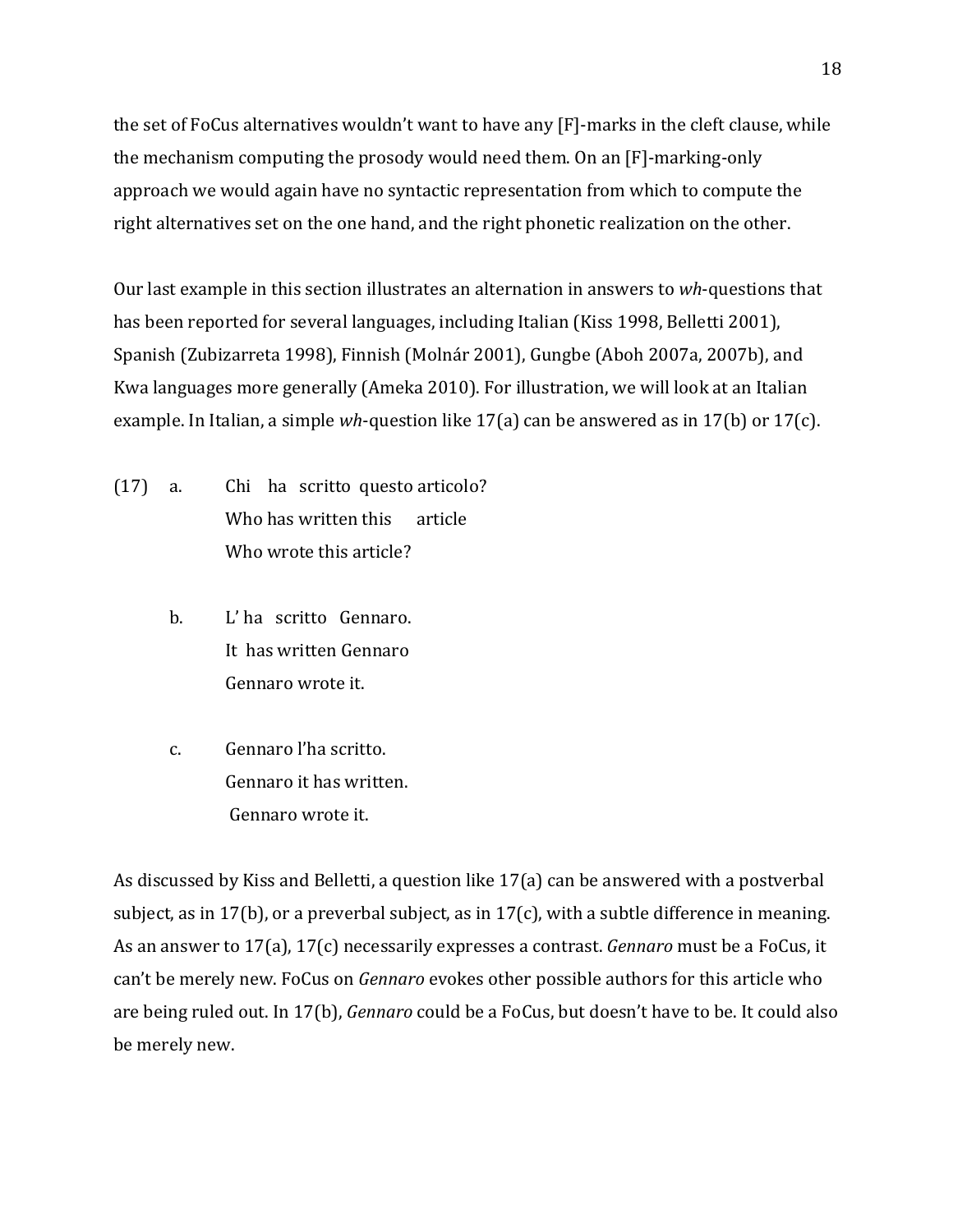the set of FoCus alternatives wouldn't want to have any  $[F]$ -marks in the cleft clause, while the mechanism computing the prosody would need them. On an [F]-marking-only approach we would again have no syntactic representation from which to compute the right alternatives set on the one hand, and the right phonetic realization on the other.

Our last example in this section illustrates an alternation in answers to wh-questions that has been reported for several languages, including Italian (Kiss 1998, Belletti 2001), Spanish (Zubizarreta 1998), Finnish (Molnár 2001), Gungbe (Aboh 2007a, 2007b), and Kwa languages more generally (Ameka 2010). For illustration, we will look at an Italian example. In Italian, a simple *wh*-question like  $17(a)$  can be answered as in  $17(b)$  or  $17(c)$ .

- $(17)$  a. Chi ha scritto questo articolo? Who has written this article Who wrote this article?
	- b. L'ha scritto Gennaro. It has written Gennaro Gennaro wrote it.
	- c. Gennaro l'ha scritto. Gennaro it has written. Gennaro wrote it.

As discussed by Kiss and Belletti, a question like  $17(a)$  can be answered with a postverbal subject, as in 17(b), or a preverbal subject, as in 17(c), with a subtle difference in meaning. As an answer to 17(a), 17(c) necessarily expresses a contrast. *Gennaro* must be a FoCus, it can't be merely new. FoCus on *Gennaro* evokes other possible authors for this article who are being ruled out. In 17(b), *Gennaro* could be a FoCus, but doesn't have to be. It could also be merely new.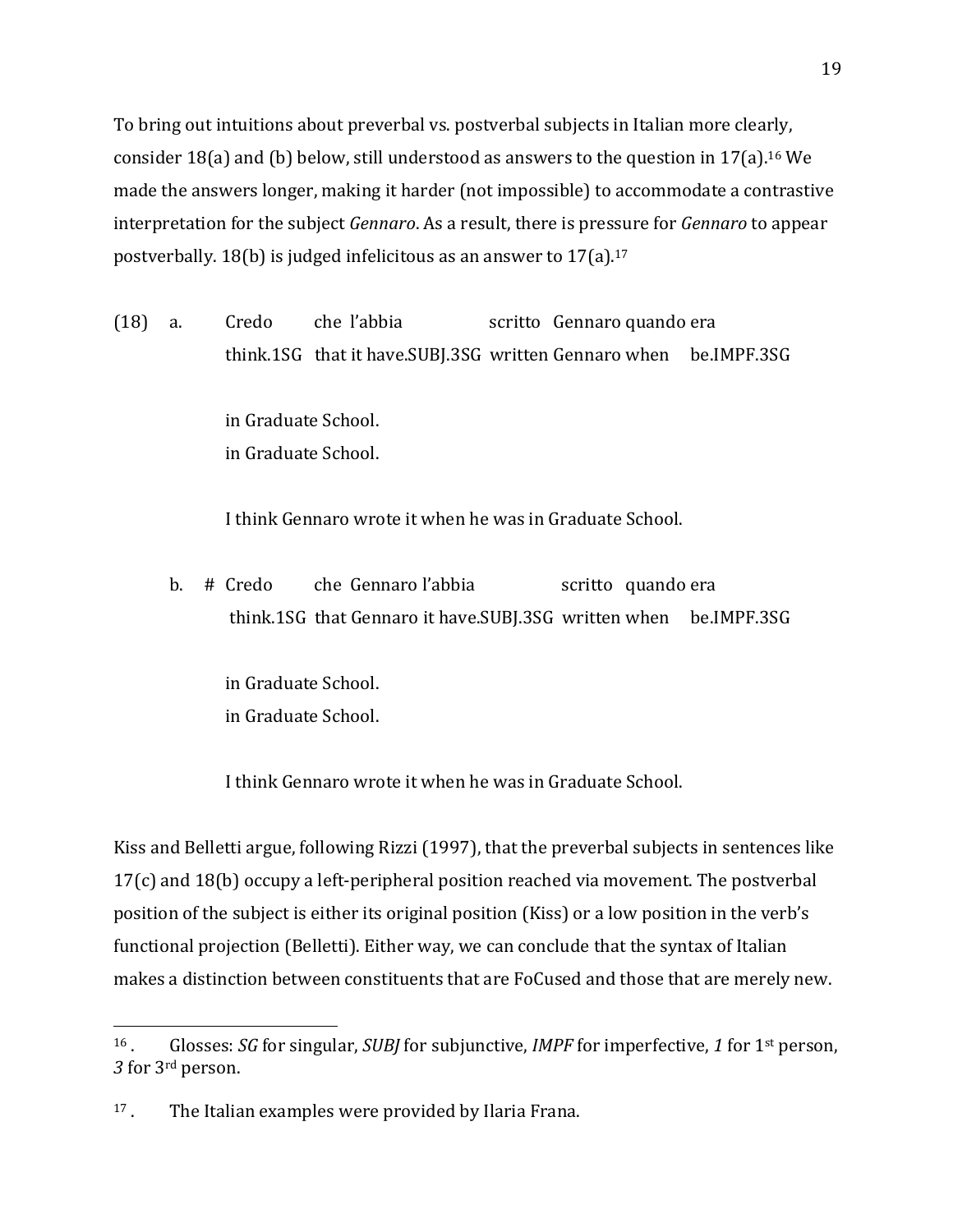To bring out intuitions about preverbal vs. postverbal subjects in Italian more clearly, consider 18(a) and (b) below, still understood as answers to the question in 17(a).<sup>16</sup> We made the answers longer, making it harder (not impossible) to accommodate a contrastive interpretation for the subject *Gennaro*. As a result, there is pressure for *Gennaro* to appear postverbally. 18(b) is judged infelicitous as an answer to  $17(a)$ .<sup>17</sup>

(18) a. Credo che l'abbia scritto Gennaro quando era think.1SG that it have.SUBI.3SG written Gennaro when be.IMPF.3SG

> in Graduate School. in Graduate School.

I think Gennaro wrote it when he was in Graduate School.

b. # Credo che Gennaro l'abbia scritto quando era think.1SG that Gennaro it have.SUBJ.3SG written when be.IMPF.3SG

in Graduate School. in Graduate School.

I think Gennaro wrote it when he was in Graduate School.

Kiss and Belletti argue, following Rizzi (1997), that the preverbal subjects in sentences like  $17(c)$  and  $18(b)$  occupy a left-peripheral position reached via movement. The postverbal position of the subject is either its original position (Kiss) or a low position in the verb's functional projection (Belletti). Either way, we can conclude that the syntax of Italian makes a distinction between constituents that are FoCused and those that are merely new.

<sup>&</sup>lt;sup>16</sup>. Glosses: *SG* for singular, *SUBI* for subjunctive, *IMPF* for imperfective, 1 for 1<sup>st</sup> person, 3 for 3<sup>rd</sup> person.

 $17$ . The Italian examples were provided by Ilaria Frana.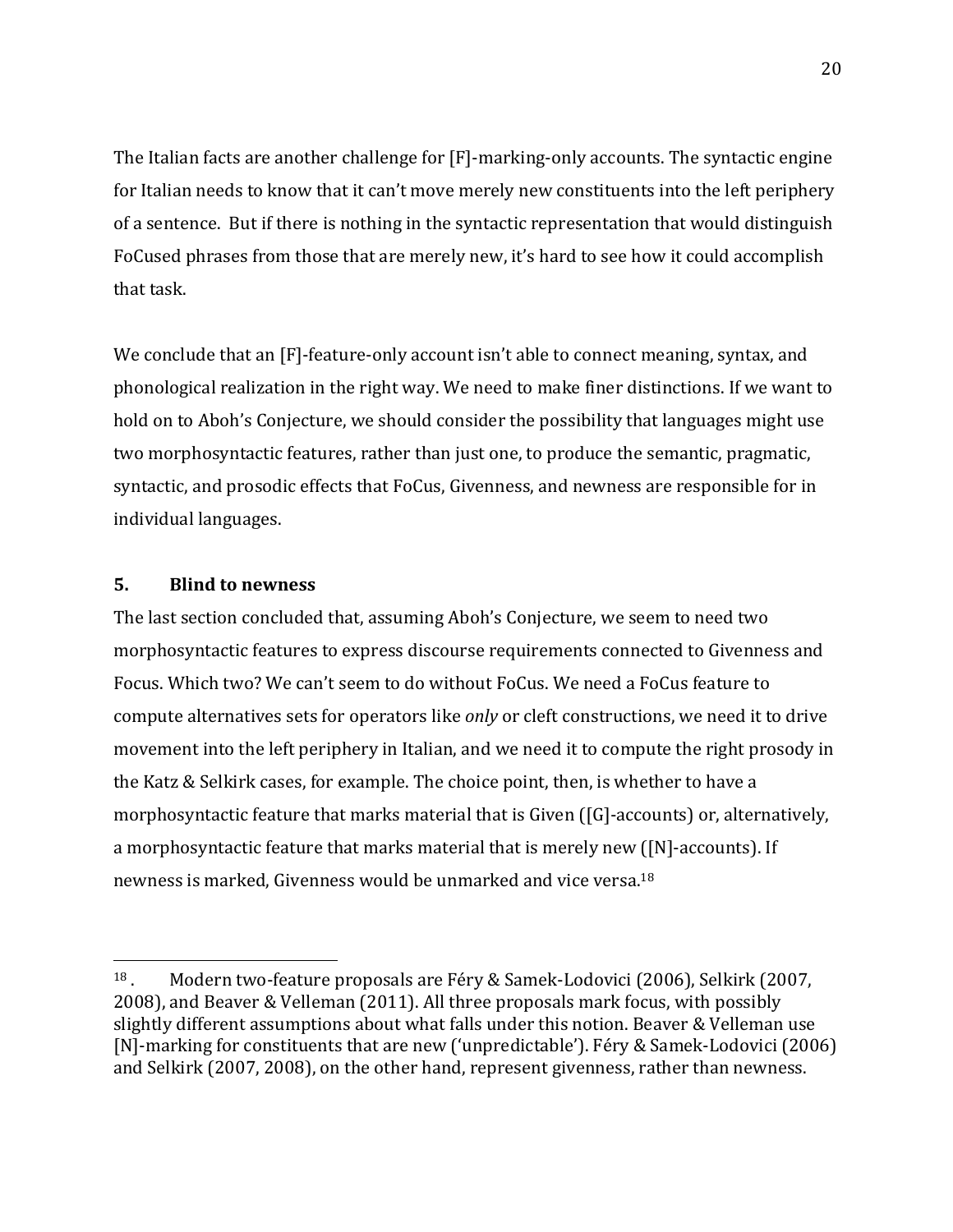The Italian facts are another challenge for  $[F]$ -marking-only accounts. The syntactic engine for Italian needs to know that it can't move merely new constituents into the left periphery of a sentence. But if there is nothing in the syntactic representation that would distinguish FoCused phrases from those that are merely new, it's hard to see how it could accomplish that task.

We conclude that an  $[F]$ -feature-only account isn't able to connect meaning, syntax, and phonological realization in the right way. We need to make finer distinctions. If we want to hold on to Aboh's Conjecture, we should consider the possibility that languages might use two morphosyntactic features, rather than just one, to produce the semantic, pragmatic, syntactic, and prosodic effects that FoCus, Givenness, and newness are responsible for in individual languages.

## **5. Blind to newness**

 

The last section concluded that, assuming Aboh's Conjecture, we seem to need two morphosyntactic features to express discourse requirements connected to Givenness and Focus. Which two? We can't seem to do without FoCus. We need a FoCus feature to compute alternatives sets for operators like *only* or cleft constructions, we need it to drive movement into the left periphery in Italian, and we need it to compute the right prosody in the Katz & Selkirk cases, for example. The choice point, then, is whether to have a morphosyntactic feature that marks material that is Given  $([G]$ -accounts) or, alternatively, a morphosyntactic feature that marks material that is merely new ([N]-accounts). If newness is marked, Givenness would be unmarked and vice versa.<sup>18</sup>

 $18$ . Modern two-feature proposals are Féry & Samek-Lodovici (2006), Selkirk (2007, 2008), and Beaver & Velleman (2011). All three proposals mark focus, with possibly slightly different assumptions about what falls under this notion. Beaver & Velleman use [N]-marking for constituents that are new ('unpredictable'). Féry & Samek-Lodovici (2006) and Selkirk (2007, 2008), on the other hand, represent givenness, rather than newness.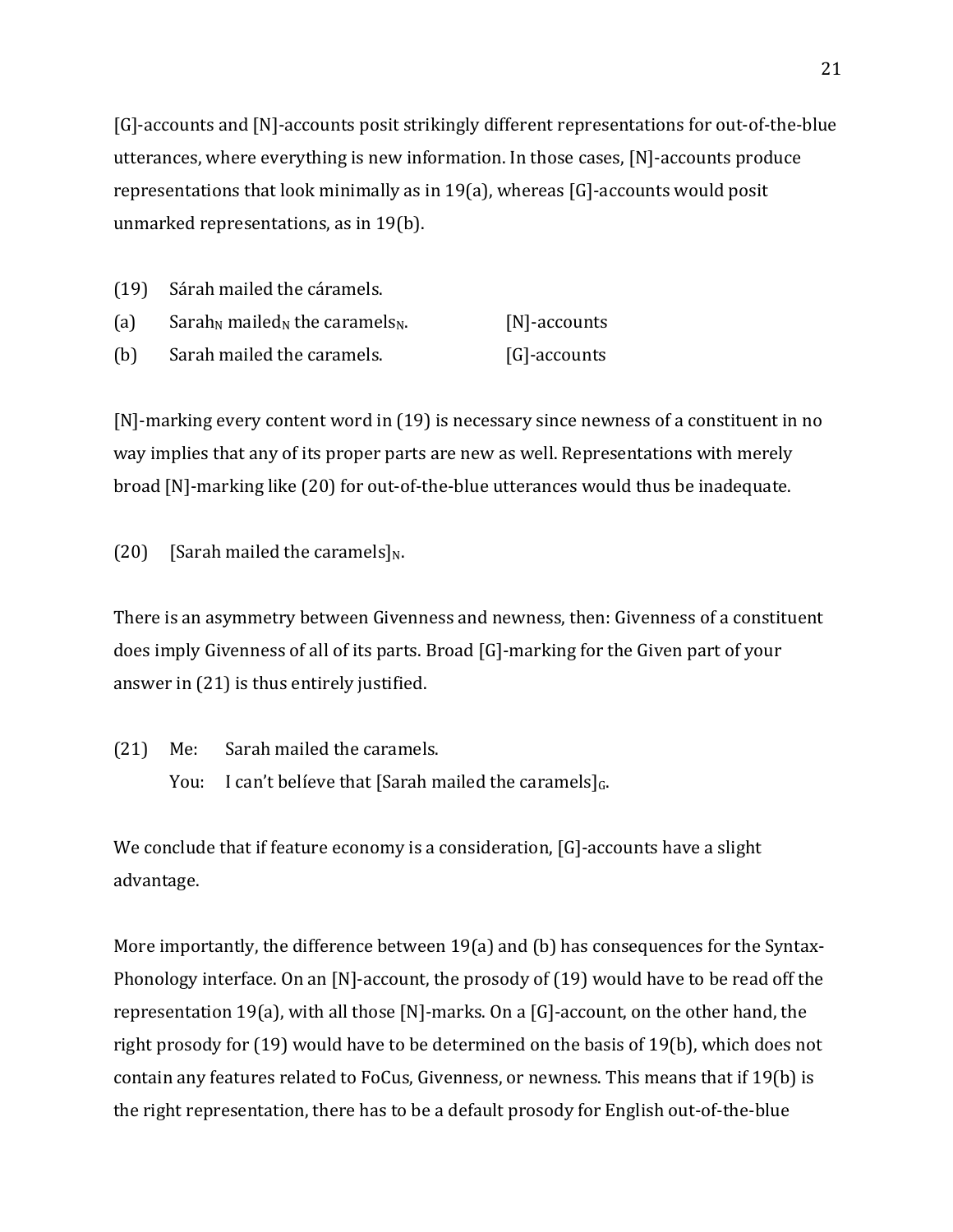$[G]$ -accounts and  $[N]$ -accounts posit strikingly different representations for out-of-the-blue utterances, where everything is new information. In those cases, [N]-accounts produce representations that look minimally as in  $19(a)$ , whereas [G]-accounts would posit unmarked representations, as in  $19(b)$ .

| (a) | Sarah <sub>N</sub> mailed <sub>N</sub> the caramels <sub>N</sub> . | $[N]$ -accounts |
|-----|--------------------------------------------------------------------|-----------------|
|-----|--------------------------------------------------------------------|-----------------|

(b) Sarah mailed the caramels. [G]-accounts

 $[N]$ -marking every content word in  $(19)$  is necessary since newness of a constituent in no way implies that any of its proper parts are new as well. Representations with merely broad [N]-marking like (20) for out-of-the-blue utterances would thus be inadequate.

(20) [Sarah mailed the caramels]<sub>N</sub>.

There is an asymmetry between Givenness and newness, then: Givenness of a constituent does imply Givenness of all of its parts. Broad [G]-marking for the Given part of your answer in  $(21)$  is thus entirely justified.

(21) Me: Sarah mailed the caramels. You: I can't believe that [Sarah mailed the caramels] $<sub>G</sub>$ .</sub>

We conclude that if feature economy is a consideration,  $[G]$ -accounts have a slight advantage. 

More importantly, the difference between  $19(a)$  and (b) has consequences for the Syntax-Phonology interface. On an [N]-account, the prosody of  $(19)$  would have to be read off the representation 19(a), with all those [N]-marks. On a [G]-account, on the other hand, the right prosody for  $(19)$  would have to be determined on the basis of  $19(b)$ , which does not contain any features related to FoCus, Givenness, or newness. This means that if 19(b) is the right representation, there has to be a default prosody for English out-of-the-blue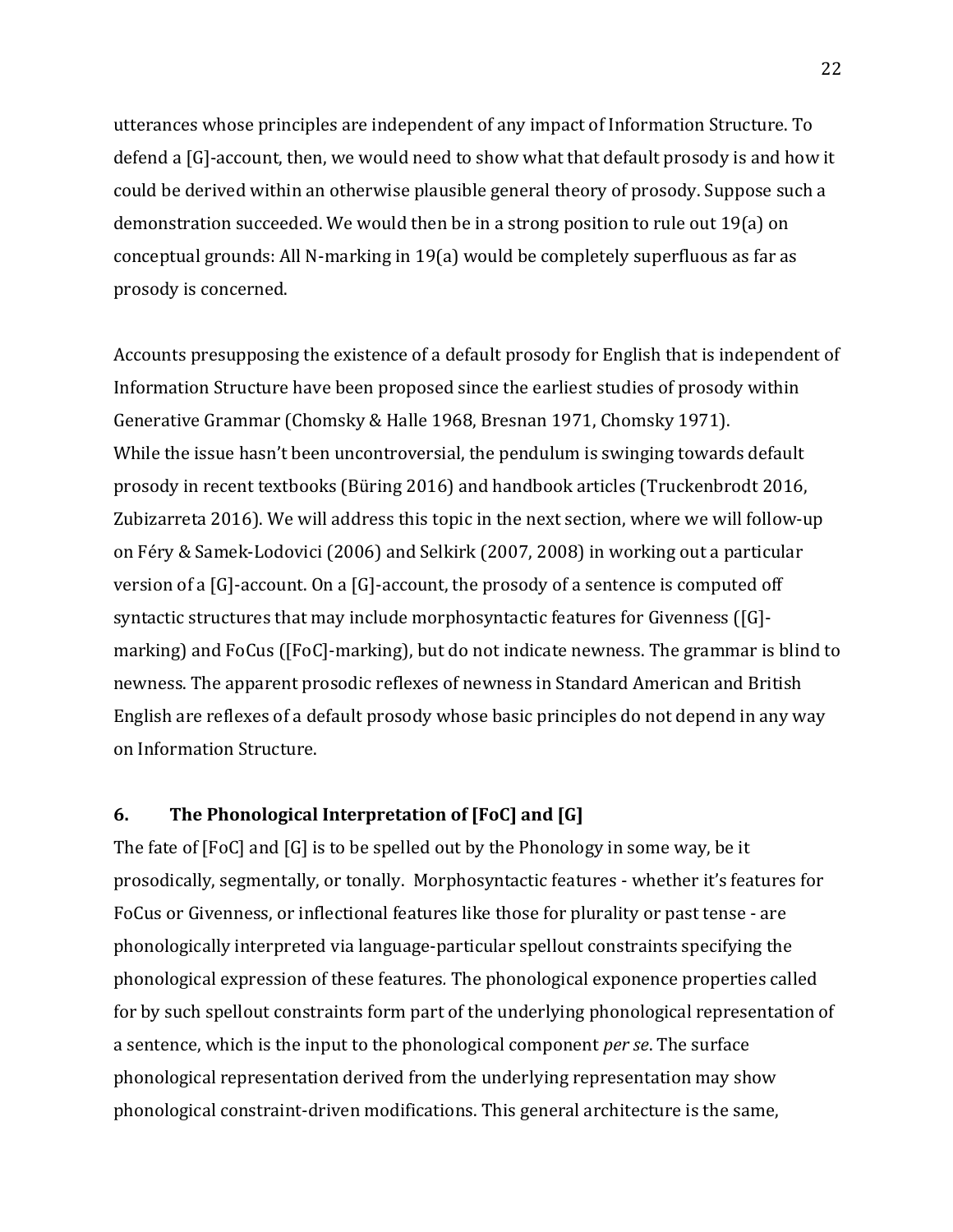utterances whose principles are independent of any impact of Information Structure. To defend a  $[G]$ -account, then, we would need to show what that default prosody is and how it could be derived within an otherwise plausible general theory of prosody. Suppose such a demonstration succeeded. We would then be in a strong position to rule out 19(a) on conceptual grounds: All N-marking in  $19(a)$  would be completely superfluous as far as prosody is concerned.

Accounts presupposing the existence of a default prosody for English that is independent of Information Structure have been proposed since the earliest studies of prosody within Generative Grammar (Chomsky & Halle 1968, Bresnan 1971, Chomsky 1971). While the issue hasn't been uncontroversial, the pendulum is swinging towards default prosody in recent textbooks (Büring 2016) and handbook articles (Truckenbrodt 2016, Zubizarreta 2016). We will address this topic in the next section, where we will follow-up on Féry & Samek-Lodovici (2006) and Selkirk (2007, 2008) in working out a particular version of a  $[G]$ -account. On a  $[G]$ -account, the prosody of a sentence is computed off syntactic structures that may include morphosyntactic features for Givenness ([G]marking) and FoCus ([FoC]-marking], but do not indicate newness. The grammar is blind to newness. The apparent prosodic reflexes of newness in Standard American and British English are reflexes of a default prosody whose basic principles do not depend in any way on Information Structure. 

## **6.** The Phonological Interpretation of [FoC] and [G]

The fate of  $[FOC]$  and  $[G]$  is to be spelled out by the Phonology in some way, be it prosodically, segmentally, or tonally. Morphosyntactic features - whether it's features for FoCus or Givenness, or inflectional features like those for plurality or past tense - are phonologically interpreted via language-particular spellout constraints specifying the phonological expression of these features. The phonological exponence properties called for by such spellout constraints form part of the underlying phonological representation of a sentence, which is the input to the phonological component *per se*. The surface phonological representation derived from the underlying representation may show phonological constraint-driven modifications. This general architecture is the same,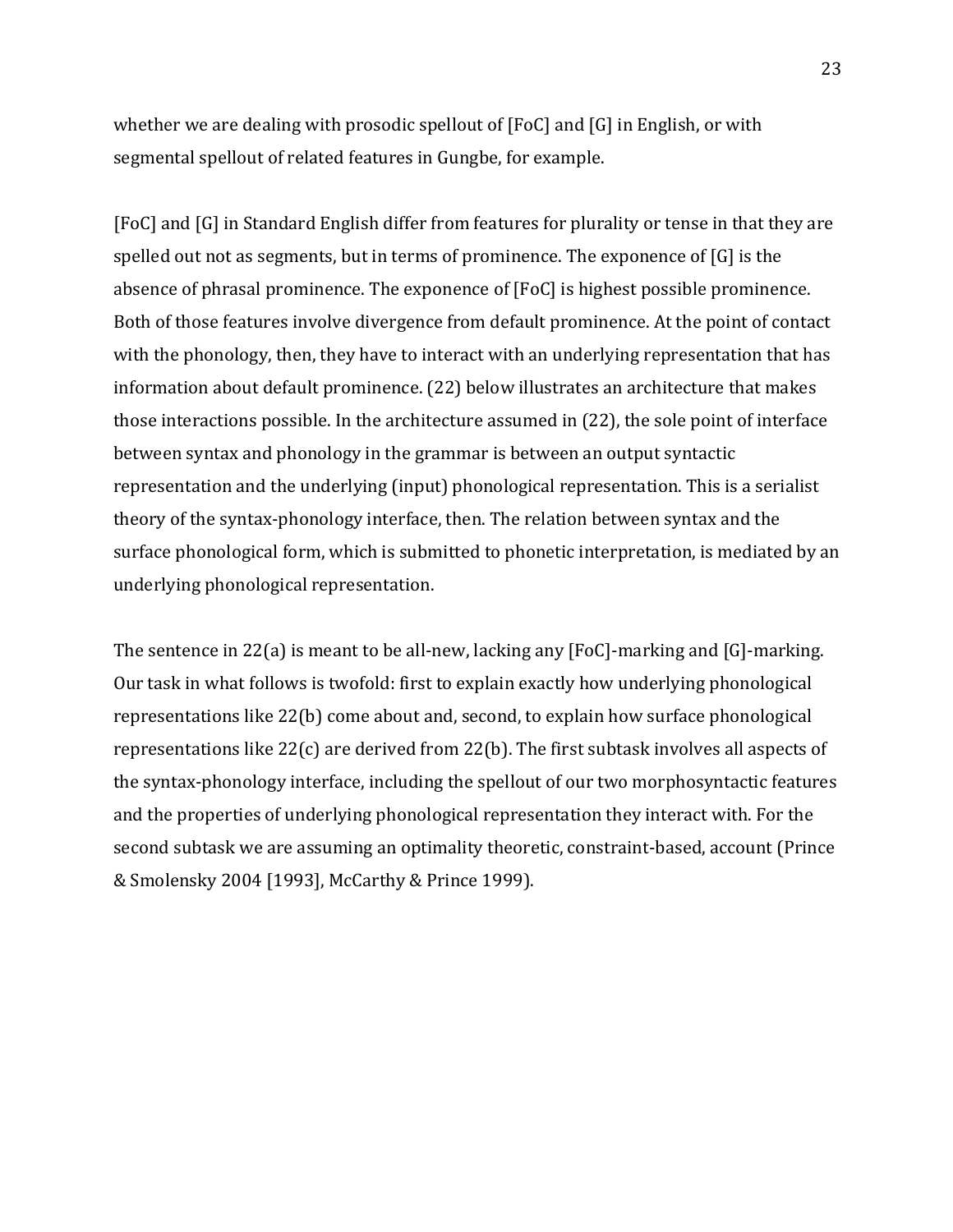whether we are dealing with prosodic spellout of  $[FOC]$  and  $[G]$  in English, or with segmental spellout of related features in Gungbe, for example.

[FoC] and [G] in Standard English differ from features for plurality or tense in that they are spelled out not as segments, but in terms of prominence. The exponence of  $[G]$  is the absence of phrasal prominence. The exponence of [FoC] is highest possible prominence. Both of those features involve divergence from default prominence. At the point of contact with the phonology, then, they have to interact with an underlying representation that has information about default prominence. (22) below illustrates an architecture that makes those interactions possible. In the architecture assumed in  $(22)$ , the sole point of interface between syntax and phonology in the grammar is between an output syntactic representation and the underlying (input) phonological representation. This is a serialist theory of the syntax-phonology interface, then. The relation between syntax and the surface phonological form, which is submitted to phonetic interpretation, is mediated by an underlying phonological representation.

The sentence in 22(a) is meant to be all-new, lacking any  $[FeC]$ -marking and  $[G]$ -marking. Our task in what follows is twofold: first to explain exactly how underlying phonological representations like 22(b) come about and, second, to explain how surface phonological representations like  $22(c)$  are derived from  $22(b)$ . The first subtask involves all aspects of the syntax-phonology interface, including the spellout of our two morphosyntactic features and the properties of underlying phonological representation they interact with. For the second subtask we are assuming an optimality theoretic, constraint-based, account (Prince & Smolensky 2004 [1993], McCarthy & Prince 1999).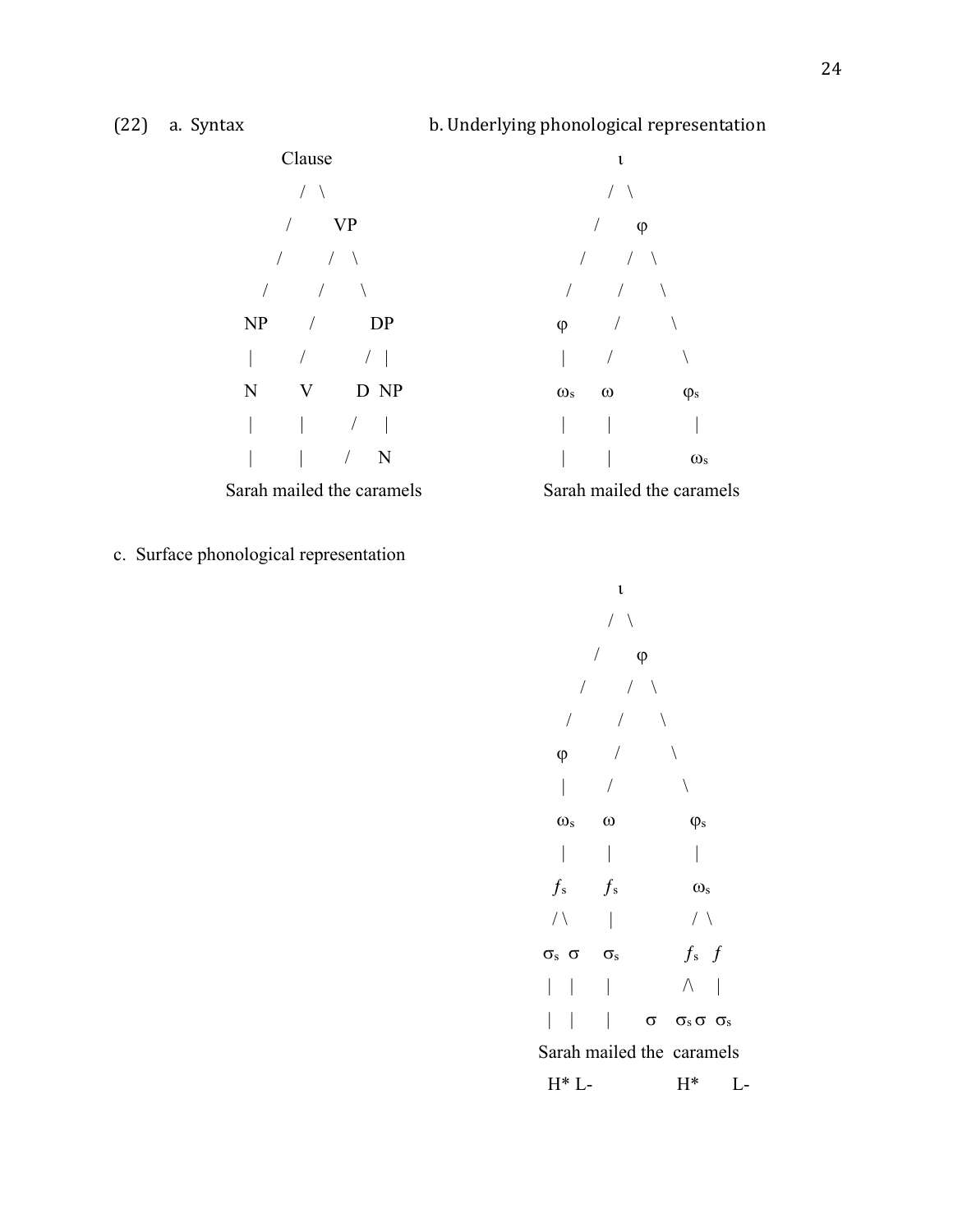

c. Surface phonological representation

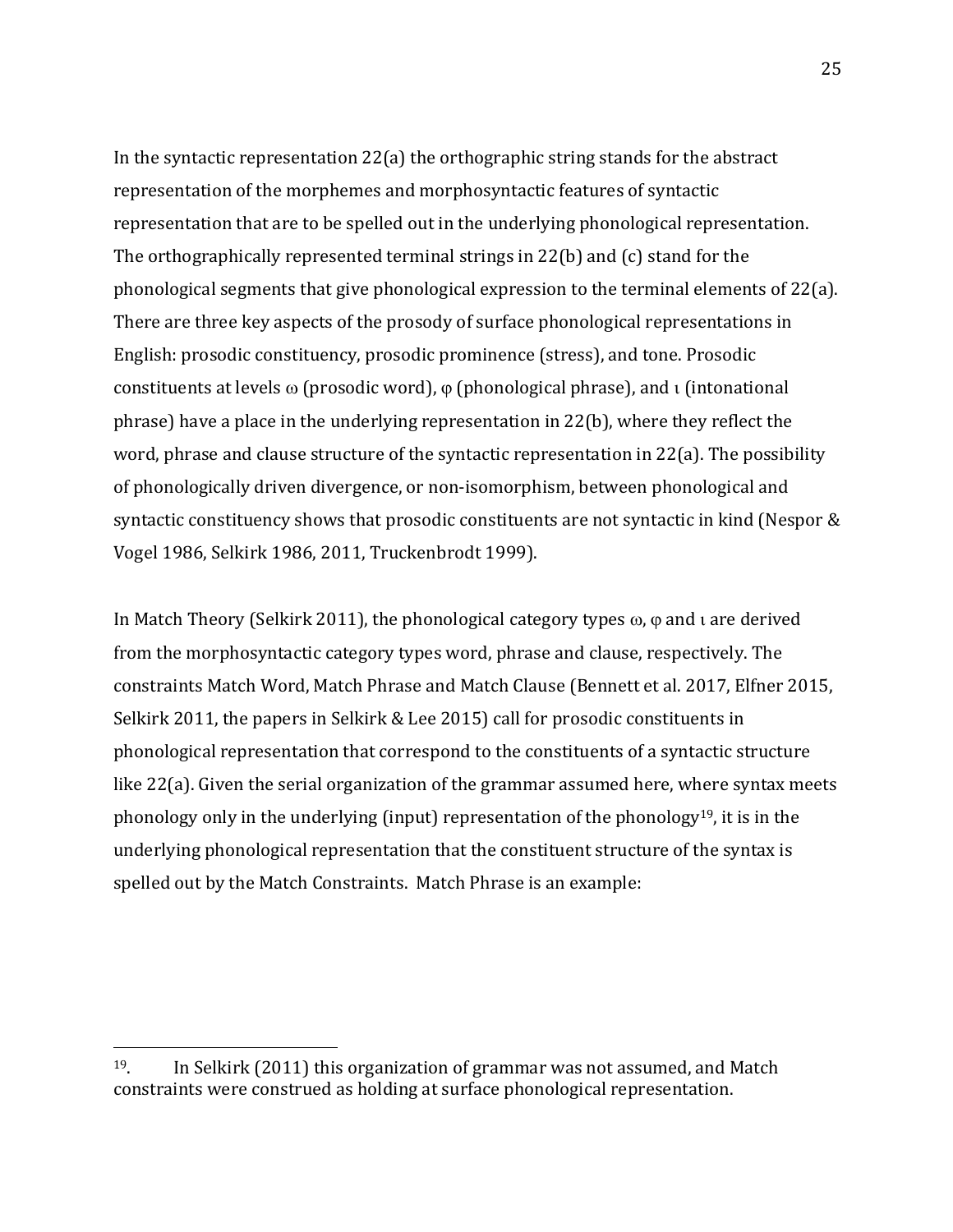In the syntactic representation  $22(a)$  the orthographic string stands for the abstract representation of the morphemes and morphosyntactic features of syntactic representation that are to be spelled out in the underlying phonological representation. The orthographically represented terminal strings in  $22(b)$  and  $(c)$  stand for the phonological segments that give phonological expression to the terminal elements of  $22(a)$ . There are three key aspects of the prosody of surface phonological representations in English: prosodic constituency, prosodic prominence (stress), and tone. Prosodic constituents at levels  $\omega$  (prosodic word),  $\varphi$  (phonological phrase), and  $\iota$  (intonational phrase) have a place in the underlying representation in  $22(b)$ , where they reflect the word, phrase and clause structure of the syntactic representation in  $22(a)$ . The possibility of phonologically driven divergence, or non-isomorphism, between phonological and syntactic constituency shows that prosodic constituents are not syntactic in kind (Nespor & Vogel 1986, Selkirk 1986, 2011, Truckenbrodt 1999).

In Match Theory (Selkirk 2011), the phonological category types  $\omega$ ,  $\varphi$  and  $\iota$  are derived from the morphosyntactic category types word, phrase and clause, respectively. The constraints Match Word, Match Phrase and Match Clause (Bennett et al. 2017, Elfner 2015, Selkirk 2011, the papers in Selkirk & Lee 2015) call for prosodic constituents in phonological representation that correspond to the constituents of a syntactic structure like  $22(a)$ . Given the serial organization of the grammar assumed here, where syntax meets phonology only in the underlying (input) representation of the phonology<sup>19</sup>, it is in the underlying phonological representation that the constituent structure of the syntax is spelled out by the Match Constraints. Match Phrase is an example:

 $19.$  In Selkirk (2011) this organization of grammar was not assumed, and Match constraints were construed as holding at surface phonological representation.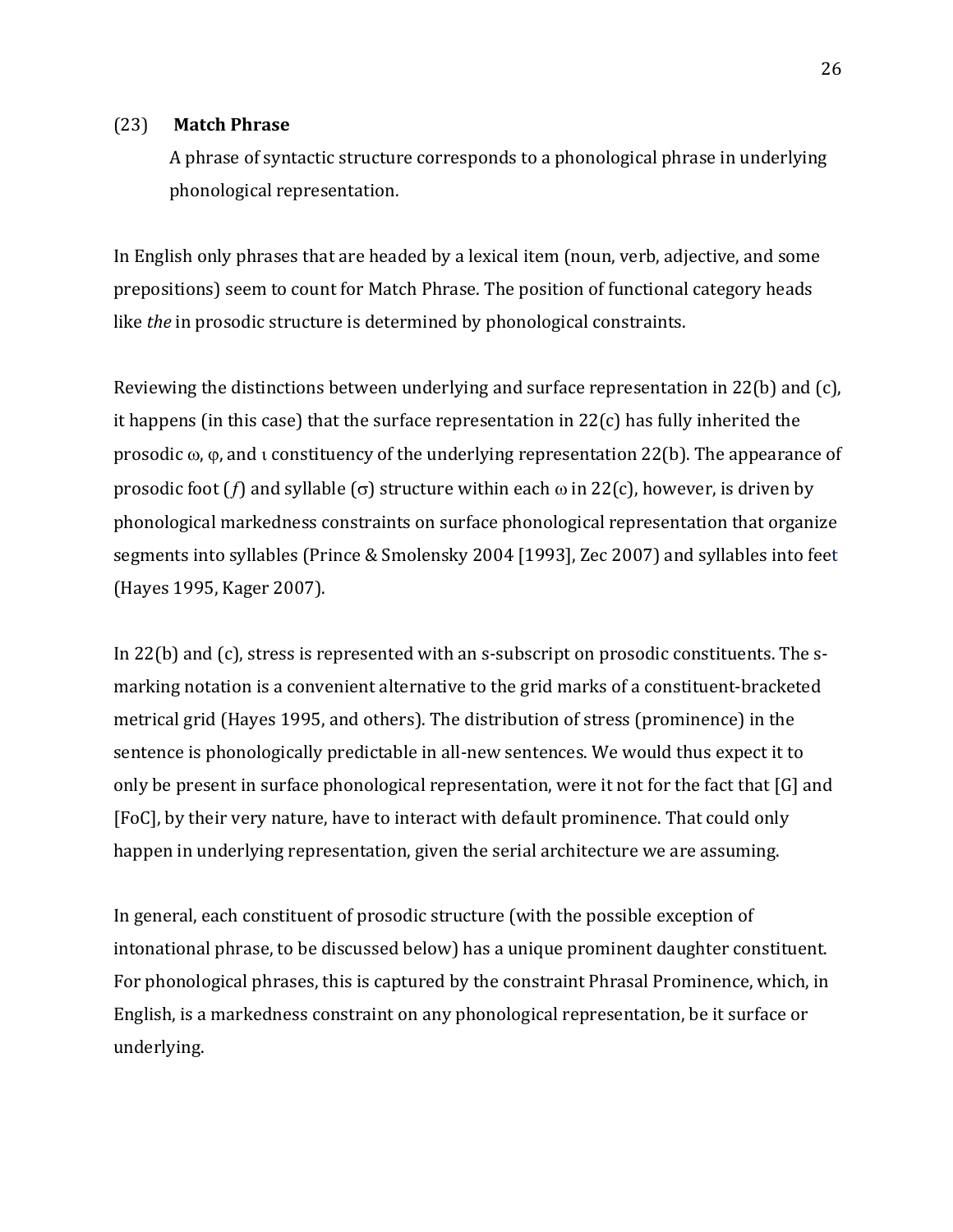### (23) **Match Phrase**

A phrase of syntactic structure corresponds to a phonological phrase in underlying phonological representation.

In English only phrases that are headed by a lexical item (noun, verb, adjective, and some prepositions) seem to count for Match Phrase. The position of functional category heads like *the* in prosodic structure is determined by phonological constraints.

Reviewing the distinctions between underlying and surface representation in 22(b) and (c), it happens (in this case) that the surface representation in  $22(c)$  has fully inherited the prosodic  $\omega$ ,  $\varphi$ , and  $\iota$  constituency of the underlying representation 22(b). The appearance of prosodic foot  $(f)$  and syllable  $(\sigma)$  structure within each  $\omega$  in 22(c), however, is driven by phonological markedness constraints on surface phonological representation that organize segments into syllables (Prince & Smolensky 2004 [1993], Zec 2007) and syllables into feet (Hayes 1995, Kager 2007).

In  $22(b)$  and (c), stress is represented with an s-subscript on prosodic constituents. The smarking notation is a convenient alternative to the grid marks of a constituent-bracketed metrical grid (Hayes 1995, and others). The distribution of stress (prominence) in the sentence is phonologically predictable in all-new sentences. We would thus expect it to only be present in surface phonological representation, were it not for the fact that  $[G]$  and [FoC], by their very nature, have to interact with default prominence. That could only happen in underlying representation, given the serial architecture we are assuming.

In general, each constituent of prosodic structure (with the possible exception of intonational phrase, to be discussed below) has a unique prominent daughter constituent. For phonological phrases, this is captured by the constraint Phrasal Prominence, which, in English, is a markedness constraint on any phonological representation, be it surface or underlying.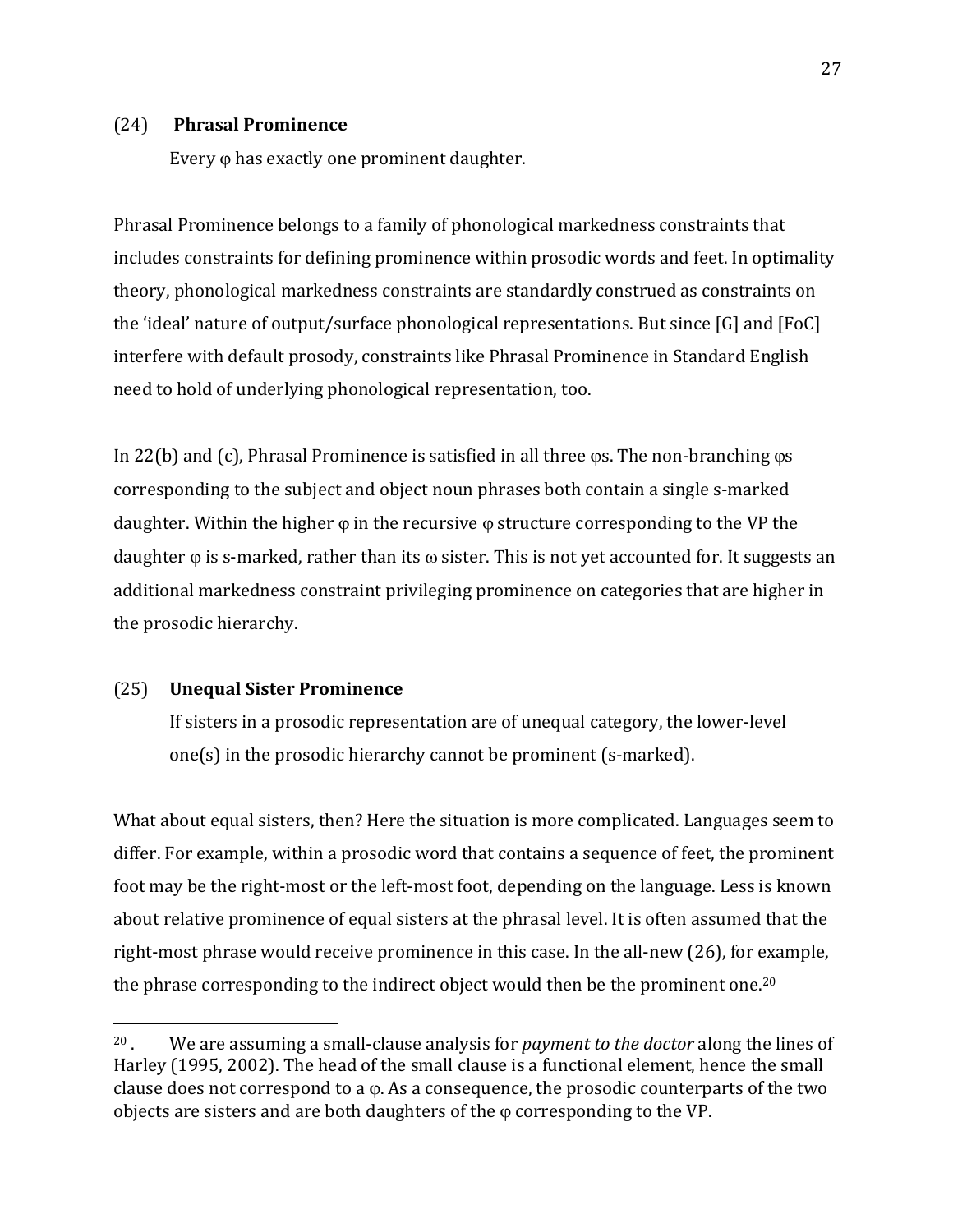### (24) **Phrasal Prominence**

Every  $\varphi$  has exactly one prominent daughter.

Phrasal Prominence belongs to a family of phonological markedness constraints that includes constraints for defining prominence within prosodic words and feet. In optimality theory, phonological markedness constraints are standardly construed as constraints on the 'ideal' nature of output/surface phonological representations. But since  $[G]$  and  $[FoC]$ interfere with default prosody, constraints like Phrasal Prominence in Standard English need to hold of underlying phonological representation, too.

In 22(b) and  $(c)$ , Phrasal Prominence is satisfied in all three  $\varphi$ s. The non-branching  $\varphi$ s corresponding to the subject and object noun phrases both contain a single s-marked daughter. Within the higher  $\varphi$  in the recursive  $\varphi$  structure corresponding to the VP the daughter  $\varphi$  is s-marked, rather than its  $\varphi$  sister. This is not yet accounted for. It suggests an additional markedness constraint privileging prominence on categories that are higher in the prosodic hierarchy.

## (25) **Unequal Sister Prominence**

 

If sisters in a prosodic representation are of unequal category, the lower-level one(s) in the prosodic hierarchy cannot be prominent  $(s$ -marked).

What about equal sisters, then? Here the situation is more complicated. Languages seem to differ. For example, within a prosodic word that contains a sequence of feet, the prominent foot may be the right-most or the left-most foot, depending on the language. Less is known about relative prominence of equal sisters at the phrasal level. It is often assumed that the right-most phrase would receive prominence in this case. In the all-new  $(26)$ , for example, the phrase corresponding to the indirect object would then be the prominent one.<sup>20</sup>

<sup>&</sup>lt;sup>20</sup>. We are assuming a small-clause analysis for *payment to the doctor* along the lines of Harley (1995, 2002). The head of the small clause is a functional element, hence the small clause does not correspond to a  $\varphi$ . As a consequence, the prosodic counterparts of the two objects are sisters and are both daughters of the  $\varphi$  corresponding to the VP.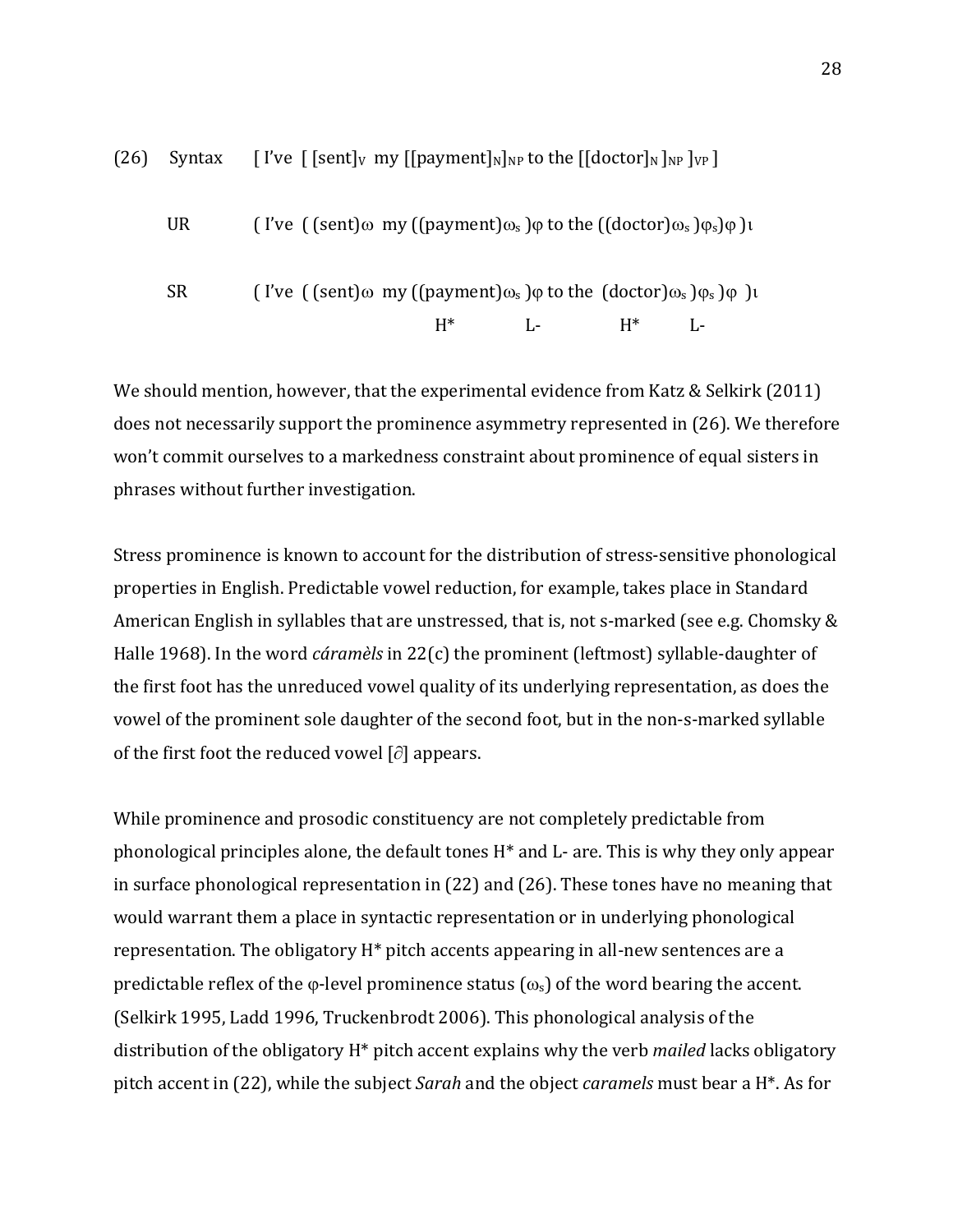

We should mention, however, that the experimental evidence from Katz & Selkirk (2011) does not necessarily support the prominence asymmetry represented in (26). We therefore won't commit ourselves to a markedness constraint about prominence of equal sisters in phrases without further investigation.

Stress prominence is known to account for the distribution of stress-sensitive phonological properties in English. Predictable vowel reduction, for example, takes place in Standard American English in syllables that are unstressed, that is, not s-marked (see e.g. Chomsky  $&$ Halle 1968). In the word *cáramèls* in 22(c) the prominent (leftmost) syllable-daughter of the first foot has the unreduced vowel quality of its underlying representation, as does the vowel of the prominent sole daughter of the second foot, but in the non-s-marked syllable of the first foot the reduced vowel  $[\partial]$  appears.

While prominence and prosodic constituency are not completely predictable from phonological principles alone, the default tones  $H^*$  and  $L$ - are. This is why they only appear in surface phonological representation in  $(22)$  and  $(26)$ . These tones have no meaning that would warrant them a place in syntactic representation or in underlying phonological representation. The obligatory  $H^*$  pitch accents appearing in all-new sentences are a predictable reflex of the  $\varphi$ -level prominence status  $(\omega_s)$  of the word bearing the accent. (Selkirk 1995, Ladd 1996, Truckenbrodt 2006). This phonological analysis of the distribution of the obligatory H<sup>\*</sup> pitch accent explains why the verb *mailed* lacks obligatory pitch accent in (22), while the subject *Sarah* and the object *caramels* must bear a H<sup>\*</sup>. As for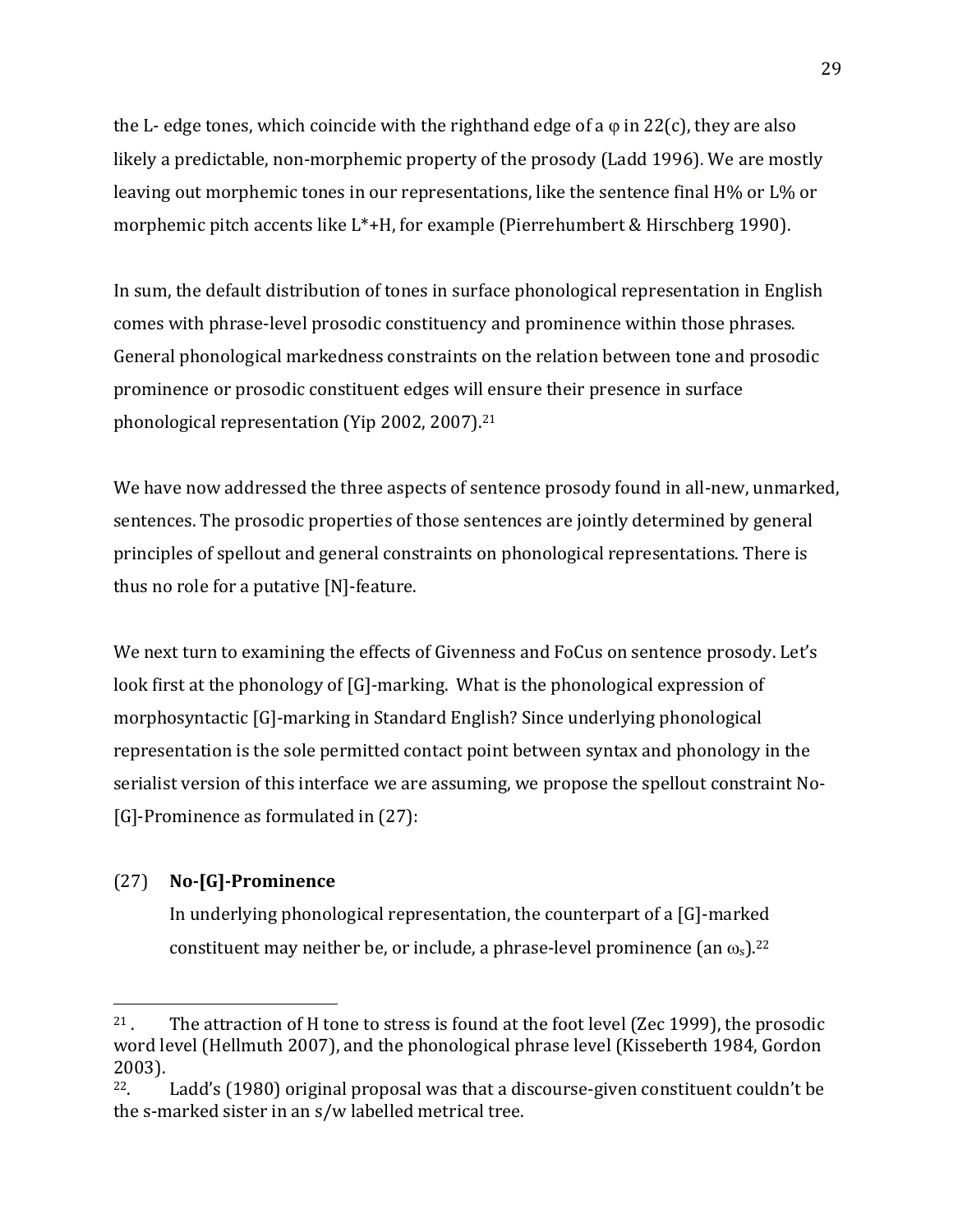the L- edge tones, which coincide with the righthand edge of a  $\varphi$  in 22(c), they are also likely a predictable, non-morphemic property of the prosody (Ladd 1996). We are mostly leaving out morphemic tones in our representations, like the sentence final  $H\%$  or  $L\%$  or morphemic pitch accents like  $L^*$ +H, for example (Pierrehumbert & Hirschberg 1990).

In sum, the default distribution of tones in surface phonological representation in English comes with phrase-level prosodic constituency and prominence within those phrases. General phonological markedness constraints on the relation between tone and prosodic prominence or prosodic constituent edges will ensure their presence in surface phonological representation (Yip 2002, 2007).<sup>21</sup>

We have now addressed the three aspects of sentence prosody found in all-new, unmarked, sentences. The prosodic properties of those sentences are jointly determined by general principles of spellout and general constraints on phonological representations. There is thus no role for a putative  $[N]$ -feature.

We next turn to examining the effects of Givenness and FoCus on sentence prosody. Let's look first at the phonology of  $[G]$ -marking. What is the phonological expression of morphosyntactic [G]-marking in Standard English? Since underlying phonological representation is the sole permitted contact point between syntax and phonology in the serialist version of this interface we are assuming, we propose the spellout constraint No- $[G]$ -Prominence as formulated in  $(27)$ :

# (27) **No-[G]-Prominence**

 

In underlying phonological representation, the counterpart of a  $[G]$ -marked constituent may neither be, or include, a phrase-level prominence (an  $\omega_s$ ).<sup>22</sup>

<sup>&</sup>lt;sup>21</sup>. The attraction of H tone to stress is found at the foot level (Zec 1999), the prosodic word level (Hellmuth 2007), and the phonological phrase level (Kisseberth 1984, Gordon 2003). 

<sup>&</sup>lt;sup>22</sup>. Ladd's (1980) original proposal was that a discourse-given constituent couldn't be the s-marked sister in an  $s/w$  labelled metrical tree.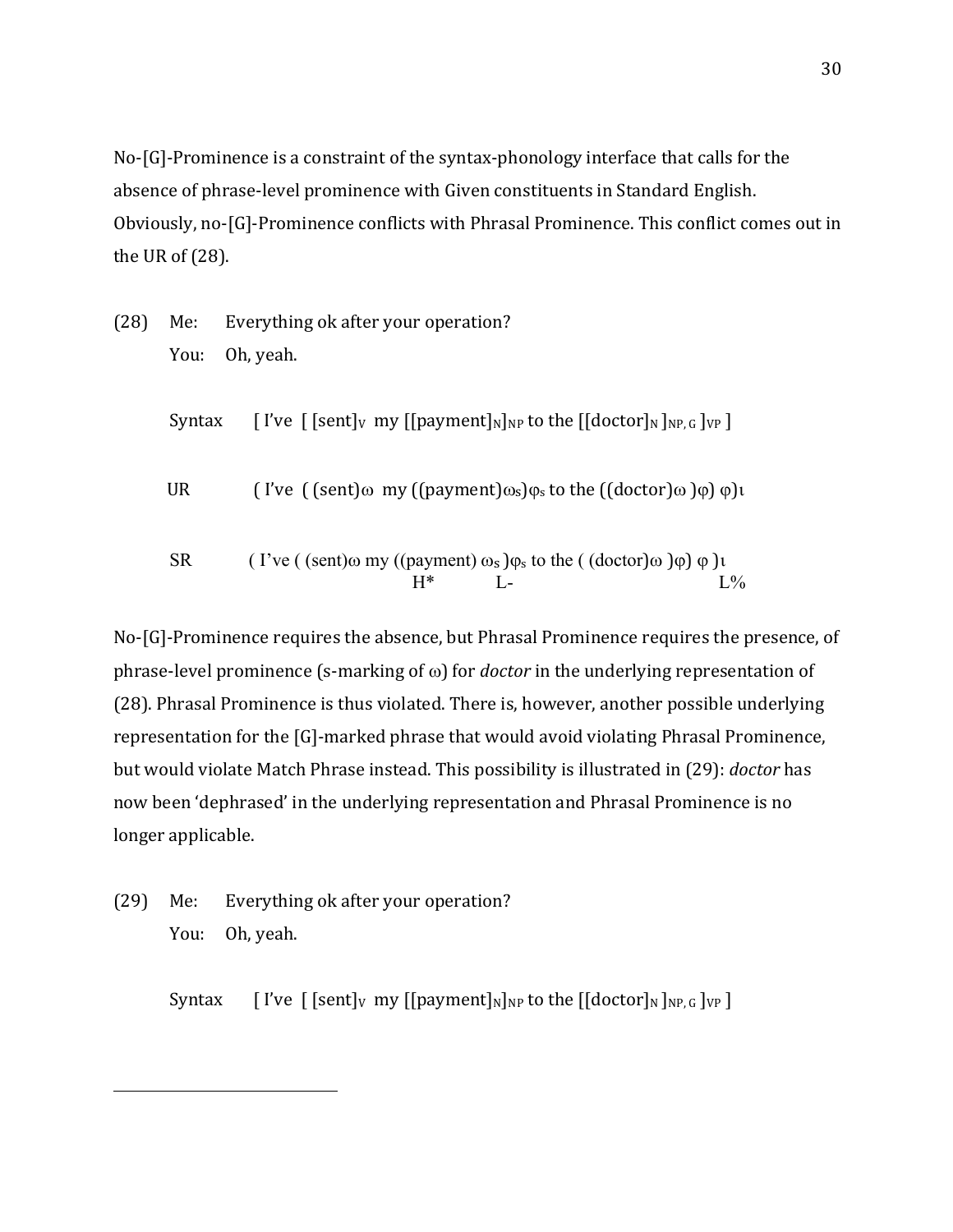$No-G$ ]-Prominence is a constraint of the syntax-phonology interface that calls for the absence of phrase-level prominence with Given constituents in Standard English. Obviously, no-[G]-Prominence conflicts with Phrasal Prominence. This conflict comes out in the UR of  $(28)$ .

(28) Me: Everything ok after your operation? You: Oh, yeah.

| Syntax | [I've $[$ [sent] <sub>V</sub> my $[[$ payment] <sub>N</sub> ] <sub>NP</sub> to the $[$ [doctor] <sub>N</sub> ] <sub>NP. G</sub> ] <sub>VP</sub> ] |
|--------|---------------------------------------------------------------------------------------------------------------------------------------------------|
| UR     | (I've ((sent) $\omega$ my ((payment) $\omega_s$ ) $\varphi_s$ to the ((doctor) $\omega$ ) $\varphi$ ) $\psi$ )                                    |
| SR.    | (I've ((sent) $\omega$ my ((payment) $\omega_s$ ) $\varphi_s$ to the ((doctor) $\omega$ ) $\varphi$ ) $\psi$ )                                    |

 $H^*$  L-

No-[G]-Prominence requires the absence, but Phrasal Prominence requires the presence, of phrase-level prominence  $(s$ -marking of  $\omega$ ) for *doctor* in the underlying representation of (28). Phrasal Prominence is thus violated. There is, however, another possible underlying representation for the [G]-marked phrase that would avoid violating Phrasal Prominence, but would violate Match Phrase instead. This possibility is illustrated in (29): *doctor* has now been 'dephrased' in the underlying representation and Phrasal Prominence is no longer applicable.

(29) Me: Everything ok after your operation? You: Oh, yeah.

 

Syntax  $\left[ \int \text{I've } \int \text{[sent]}_V \text{ my } \left[ \left[ \text{payment} \right]_N \right]_N$  to the  $\left[ \left[ \text{doctor} \right]_N \right]_N$   $\left[ \text{v}_0 \right]_N$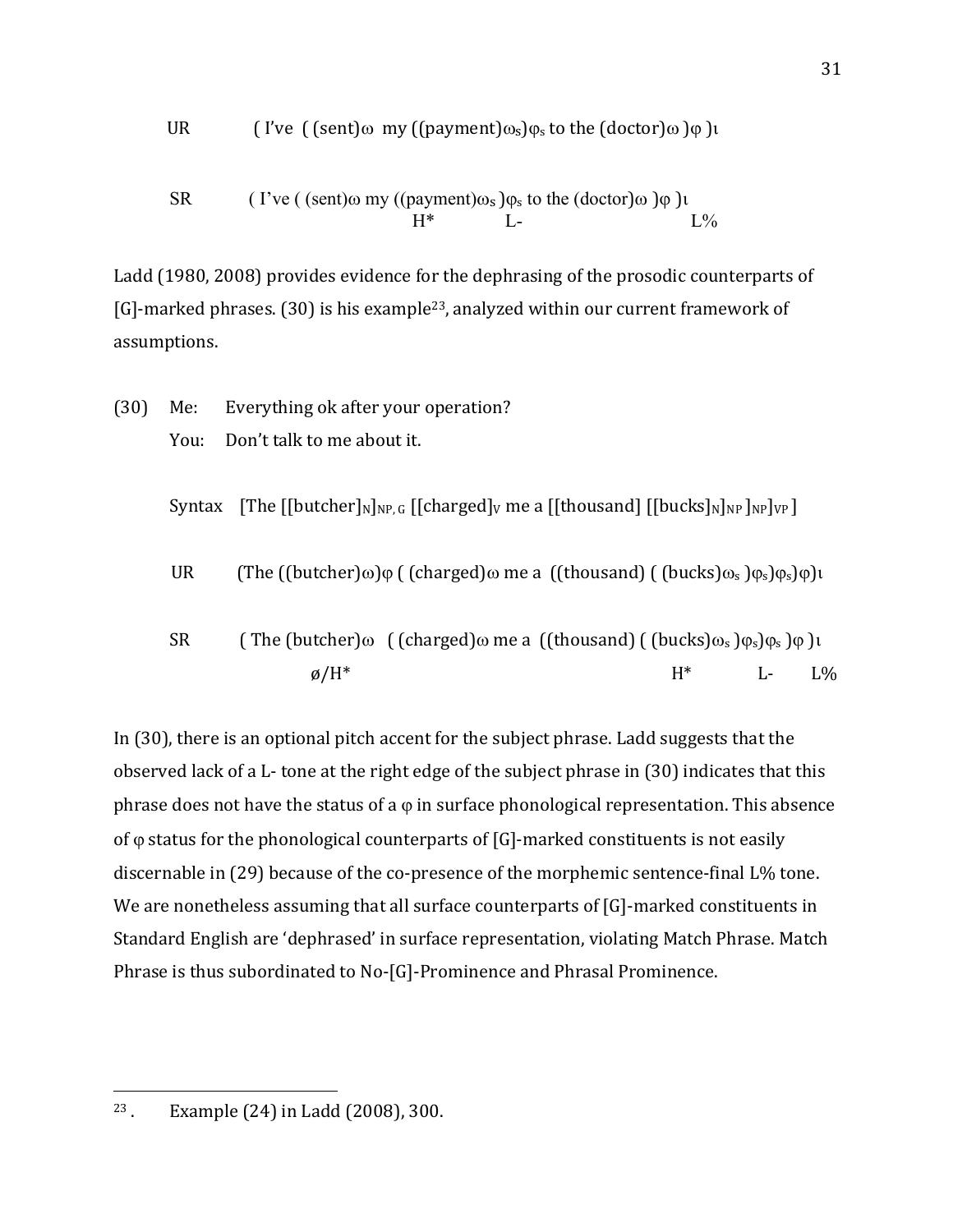UR 
$$
[I've (sent) \omega my ((payment) \omega_s) \varphi_s
$$
 to the (doctor)  $\omega$ )  $\varphi$  )

SR 
$$
(I've ((sent) \omega my ((payment) \omegas)\varphis to the (doctor) \omega )\varphi )t
$$

$$
H^* \qquad L \qquad L^2 \omega
$$

Ladd (1980, 2008) provides evidence for the dephrasing of the prosodic counterparts of [G]-marked phrases.  $(30)$  is his example<sup>23</sup>, analyzed within our current framework of assumptions. 

- (30) Me: Everything ok after your operation? You: Don't talk to me about it. Syntax  $\left[\text{The } \left[\text{[butcher]_{N}}\right]_{NP,G} \left[\text{[charged]}_{V} \text{me a } \left[\text{[thousand]} \left[\text{[bucks]}_{N}\right]_{NP}\right]_{NP}\right]\right]$ UR (The  $((\text{butter})\omega)\varphi$  (  $(\text{charged})\omega$  me a  $((\text{thousand})$  ( $(\text{bucks})\omega_s)\varphi_s\varphi_s\varphi_l$ )
- SR (The (butcher) $\omega$  ( (charged) $\omega$  me a ((thousand) ( (bucks) $\omega_s$  ) $\varphi_s$ ) $\varphi_s$  ) $\varphi$  )i  $\varnothing/H^*$  L- L%

In  $(30)$ , there is an optional pitch accent for the subject phrase. Ladd suggests that the observed lack of a L- tone at the right edge of the subject phrase in (30) indicates that this phrase does not have the status of a  $\varphi$  in surface phonological representation. This absence of  $\varphi$  status for the phonological counterparts of [G]-marked constituents is not easily discernable in (29) because of the co-presence of the morphemic sentence-final L% tone. We are nonetheless assuming that all surface counterparts of  $[G]$ -marked constituents in Standard English are 'dephrased' in surface representation, violating Match Phrase. Match Phrase is thus subordinated to No-[G]-Prominence and Phrasal Prominence.

 $23$ . Example  $(24)$  in Ladd  $(2008)$ , 300.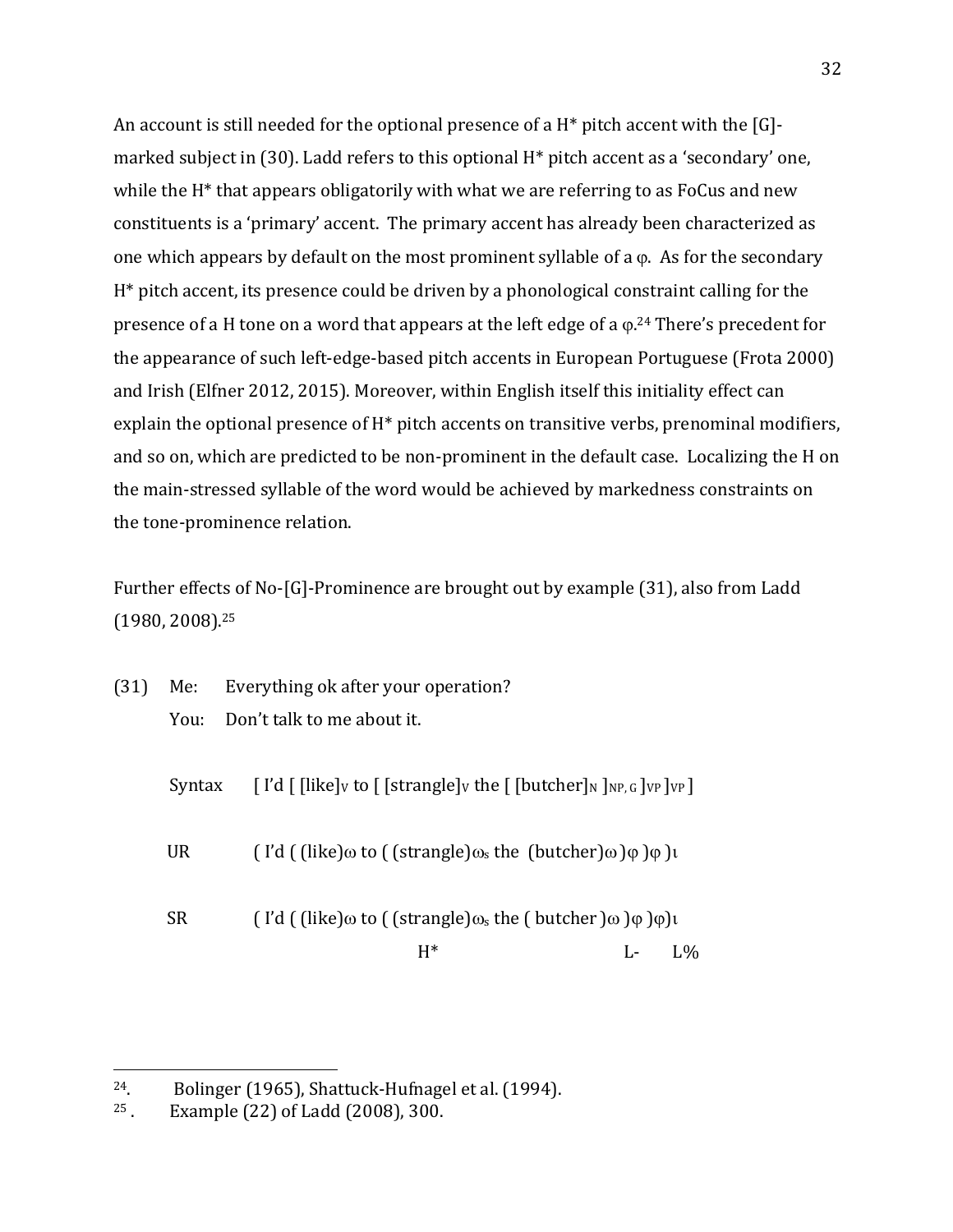An account is still needed for the optional presence of a  $H^*$  pitch accent with the [G]marked subject in (30). Ladd refers to this optional  $H^*$  pitch accent as a 'secondary' one, while the  $H^*$  that appears obligatorily with what we are referring to as FoCus and new constituents is a 'primary' accent. The primary accent has already been characterized as one which appears by default on the most prominent syllable of a  $\varphi$ . As for the secondary  $H^*$  pitch accent, its presence could be driven by a phonological constraint calling for the presence of a H tone on a word that appears at the left edge of a  $\varphi$ .<sup>24</sup> There's precedent for the appearance of such left-edge-based pitch accents in European Portuguese (Frota 2000) and Irish (Elfner 2012, 2015). Moreover, within English itself this initiality effect can explain the optional presence of  $H^*$  pitch accents on transitive verbs, prenominal modifiers, and so on, which are predicted to be non-prominent in the default case. Localizing the H on the main-stressed syllable of the word would be achieved by markedness constraints on the tone-prominence relation.

Further effects of No-[G]-Prominence are brought out by example (31), also from Ladd  $(1980, 2008).^{25}$ 

|  | (31) Me: Everything ok after your operation? |
|--|----------------------------------------------|
|  | You: Don't talk to me about it.              |

| Syntax    | $\lceil$ I'd $\lceil$ [like] <sub>V</sub> to $\lceil$ [strangle] <sub>V</sub> the $\lceil$ [butcher] <sub>N</sub> ] <sub>NP, G</sub> ] <sub>VP</sub> ] <sub>VP</sub> ] |              |      |  |
|-----------|------------------------------------------------------------------------------------------------------------------------------------------------------------------------|--------------|------|--|
| <b>UR</b> | $\int$ l'd $\int$ (like) $\omega$ to $\int$ (strangle) $\omega$ <sub>s</sub> the (butcher) $\omega$ ) $\varphi$ ) $\varphi$ )                                          |              |      |  |
| <b>SR</b> | $\int$ l'd $\int$ (like) $\omega$ to $\int$ (strangle) $\omega$ s the $\int$ butcher) $\omega$ ) $\varphi$ ) $\varphi$ ) $\iota$                                       |              |      |  |
|           | H*                                                                                                                                                                     | al provincia | 1.96 |  |

 $24.$  Bolinger (1965), Shattuck-Hufnagel et al. (1994).

 $25$ . Example  $(22)$  of Ladd  $(2008)$ , 300.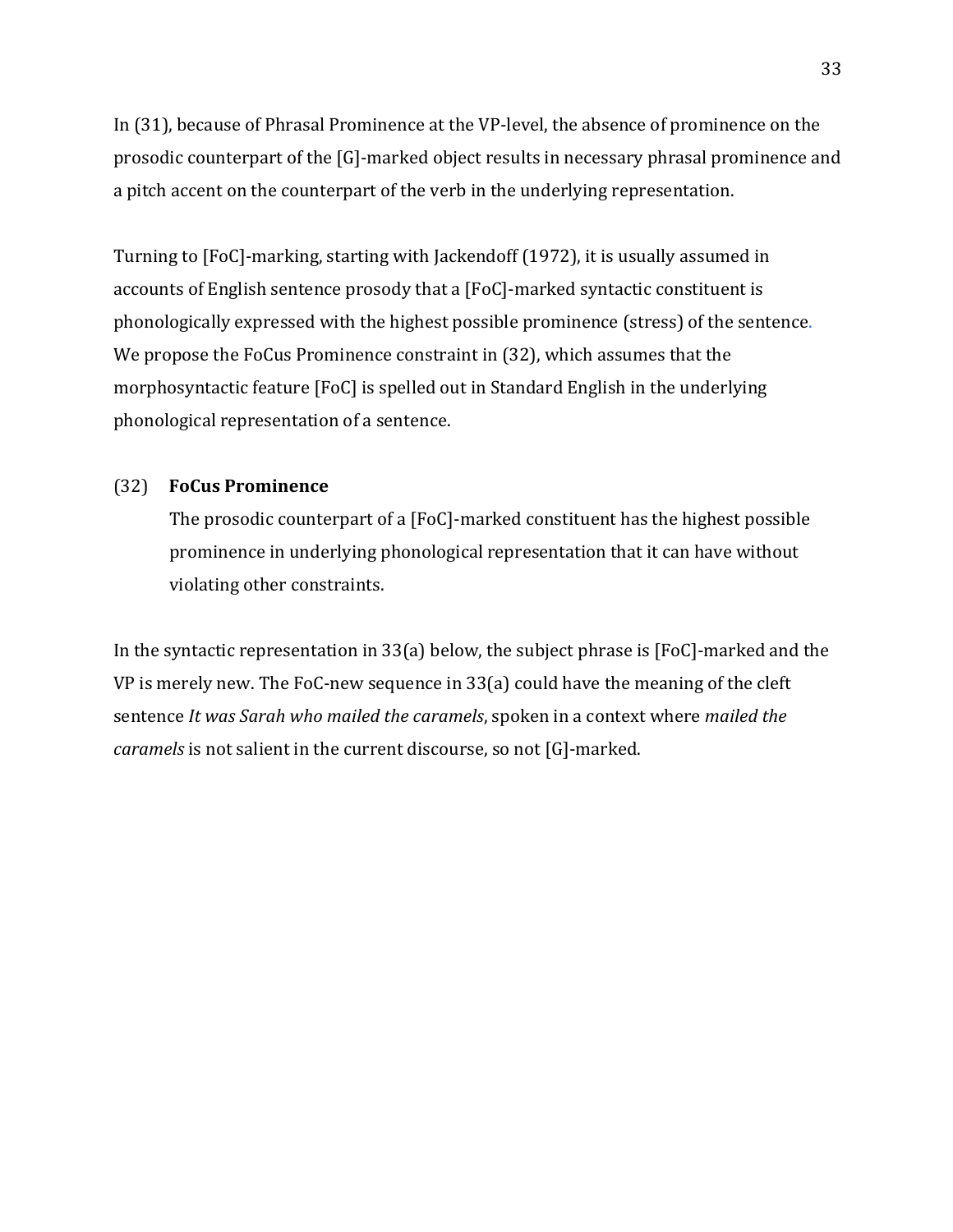In (31), because of Phrasal Prominence at the VP-level, the absence of prominence on the prosodic counterpart of the [G]-marked object results in necessary phrasal prominence and a pitch accent on the counterpart of the verb in the underlying representation.

Turning to [FoC]-marking, starting with Jackendoff (1972), it is usually assumed in accounts of English sentence prosody that a [FoC]-marked syntactic constituent is phonologically expressed with the highest possible prominence (stress) of the sentence. We propose the FoCus Prominence constraint in (32), which assumes that the morphosyntactic feature [FoC] is spelled out in Standard English in the underlying phonological representation of a sentence.

### (32) **FoCus Prominence**

The prosodic counterpart of a [FoC]-marked constituent has the highest possible prominence in underlying phonological representation that it can have without violating other constraints.

In the syntactic representation in 33(a) below, the subject phrase is  $[FoC]$ -marked and the VP is merely new. The FoC-new sequence in  $33(a)$  could have the meaning of the cleft sentence It was Sarah who mailed the caramels, spoken in a context where mailed the *caramels* is not salient in the current discourse, so not [G]-marked.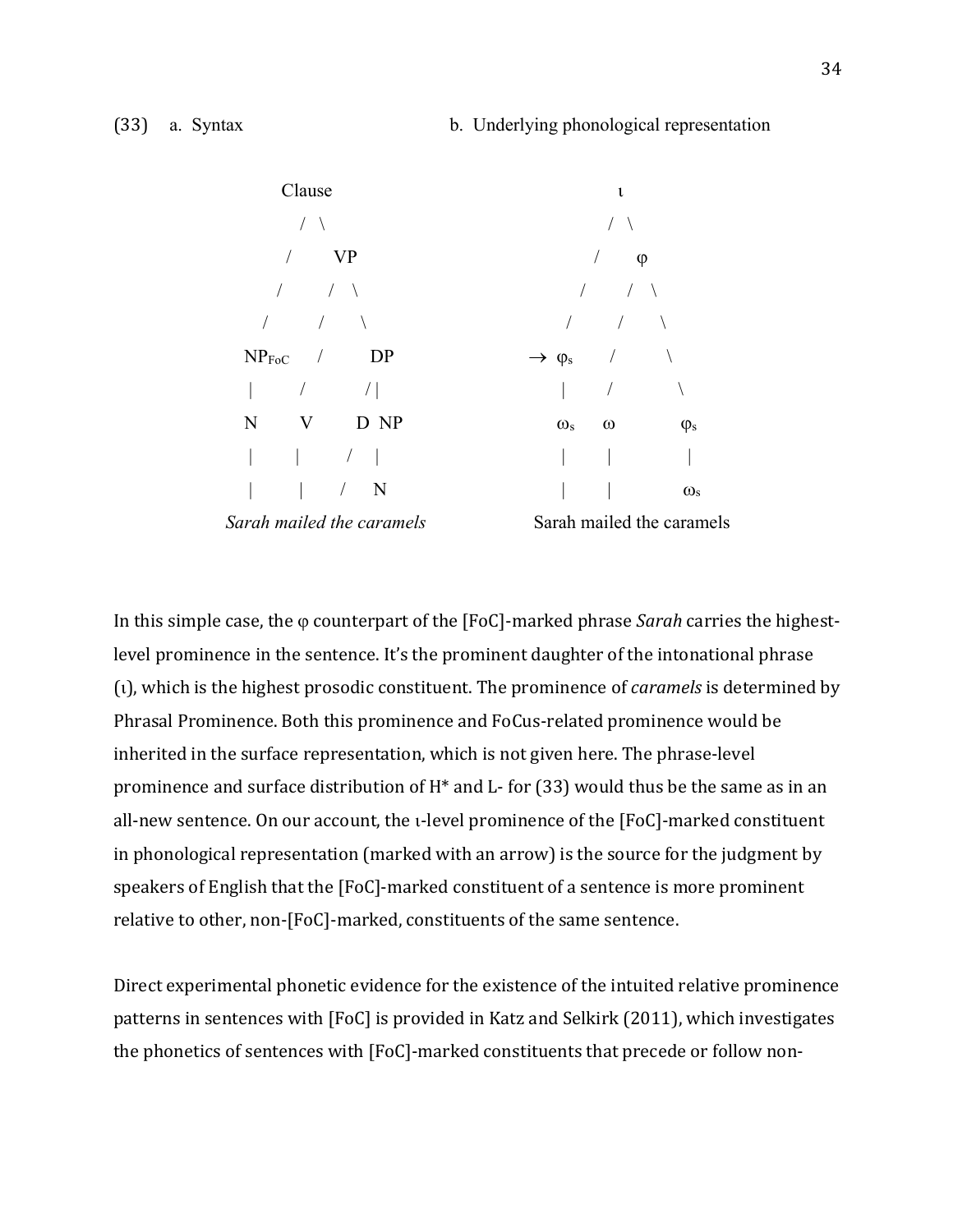

In this simple case, the  $\varphi$  counterpart of the [FoC]-marked phrase *Sarah* carries the highestlevel prominence in the sentence. It's the prominent daughter of the intonational phrase (1), which is the highest prosodic constituent. The prominence of *caramels* is determined by Phrasal Prominence. Both this prominence and FoCus-related prominence would be inherited in the surface representation, which is not given here. The phrase-level prominence and surface distribution of  $H^*$  and L- for (33) would thus be the same as in an all-new sentence. On our account, the *i*-level prominence of the [FoC]-marked constituent in phonological representation (marked with an arrow) is the source for the judgment by speakers of English that the  $[FeC]$ -marked constituent of a sentence is more prominent relative to other, non-[FoC]-marked, constituents of the same sentence.

Direct experimental phonetic evidence for the existence of the intuited relative prominence patterns in sentences with [FoC] is provided in Katz and Selkirk (2011), which investigates the phonetics of sentences with [FoC]-marked constituents that precede or follow non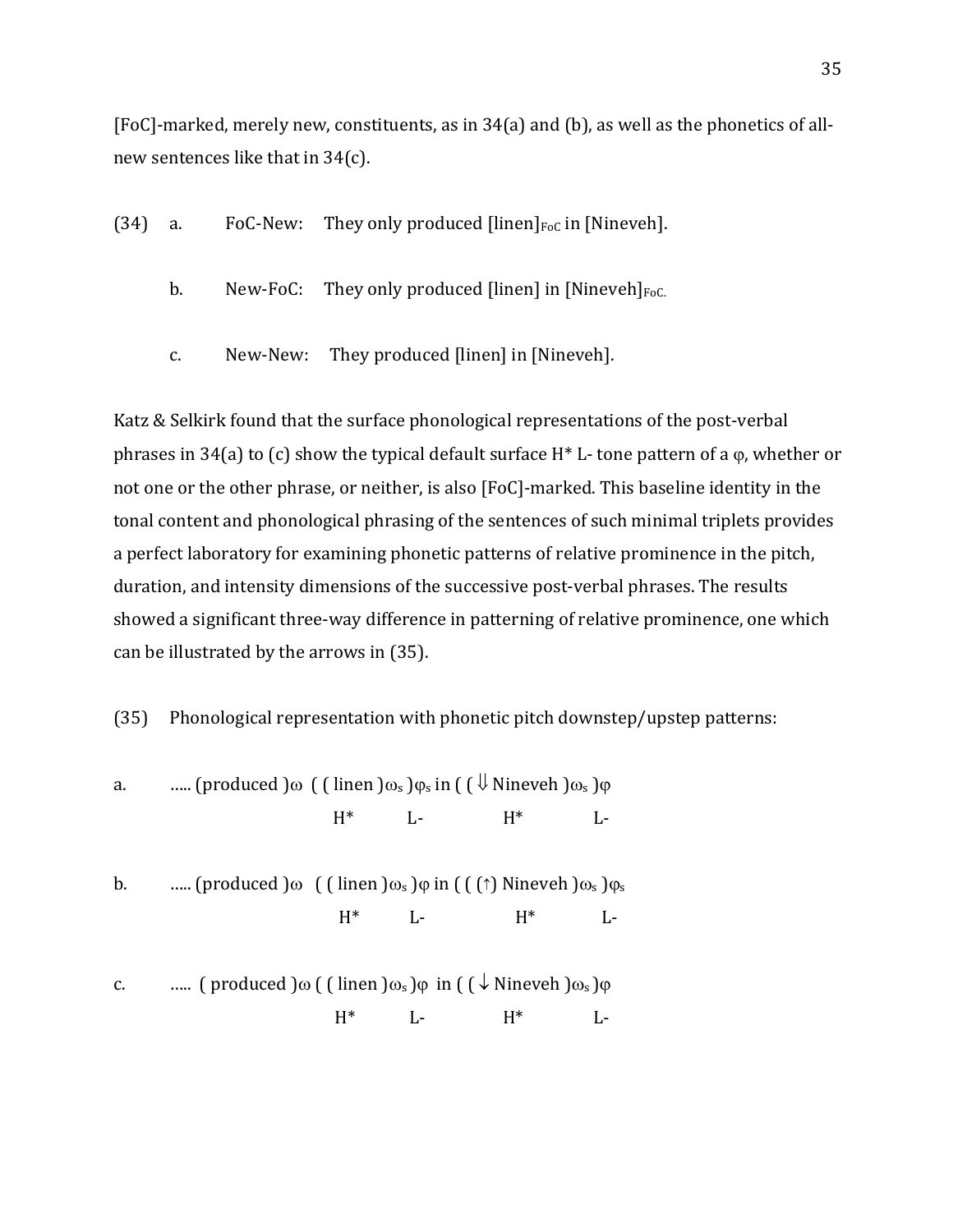[FoC]-marked, merely new, constituents, as in  $34(a)$  and (b), as well as the phonetics of allnew sentences like that in  $34(c)$ .

- (34) a. FoC-New: They only produced  $\left[\text{linen}\right]_{\text{FoC}}$  in  $\left[\text{Nineveh}\right]$ .
	- b. New-FoC: They only produced [linen] in [Nineveh] $_{Foc.}$
	- c. New-New: They produced [linen] in [Nineveh].

Katz & Selkirk found that the surface phonological representations of the post-verbal phrases in 34(a) to (c) show the typical default surface  $H^*$  L- tone pattern of a  $\varphi$ , whether or not one or the other phrase, or neither, is also [FoC]-marked. This baseline identity in the tonal content and phonological phrasing of the sentences of such minimal triplets provides a perfect laboratory for examining phonetic patterns of relative prominence in the pitch, duration, and intensity dimensions of the successive post-verbal phrases. The results showed a significant three-way difference in patterning of relative prominence, one which can be illustrated by the arrows in (35).

(35) Phonological representation with phonetic pitch downstep/upstep patterns:

a.  $\ldots$  (produced  $\omega$  ( ( linen  $\omega_s$  ) $\varphi_s$  in ( (  $\psi$  Nineveh  $\omega_s$  ) $\varphi$  $H^*$  L-  $H^*$  Lb. ..... (produced ) $\omega$  ( (linen ) $\omega_s$  ) $\varphi$  in ( (( $\uparrow$ ) Nineveh ) $\omega_s$  ) $\varphi_s$  $H^*$  L-  $H^*$  Lc. ..... ( produced  $\omega$  ( ( linen  $\omega_s$  ) $\varphi$  in (  $\sqrt{$  Nineveh  $\omega_s$  ) $\varphi$  $H^*$  L-  $H^*$  L-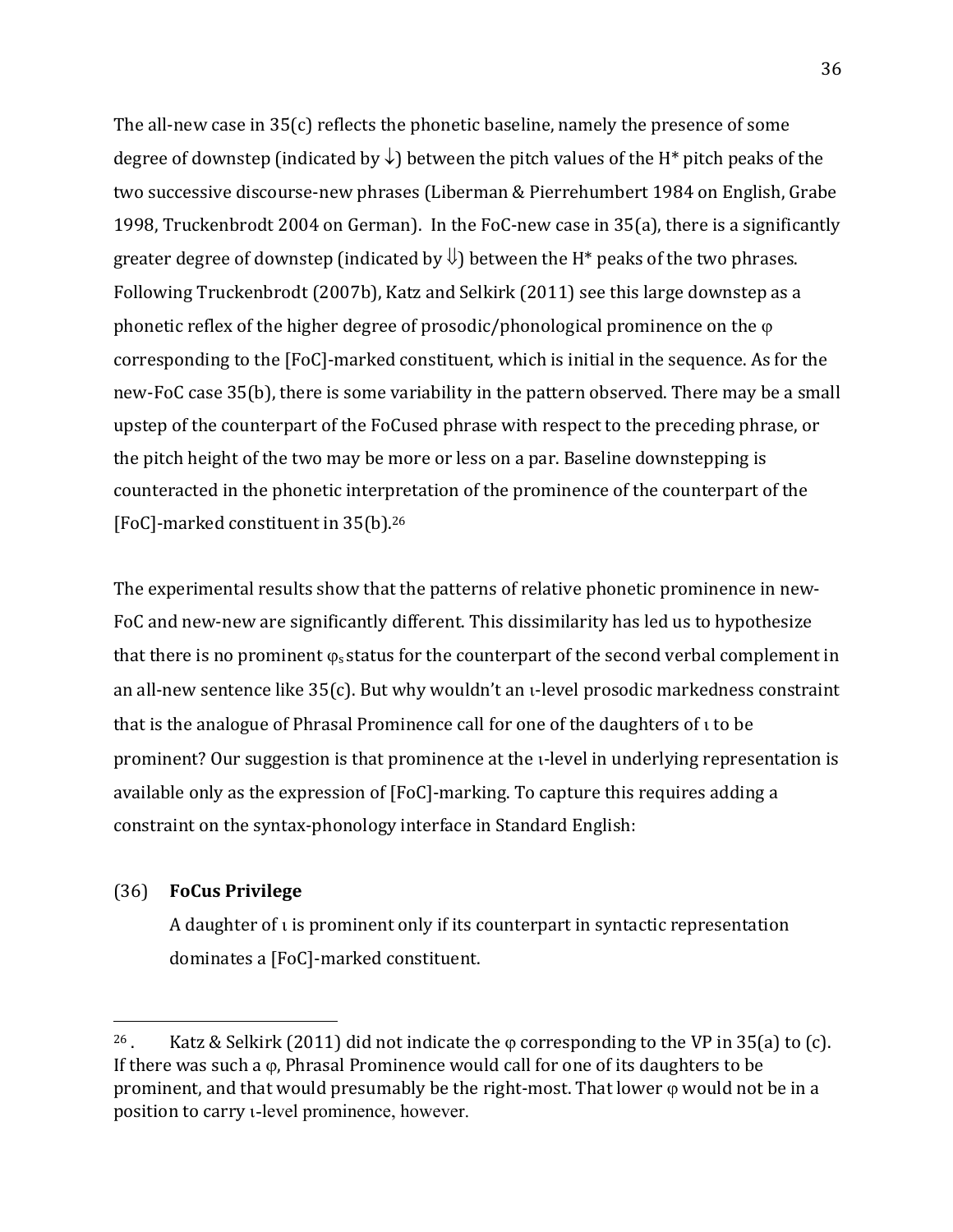The all-new case in  $35(c)$  reflects the phonetic baseline, namely the presence of some degree of downstep (indicated by  $\downarrow$ ) between the pitch values of the H<sup>\*</sup> pitch peaks of the two successive discourse-new phrases (Liberman & Pierrehumbert 1984 on English, Grabe 1998, Truckenbrodt 2004 on German). In the FoC-new case in  $35(a)$ , there is a significantly greater degree of downstep (indicated by  $\bigcup$ ) between the H<sup>\*</sup> peaks of the two phrases. Following Truckenbrodt (2007b), Katz and Selkirk (2011) see this large downstep as a phonetic reflex of the higher degree of prosodic/phonological prominence on the  $\varphi$ corresponding to the [FoC]-marked constituent, which is initial in the sequence. As for the new-FoC case 35(b), there is some variability in the pattern observed. There may be a small upstep of the counterpart of the FoCused phrase with respect to the preceding phrase, or the pitch height of the two may be more or less on a par. Baseline downstepping is counteracted in the phonetic interpretation of the prominence of the counterpart of the [FoC]-marked constituent in 35(b).<sup>26</sup>

The experimental results show that the patterns of relative phonetic prominence in new-FoC and new-new are significantly different. This dissimilarity has led us to hypothesize that there is no prominent  $\varphi_s$  status for the counterpart of the second verbal complement in an all-new sentence like  $35(c)$ . But why wouldn't an u-level prosodic markedness constraint that is the analogue of Phrasal Prominence call for one of the daughters of  $\iota$  to be prominent? Our suggestion is that prominence at the u-level in underlying representation is available only as the expression of [FoC]-marking. To capture this requires adding a constraint on the syntax-phonology interface in Standard English:

## (36) **FoCus Privilege**

 

A daughter of  $\iota$  is prominent only if its counterpart in syntactic representation dominates a [FoC]-marked constituent.

<sup>&</sup>lt;sup>26</sup>. Katz & Selkirk (2011) did not indicate the  $\varphi$  corresponding to the VP in 35(a) to (c). If there was such a  $\varphi$ , Phrasal Prominence would call for one of its daughters to be prominent, and that would presumably be the right-most. That lower  $\varphi$  would not be in a position to carry *u*-level prominence, however.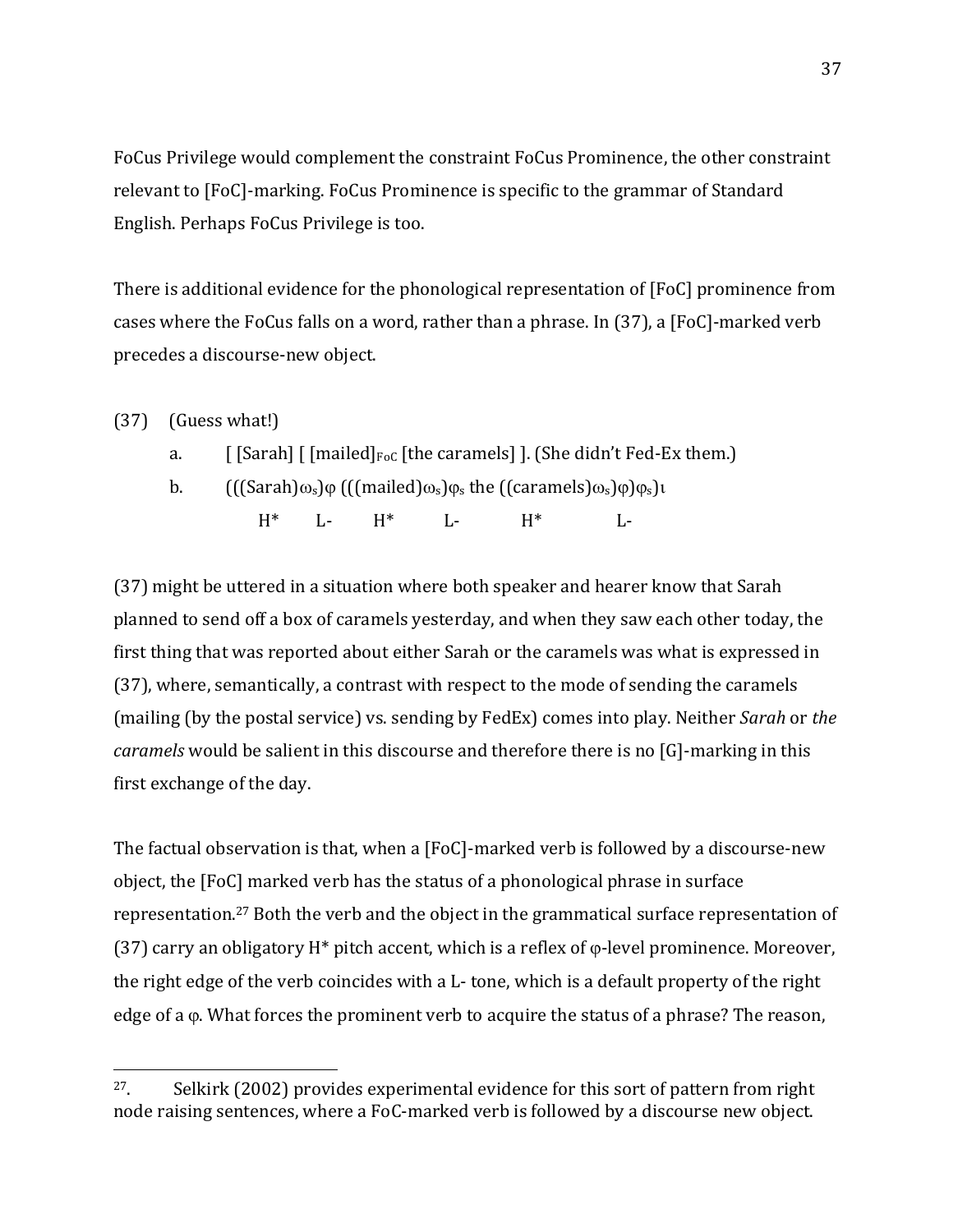FoCus Privilege would complement the constraint FoCus Prominence, the other constraint relevant to [FoC]-marking. FoCus Prominence is specific to the grammar of Standard English. Perhaps FoCus Privilege is too.

There is additional evidence for the phonological representation of [FoC] prominence from cases where the FoCus falls on a word, rather than a phrase. In  $(37)$ , a [FoC]-marked verb precedes a discourse-new object.

 $(37)$  (Guess what!)

 

- a.  $\left[\right]$  [Sarah]  $\left[\right]$  [mailed] $_{\text{Foc}}$  [the caramels] ]. (She didn't Fed-Ex them.)
- b.  $((\text{Sarah})\omega_s)\varphi\left(\left(\text{mailed}\right)\omega_s\right)\varphi_s\text{ the }\left(\text{(caramples)}\omega_s\right)\varphi\right)\varphi_s\text{)}\iota$  $H^*$  L-  $H^*$  L- H<sup>\*</sup> L-

(37) might be uttered in a situation where both speaker and hearer know that Sarah planned to send off a box of caramels yesterday, and when they saw each other today, the first thing that was reported about either Sarah or the caramels was what is expressed in (37), where, semantically, a contrast with respect to the mode of sending the caramels (mailing (by the postal service) vs. sending by FedEx) comes into play. Neither *Sarah* or *the caramels* would be salient in this discourse and therefore there is no [G]-marking in this first exchange of the day.

The factual observation is that, when a [FoC]-marked verb is followed by a discourse-new object, the [FoC] marked verb has the status of a phonological phrase in surface representation.<sup>27</sup> Both the verb and the object in the grammatical surface representation of (37) carry an obligatory  $H^*$  pitch accent, which is a reflex of  $\varphi$ -level prominence. Moreover, the right edge of the verb coincides with a L- tone, which is a default property of the right edge of a  $\varphi$ . What forces the prominent verb to acquire the status of a phrase? The reason,

<sup>&</sup>lt;sup>27</sup>. Selkirk (2002) provides experimental evidence for this sort of pattern from right node raising sentences, where a FoC-marked verb is followed by a discourse new object.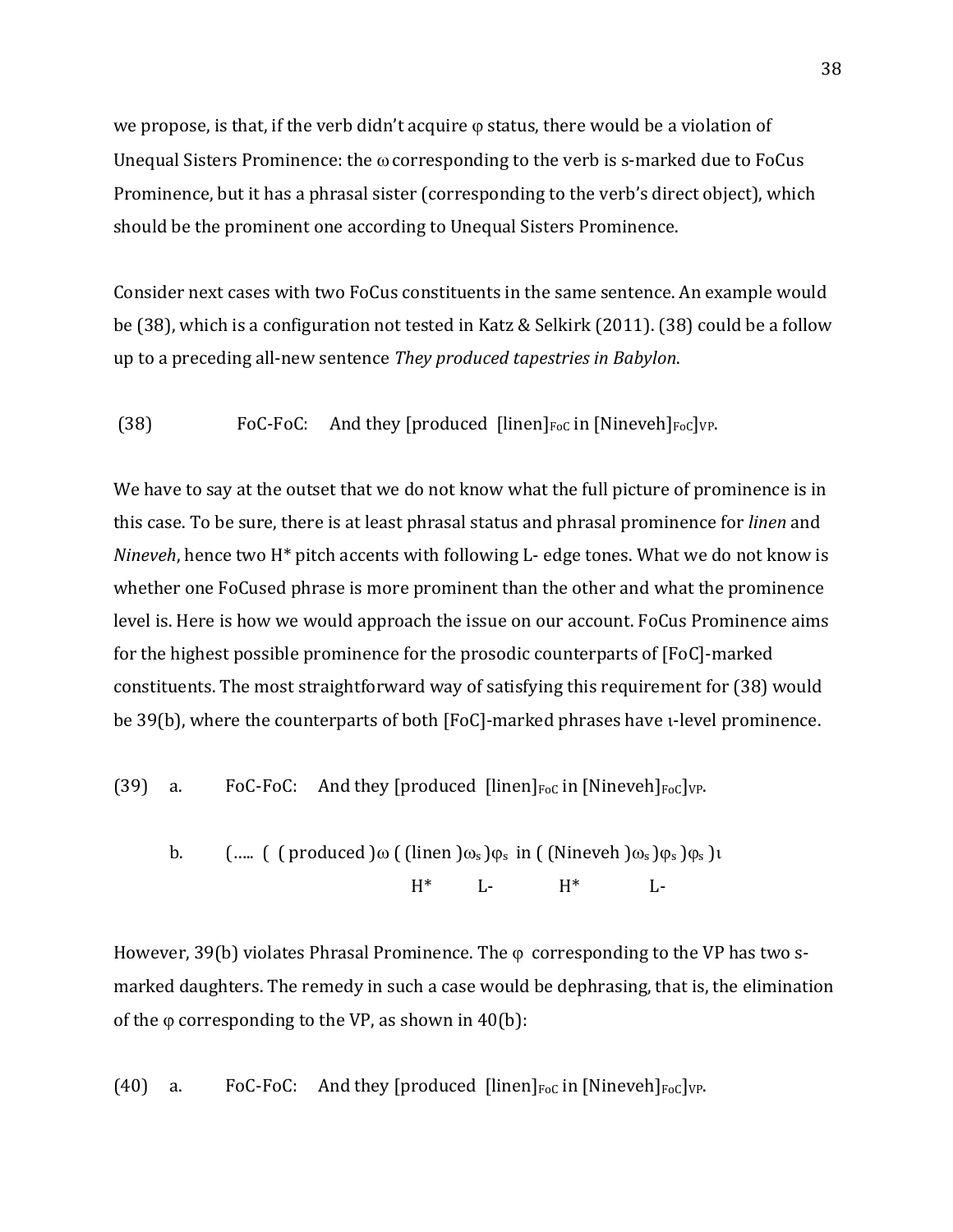we propose, is that, if the verb didn't acquire  $\varphi$  status, there would be a violation of Unequal Sisters Prominence: the  $\omega$  corresponding to the verb is s-marked due to FoCus Prominence, but it has a phrasal sister (corresponding to the verb's direct object), which should be the prominent one according to Unequal Sisters Prominence.

Consider next cases with two FoCus constituents in the same sentence. An example would be (38), which is a configuration not tested in Katz & Selkirk (2011). (38) could be a follow up to a preceding all-new sentence *They produced tapestries in Babylon*.

(38) FoC-FoC: And they [produced  $\left[\frac{\text{linear}}{\text{Foc}}\right]_{\text{Foc}}$   $\left[\frac{\text{linear}}{\text{Foc}}\right]_{\text{Foc}}$ 

We have to say at the outset that we do not know what the full picture of prominence is in this case. To be sure, there is at least phrasal status and phrasal prominence for *linen* and *Nineveh*, hence two H<sup>\*</sup> pitch accents with following L- edge tones. What we do not know is whether one FoCused phrase is more prominent than the other and what the prominence level is. Here is how we would approach the issue on our account. FoCus Prominence aims for the highest possible prominence for the prosodic counterparts of  $[FeC]$ -marked constituents. The most straightforward way of satisfying this requirement for (38) would be 39(b), where the counterparts of both [FoC]-marked phrases have u-level prominence.

(39) a. FoC-FoC: And they [produced  $\lceil \text{linen} \rceil_{\text{Foc}}$  in  $\lceil \text{Nineveh} \rceil_{\text{Foc}} \rceil_{\text{VP}}$ .

b. 
$$
(\dots, (\text{produced})\omega(\text{linen})\omega_s)\varphi_s \text{ in } (\text{Nineveh})\omega_s)\varphi_s \text{ in } \omega_s
$$

However, 39(b) violates Phrasal Prominence. The  $\varphi$  corresponding to the VP has two smarked daughters. The remedy in such a case would be dephrasing, that is, the elimination of the  $\varphi$  corresponding to the VP, as shown in 40(b):

(40) a. FoC-FoC: And they [produced  $\lceil \text{linen} \rceil_{\text{Foc}}$  in  $\lceil \text{Nineveh} \rceil_{\text{Foc}} \rceil_{\text{VP}}$ .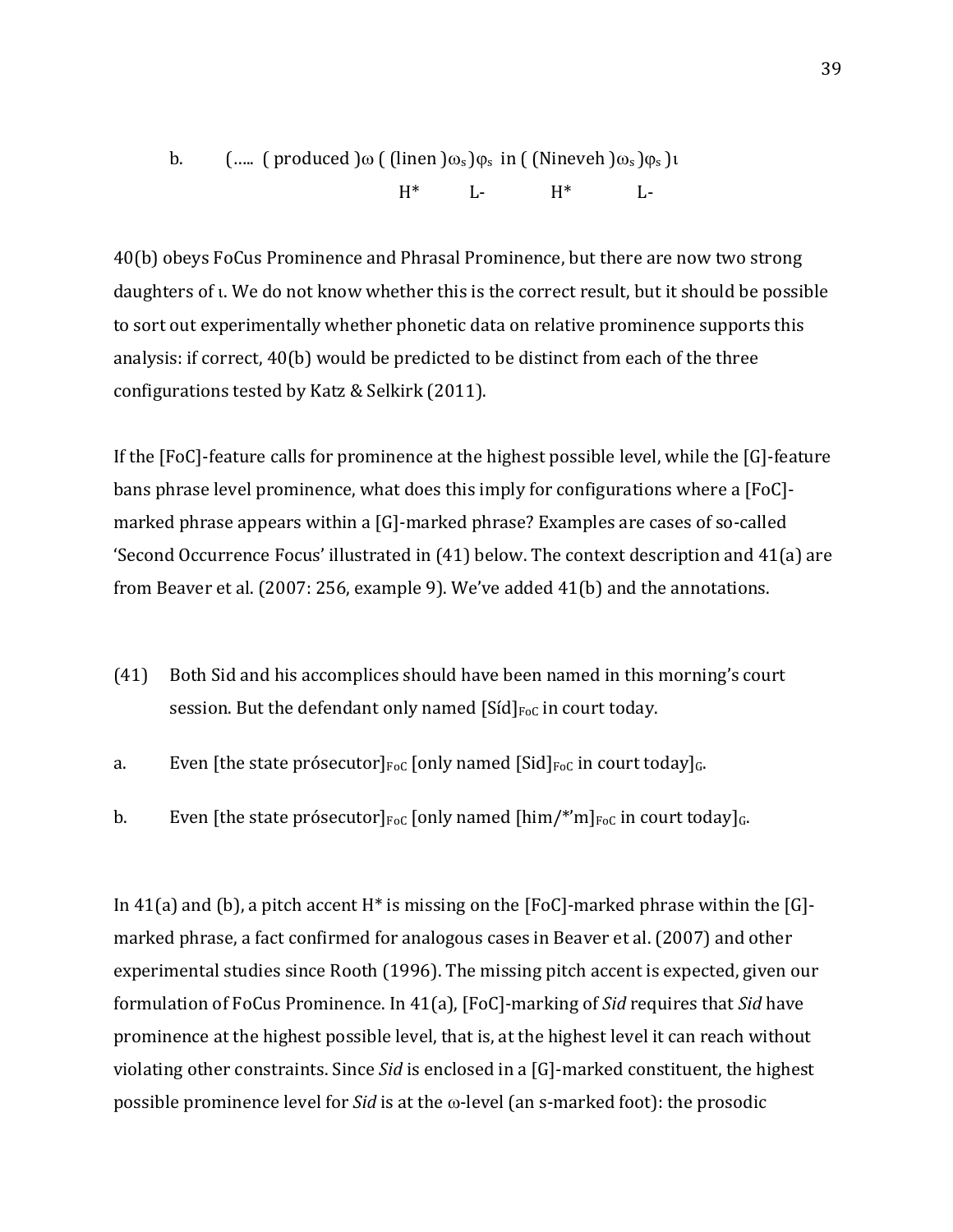b. 
$$
(\dots, (\text{produced})\omega((\text{linen})\omega_s)\varphi_s \text{ in ((\text{Nineveh})\omega_s)\varphi_s})t
$$
  
\n $H^*$  L-  $H^*$  L-

40(b) obeys FoCus Prominence and Phrasal Prominence, but there are now two strong daughters of  $\iota$ . We do not know whether this is the correct result, but it should be possible to sort out experimentally whether phonetic data on relative prominence supports this analysis: if correct,  $40(b)$  would be predicted to be distinct from each of the three configurations tested by Katz & Selkirk (2011).

If the  $[FoC]$ -feature calls for prominence at the highest possible level, while the  $[G]$ -feature bans phrase level prominence, what does this imply for configurations where a [FoC]marked phrase appears within a  $[G]$ -marked phrase? Examples are cases of so-called 'Second Occurrence Focus' illustrated in  $(41)$  below. The context description and  $41(a)$  are from Beaver et al.  $(2007: 256,$  example 9). We've added  $41(b)$  and the annotations.

- (41) Both Sid and his accomplices should have been named in this morning's court session. But the defendant only named  $[Sid]_{\text{FoC}}$  in court today.
- a. Even [the state prósecutor] $_{\text{FoC}}$  [only named [Sid] $_{\text{FoC}}$  in court today] $_{\text{G}}$ .
- b. Even [the state prósecutor] $_{\text{FoC}}$  [only named [him/\*'m] $_{\text{FoC}}$  in court today] $_{\text{G}}$ .

In 41(a) and (b), a pitch accent  $H^*$  is missing on the [FoC]-marked phrase within the [G]marked phrase, a fact confirmed for analogous cases in Beaver et al. (2007) and other experimental studies since Rooth (1996). The missing pitch accent is expected, given our formulation of FoCus Prominence. In 41(a), [FoC]-marking of *Sid* requires that *Sid* have prominence at the highest possible level, that is, at the highest level it can reach without violating other constraints. Since *Sid* is enclosed in a [G]-marked constituent, the highest possible prominence level for *Sid* is at the  $\omega$ -level (an s-marked foot): the prosodic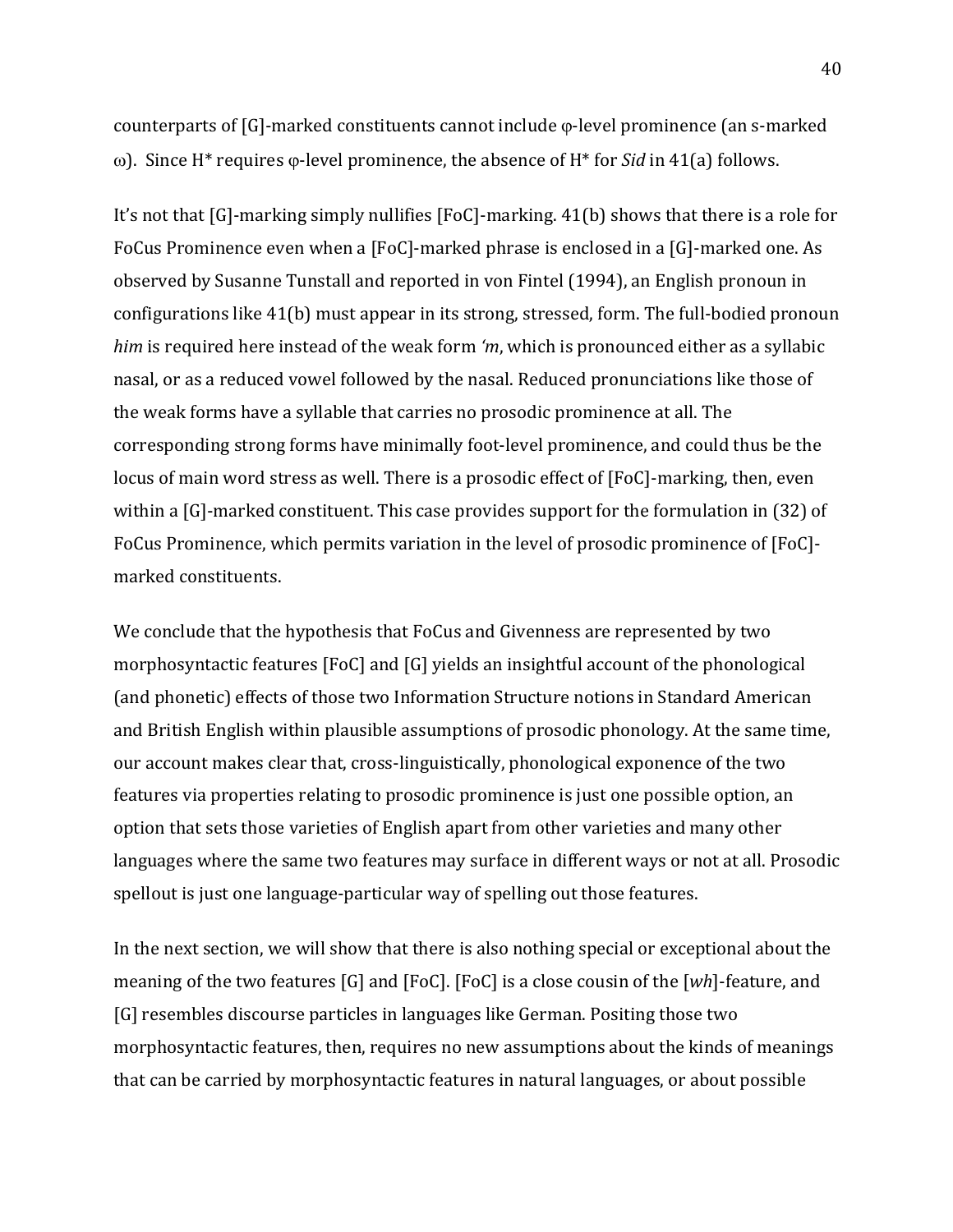counterparts of  $[G]$ -marked constituents cannot include  $\varphi$ -level prominence (an s-marked ω). Since H<sup>\*</sup> requires φ-level prominence, the absence of H<sup>\*</sup> for *Sid* in 41(a) follows.

It's not that  $[G]$ -marking simply nullifies  $[FoC]$ -marking.  $41(b)$  shows that there is a role for FoCus Prominence even when a [FoC]-marked phrase is enclosed in a [G]-marked one. As observed by Susanne Tunstall and reported in von Fintel (1994), an English pronoun in configurations like 41(b) must appear in its strong, stressed, form. The full-bodied pronoun *him* is required here instead of the weak form 'm, which is pronounced either as a syllabic nasal, or as a reduced vowel followed by the nasal. Reduced pronunciations like those of the weak forms have a syllable that carries no prosodic prominence at all. The corresponding strong forms have minimally foot-level prominence, and could thus be the locus of main word stress as well. There is a prosodic effect of [FoC]-marking, then, even within a  $[G]$ -marked constituent. This case provides support for the formulation in (32) of FoCus Prominence, which permits variation in the level of prosodic prominence of [FoC]marked constituents. 

We conclude that the hypothesis that FoCus and Givenness are represented by two morphosyntactic features  $[FOC]$  and  $[G]$  yields an insightful account of the phonological (and phonetic) effects of those two Information Structure notions in Standard American and British English within plausible assumptions of prosodic phonology. At the same time, our account makes clear that, cross-linguistically, phonological exponence of the two features via properties relating to prosodic prominence is just one possible option, an option that sets those varieties of English apart from other varieties and many other languages where the same two features may surface in different ways or not at all. Prosodic spellout is just one language-particular way of spelling out those features.

In the next section, we will show that there is also nothing special or exceptional about the meaning of the two features [G] and [FoC]. [FoC] is a close cousin of the [wh]-feature, and [G] resembles discourse particles in languages like German. Positing those two morphosyntactic features, then, requires no new assumptions about the kinds of meanings that can be carried by morphosyntactic features in natural languages, or about possible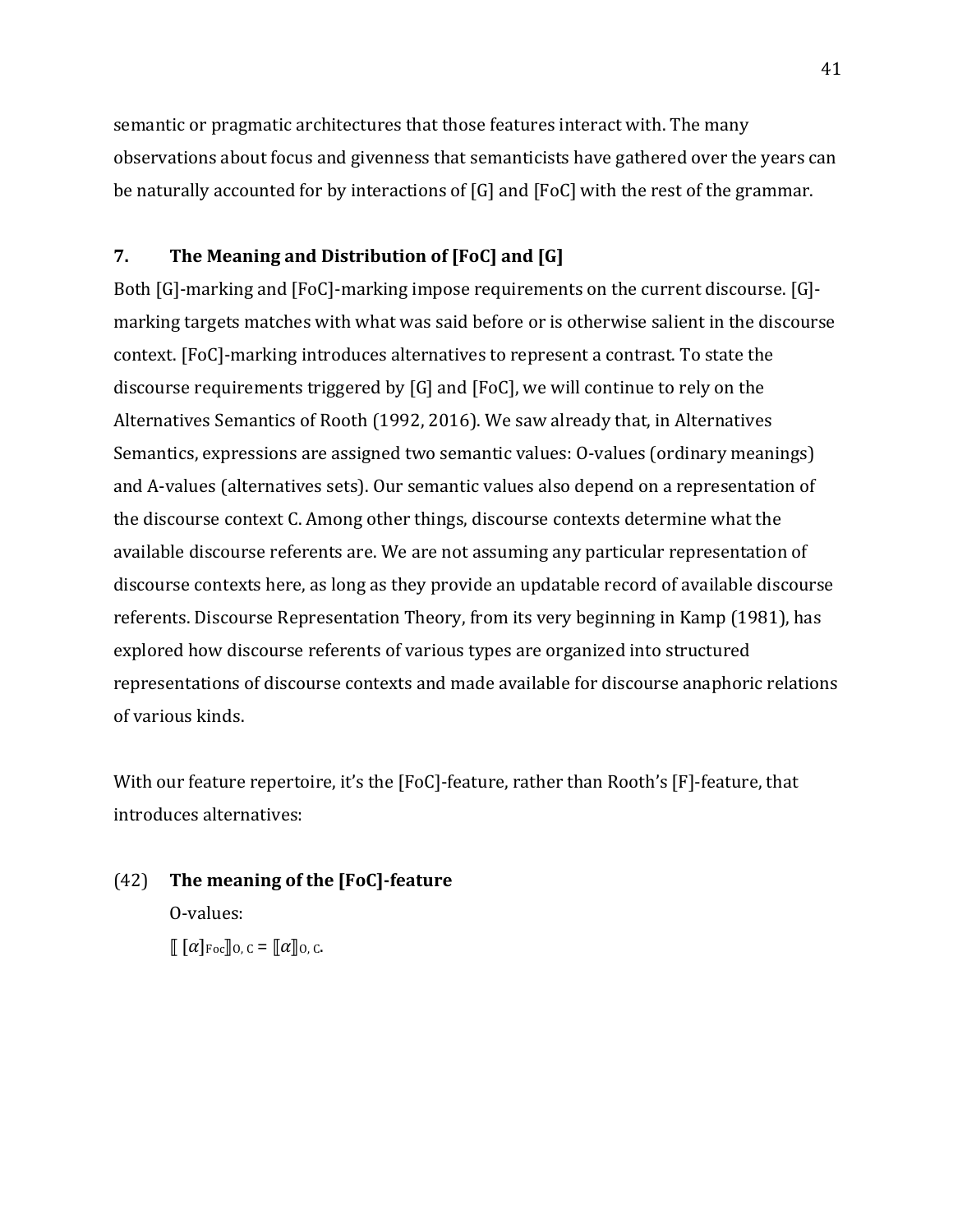semantic or pragmatic architectures that those features interact with. The many observations about focus and givenness that semanticists have gathered over the years can be naturally accounted for by interactions of  $[G]$  and  $[FoC]$  with the rest of the grammar.

## **7.** The Meaning and Distribution of [FoC] and [G]

Both  $[G]$ -marking and  $[FoC]$ -marking impose requirements on the current discourse.  $[G]$ marking targets matches with what was said before or is otherwise salient in the discourse context. [FoC]-marking introduces alternatives to represent a contrast. To state the discourse requirements triggered by  $[G]$  and  $[FeC]$ , we will continue to rely on the Alternatives Semantics of Rooth (1992, 2016). We saw already that, in Alternatives Semantics, expressions are assigned two semantic values: O-values (ordinary meanings) and A-values (alternatives sets). Our semantic values also depend on a representation of the discourse context C. Among other things, discourse contexts determine what the available discourse referents are. We are not assuming any particular representation of discourse contexts here, as long as they provide an updatable record of available discourse referents. Discourse Representation Theory, from its very beginning in Kamp (1981), has explored how discourse referents of various types are organized into structured representations of discourse contexts and made available for discourse anaphoric relations of various kinds.

With our feature repertoire, it's the [FoC]-feature, rather than Rooth's [F]-feature, that introduces alternatives:

(42) **The meaning of the [FoC]-feature** O-values:  $\llbracket [\alpha]_{\text{Foc}} \rrbracket_{0,C} = [\llbracket \alpha \rrbracket_{0,C}.$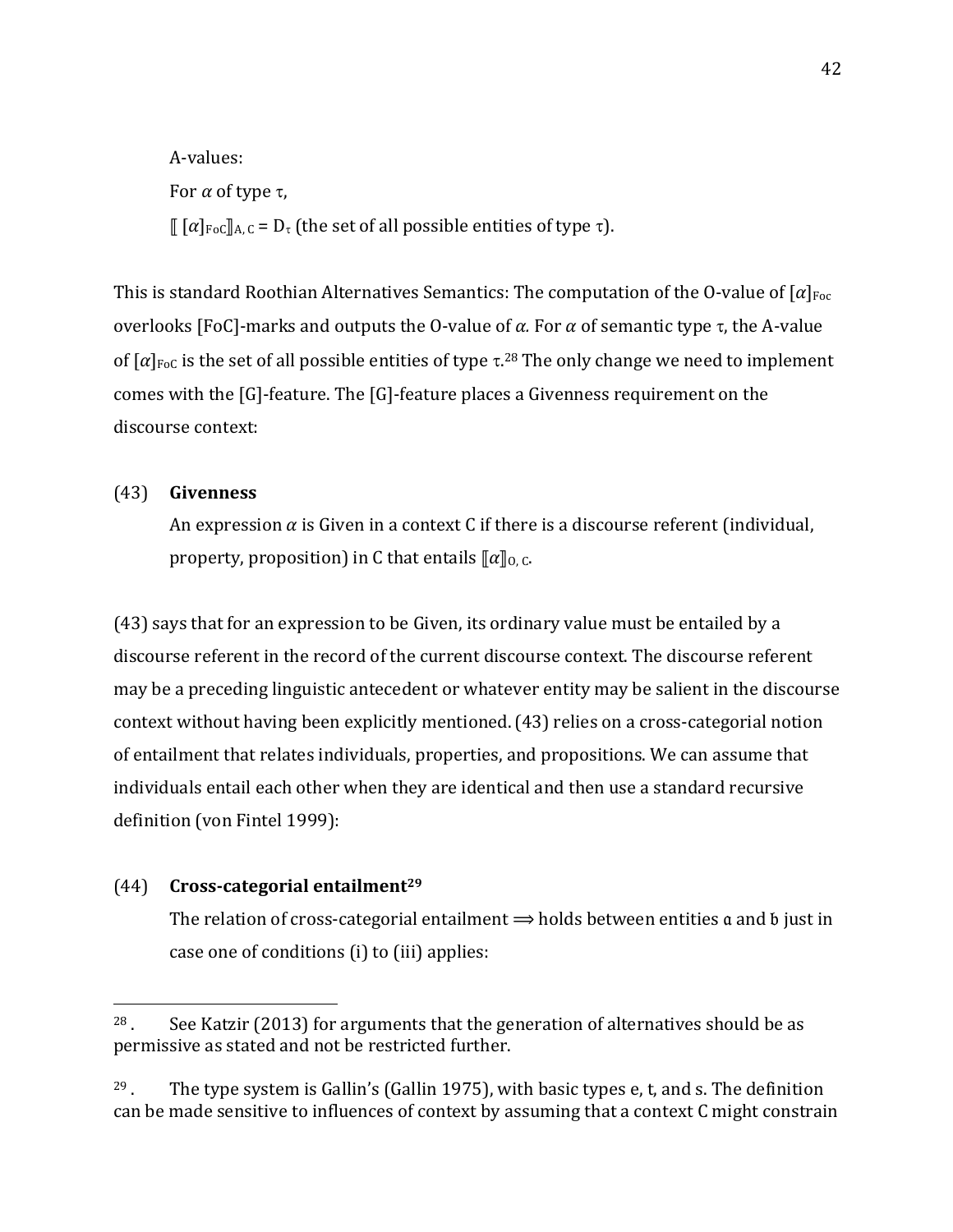A-values: For  $\alpha$  of type  $\tau$ ,  $\left[\right] [\alpha]_{\text{FoC}} \right]_{A,C} = D_{\tau}$  (the set of all possible entities of type  $\tau$ ).

This is standard Roothian Alternatives Semantics: The computation of the O-value of  $\lceil \alpha \rceil_{\text{Foc}}$ overlooks [FoC]-marks and outputs the O-value of  $\alpha$ . For  $\alpha$  of semantic type  $\tau$ , the A-value of  $[\alpha]_{\text{FoC}}$  is the set of all possible entities of type  $\tau$ .<sup>28</sup> The only change we need to implement comes with the  $[G]$ -feature. The  $[G]$ -feature places a Givenness requirement on the discourse context:

## (43) **Givenness**

An expression  $\alpha$  is Given in a context C if there is a discourse referent (individual, property, proposition) in C that entails  $\llbracket \alpha \rrbracket_{0,C}$ .

(43) says that for an expression to be Given, its ordinary value must be entailed by a discourse referent in the record of the current discourse context. The discourse referent may be a preceding linguistic antecedent or whatever entity may be salient in the discourse context without having been explicitly mentioned. (43) relies on a cross-categorial notion of entailment that relates individuals, properties, and propositions. We can assume that individuals entail each other when they are identical and then use a standard recursive definition (von Fintel 1999):

### (44) **Cross-categorial entailment29**

 

The relation of cross-categorial entailment  $\Rightarrow$  holds between entities  $\alpha$  and  $\beta$  just in case one of conditions (i) to (iii) applies:

 $28$ . See Katzir (2013) for arguments that the generation of alternatives should be as permissive as stated and not be restricted further.

<sup>&</sup>lt;sup>29</sup>. The type system is Gallin's (Gallin 1975), with basic types  $e$ ,  $t$ , and  $s$ . The definition can be made sensitive to influences of context by assuming that a context C might constrain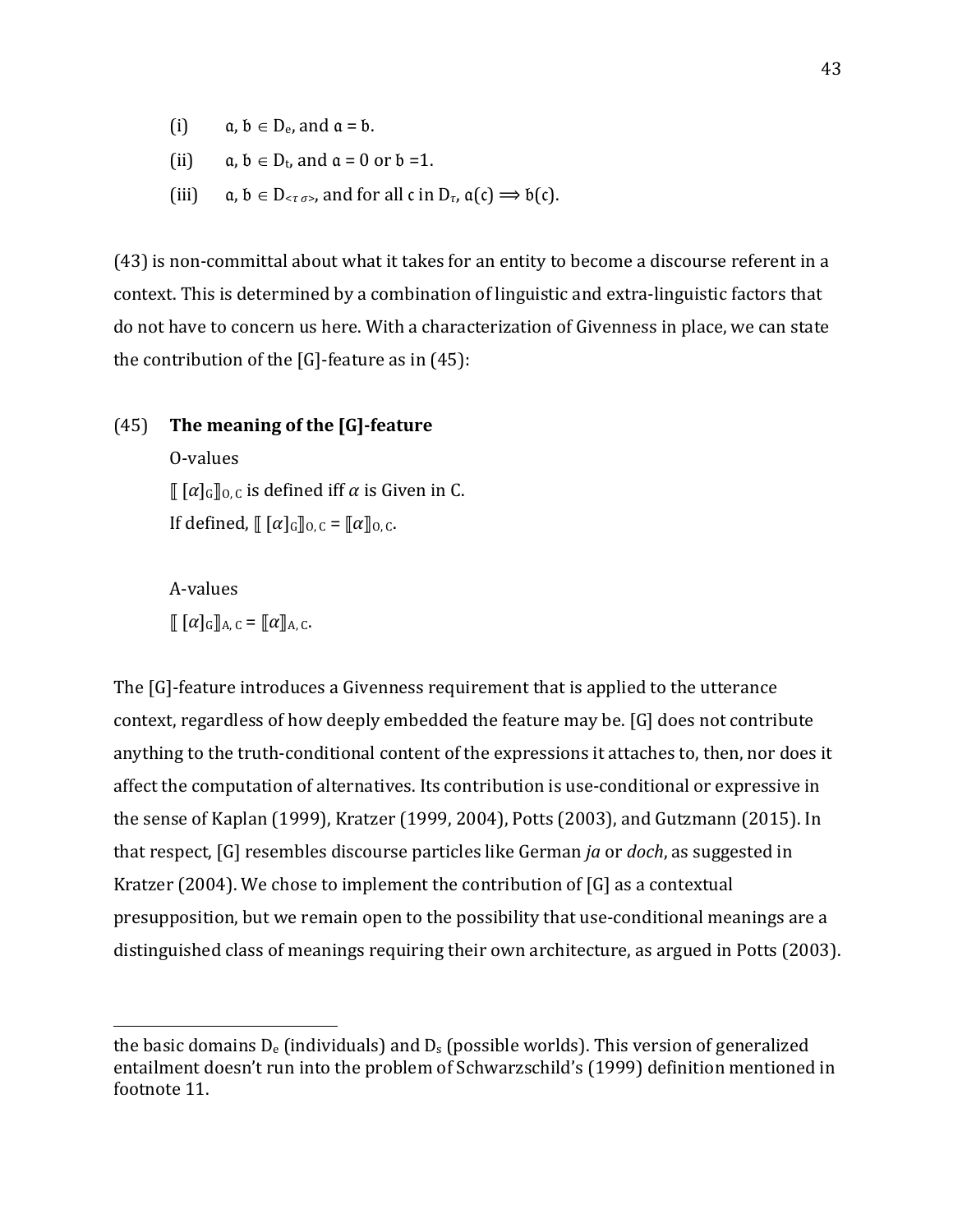- (i)  $a, b \in D_e$ , and  $a = b$ .
- (ii)  $a, b \in D_t$ , and  $a = 0$  or  $b = 1$ .
- (iii)  $a, b \in D_{\leq \tau, \sigma > 0}$ , and for all c in  $D_{\tau}$ ,  $\alpha(c) \Rightarrow b(c)$ .

(43) is non-committal about what it takes for an entity to become a discourse referent in a context. This is determined by a combination of linguistic and extra-linguistic factors that do not have to concern us here. With a characterization of Givenness in place, we can state the contribution of the  $[G]$ -feature as in  $(45)$ :

### (45) The meaning of the [G]-feature

O-values  $\lbrack \lbrack \lbrack \lbrack \alpha \rbrack \rbrack$ <sub>G</sub> $\lbrack$ <sub>G</sub>, c is defined iff  $\alpha$  is Given in C. If defined,  $\left[ [\alpha]_G \right]_{0,C} = [\alpha]_{0,C}$ .

A-values  $\llbracket [\alpha]_{G} \rrbracket_{A,C} = \llbracket \alpha \rrbracket_{A,C}.$ 

 

The [G]-feature introduces a Givenness requirement that is applied to the utterance context, regardless of how deeply embedded the feature may be. [G] does not contribute anything to the truth-conditional content of the expressions it attaches to, then, nor does it affect the computation of alternatives. Its contribution is use-conditional or expressive in the sense of Kaplan (1999), Kratzer (1999, 2004), Potts (2003), and Gutzmann (2015). In that respect, [G] resembles discourse particles like German *ja* or *doch*, as suggested in Kratzer (2004). We chose to implement the contribution of  $[G]$  as a contextual presupposition, but we remain open to the possibility that use-conditional meanings are a distinguished class of meanings requiring their own architecture, as argued in Potts (2003).

the basic domains  $D_e$  (individuals) and  $D_s$  (possible worlds). This version of generalized entailment doesn't run into the problem of Schwarzschild's (1999) definition mentioned in footnote 11.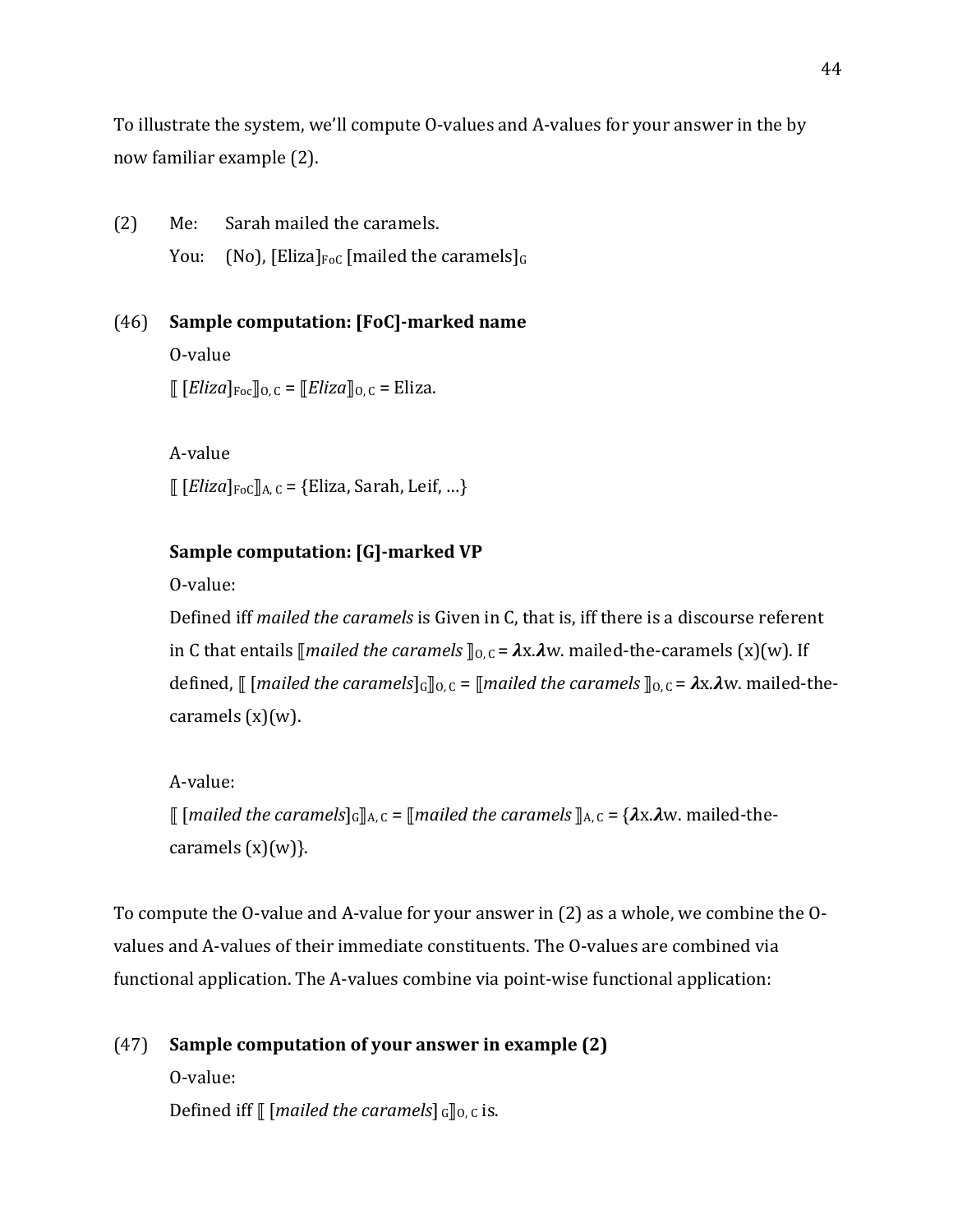To illustrate the system, we'll compute O-values and A-values for your answer in the by now familiar example (2).

(2) Me: Sarah mailed the caramels. You: (No), [Eliza] $_{\text{FoC}}$  [mailed the caramels] $_G$ 

(46) Sample computation: [FoC]-marked name O-value  $\lbrack \lbrack$  [*Eliza*]<sub>Foc</sub> $\lbrack$ <sub>0. C</sub> =  $\lbrack$ *Eliza* $\lbrack$ <sub>0. C</sub> = Eliza.

> A-value  $[[Eliza]_{Foc}]]_{A, C} = \{Eliza, Sarah, Leif, ...\}$

## **Sample computation: [G]-marked VP**

O-value:

Defined iff *mailed the caramels* is Given in C, that is, iff there is a discourse referent in C that entails  $\lceil$ *mailed the caramels*  $\rceil$ <sub>0</sub>, c =  $\lambda$ x. $\lambda$ w. mailed-the-caramels (x)(w). If defined,  $\lbrack \lbrack$  [*mailed the caramels*] $\lbrack G \rbrack$ <sub>0.</sub> $C = \lbrack \lbrack$ *mailed* the caramels  $\rbrack$ <sub>0.</sub> $C = \lambda x. \lambda w$ . mailed-thecaramels  $(x)(w)$ .

A-value:  $\lbrack\!\lbrack$  [*mailed the caramels*]<sub>G</sub> $\rbrack$ <sub>A, C</sub> =  $\lbrack$ *mailed* the caramels  $\rbrack$ <sub>A, C</sub> =  $\{\lambda x.\lambda w.\text{middle-the-}$ caramels  $(x)(w)$ .

To compute the O-value and A-value for your answer in  $(2)$  as a whole, we combine the Ovalues and A-values of their immediate constituents. The O-values are combined via functional application. The A-values combine via point-wise functional application:

# (47) **Sample computation of your answer in example (2)**

O-value: Defined iff  $\llbracket$  [*mailed the caramels*]  $_G \llbracket_0, c$  is.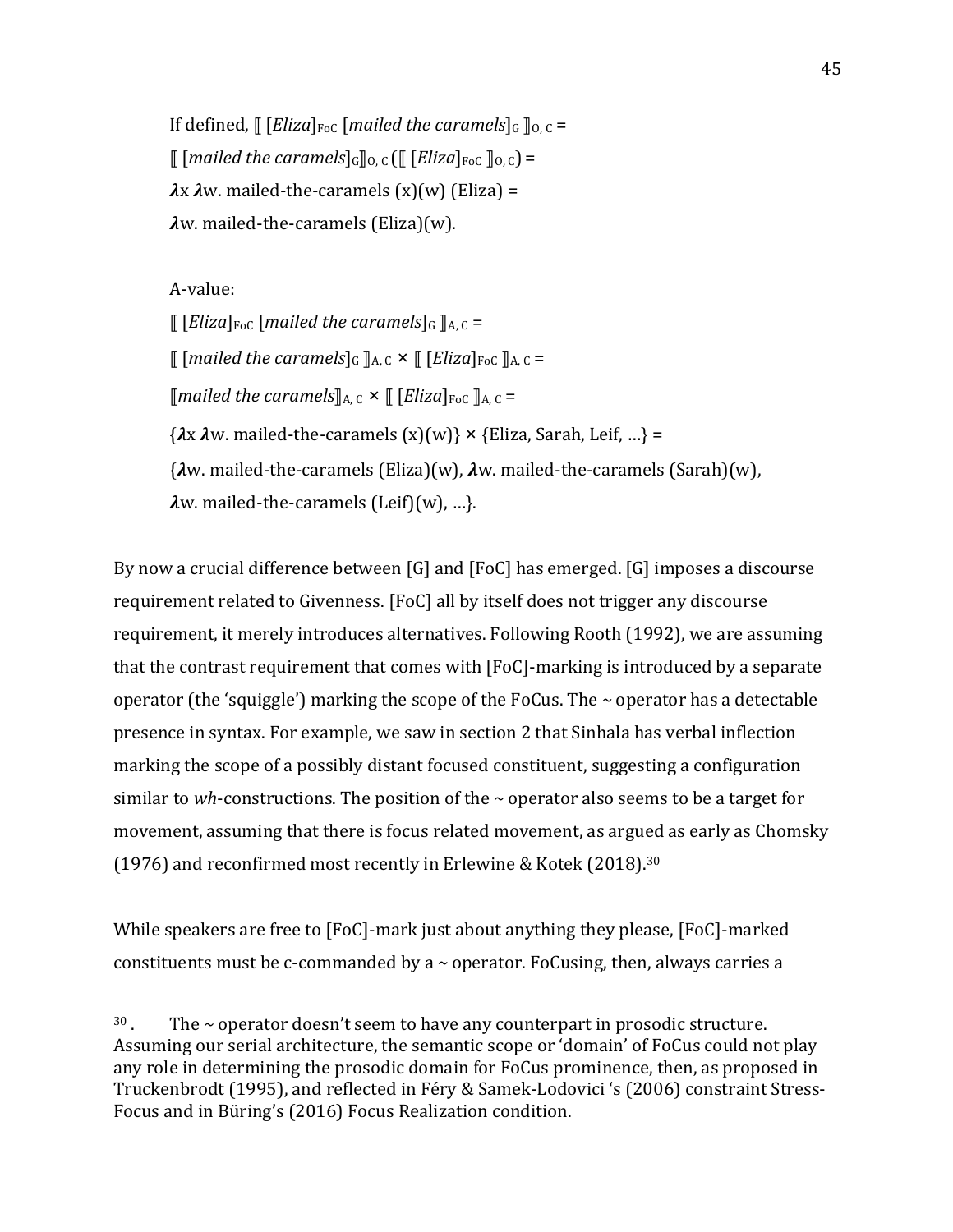If defined,  $\left[\right.$  [*Eliza*]<sub>FoC</sub> [*mailed the caramels*]<sub>G</sub>  $\right]_0$ , c =  $\lbrack\!\lbrack\!\lbrack$  [*mailed the caramels*]<sub>G</sub> $\rbrack\!\rbrack$ <sub>0, C</sub> $\lbrack\!\lbrack\!\lbrack$  [*Eliza*]<sub>FoC</sub>  $\rbrack\!\rbrack$ <sub>0, C</sub> $\rbrack$  =  $\lambda$ x  $\lambda$ w. mailed-the-caramels  $(x)(w)$  (Eliza) =  $\lambda$ w. mailed-the-caramels (Eliza)(w).

A-value:

 

 $\llbracket$  [*Eliza*]<sub>FoC</sub> [mailed the caramels]<sub>G</sub>  $\rrbracket$ <sub>A, C</sub> = ⟦ [*mailed the caramels*]G ⟧A, C × ⟦ [*Eliza*]FoC ⟧A, C =  $\lceil$ *mailed the caramels* $\rceil_{A,C} \times \lceil \lceil$  *[Eliza*]<sub>FoC</sub>  $\rceil_{A,C} =$  $\{\lambda x \lambda w \text{. mailed-the-caramples } (x)(w)\} \times \{\text{Elizabeth, L} \text{ in } \} =$  $\{\lambda w.\text{middle-the-caramples (Eliza)(w), }\lambda w.\text{middle-the-caramples (Sarah)(w), }\lambda w.\text{middle-the-carannels (Sarah)(w)}\}$  $\lambda w$ . mailed-the-caramels (Leif)(w), ...}.

By now a crucial difference between  $[G]$  and  $[FoC]$  has emerged.  $[G]$  imposes a discourse requirement related to Givenness. [FoC] all by itself does not trigger any discourse requirement, it merely introduces alternatives. Following Rooth (1992), we are assuming that the contrast requirement that comes with [FoC]-marking is introduced by a separate operator (the 'squiggle') marking the scope of the FoCus. The  $\sim$  operator has a detectable presence in syntax. For example, we saw in section 2 that Sinhala has verbal inflection marking the scope of a possibly distant focused constituent, suggesting a configuration similar to *wh*-constructions. The position of the  $\sim$  operator also seems to be a target for movement, assuming that there is focus related movement, as argued as early as Chomsky (1976) and reconfirmed most recently in Erlewine & Kotek (2018).<sup>30</sup>

While speakers are free to [FoC]-mark just about anything they please, [FoC]-marked constituents must be c-commanded by a  $\sim$  operator. FoCusing, then, always carries a

 $30$ . The  $\sim$  operator doesn't seem to have any counterpart in prosodic structure. Assuming our serial architecture, the semantic scope or 'domain' of FoCus could not play any role in determining the prosodic domain for FoCus prominence, then, as proposed in Truckenbrodt (1995), and reflected in Féry & Samek-Lodovici 's (2006) constraint Stress-Focus and in Büring's (2016) Focus Realization condition.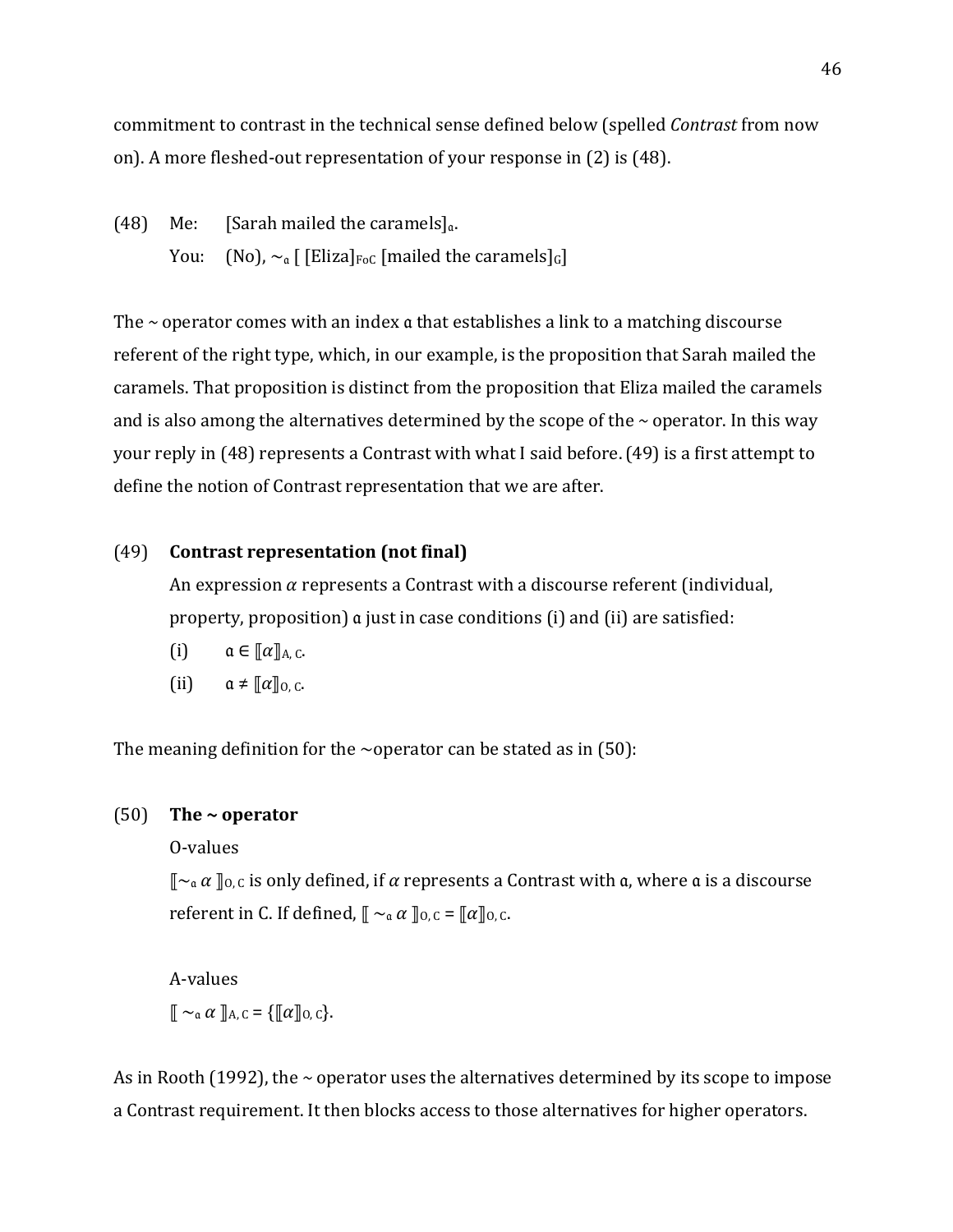commitment to contrast in the technical sense defined below (spelled *Contrast* from now on). A more fleshed-out representation of your response in (2) is (48).

(48) Me: [Sarah mailed the caramels] $_a$ . You: (No),  $\sim_a$  [[Eliza]<sub>FoC</sub> [mailed the caramels]<sub>G</sub>]

The  $\sim$  operator comes with an index  $\alpha$  that establishes a link to a matching discourse referent of the right type, which, in our example, is the proposition that Sarah mailed the caramels. That proposition is distinct from the proposition that Eliza mailed the caramels and is also among the alternatives determined by the scope of the  $\sim$  operator. In this way your reply in (48) represents a Contrast with what I said before. (49) is a first attempt to define the notion of Contrast representation that we are after.

## (49) **Contrast representation (not final)**

An expression  $\alpha$  represents a Contrast with a discourse referent (individual, property, proposition) a just in case conditions (i) and (ii) are satisfied:

- (i)  $\alpha \in [\![\alpha]\!]_{A,C}.$
- (ii)  $\alpha \neq \llbracket \alpha \rrbracket_{0,C}.$

The meaning definition for the  $\sim$ operator can be stated as in (50):

## (50) **The ~ operator**

O-values

 $\lbrack\!\lbrack\!\lbrack_{\alpha\alpha}\!\rbrack\!\rbrack_{0,c}$  is only defined, if  $\alpha$  represents a Contrast with  $\alpha$ , where  $\alpha$  is a discourse referent in C. If defined,  $\lbrack \! \lbrack \; \sim_{\alpha} \alpha \; \rbrack \! \rbrack_{0,C} = \lbrack \! \lbrack \alpha \rbrack \! \rbrack_{0,C}.$ 

A-values  $\mathbb{I} \sim_{\mathfrak{a}} \alpha \mathbb{I}_{A,C} = \{\mathbb{I}[\alpha]_{0,C}\}.$ 

As in Rooth  $(1992)$ , the  $\sim$  operator uses the alternatives determined by its scope to impose a Contrast requirement. It then blocks access to those alternatives for higher operators.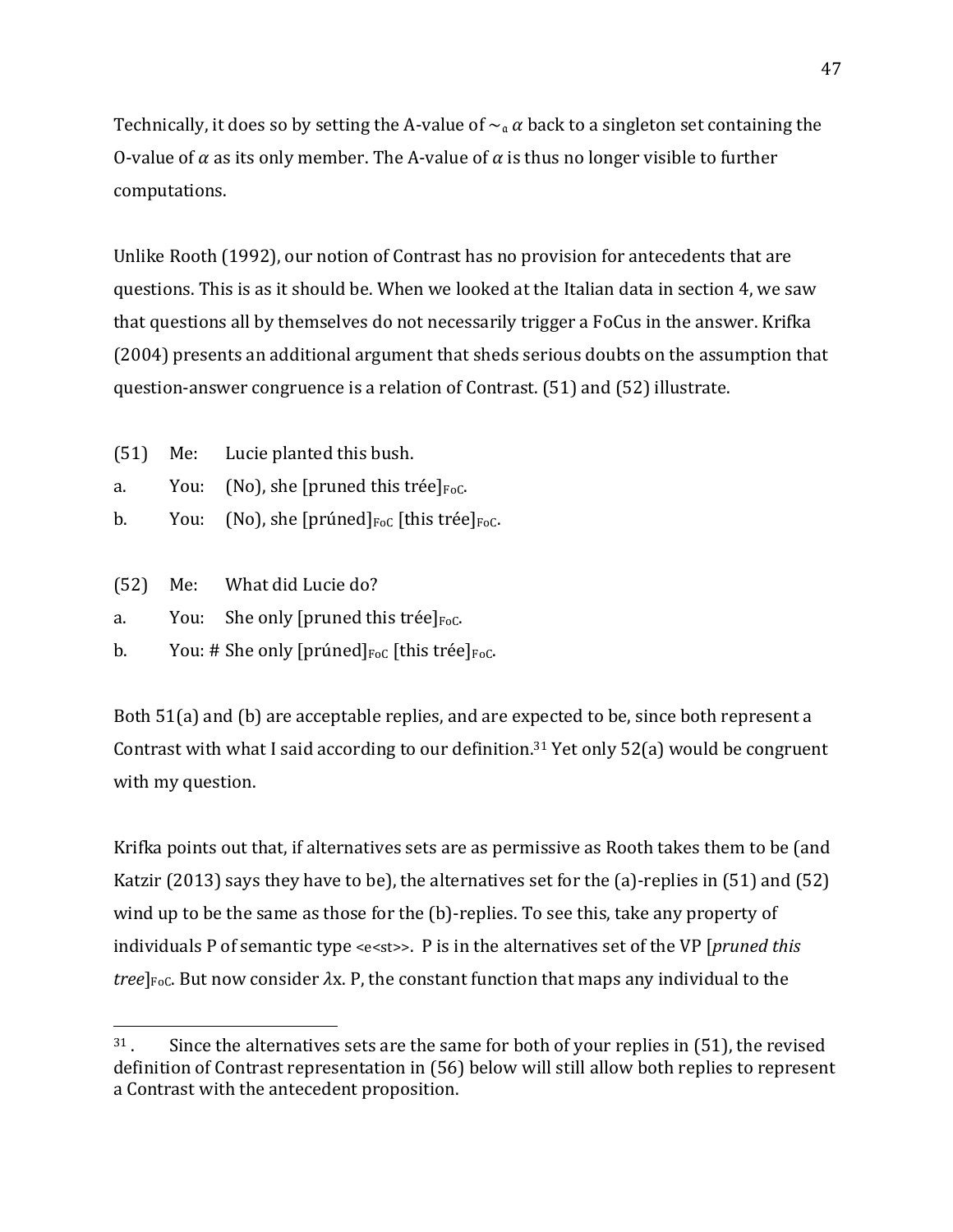Technically, it does so by setting the A-value of  $\sim_\alpha \alpha$  back to a singleton set containing the O-value of  $\alpha$  as its only member. The A-value of  $\alpha$  is thus no longer visible to further computations. 

Unlike Rooth (1992), our notion of Contrast has no provision for antecedents that are questions. This is as it should be. When we looked at the Italian data in section 4, we saw that questions all by themselves do not necessarily trigger a FoCus in the answer. Krifka (2004) presents an additional argument that sheds serious doubts on the assumption that question-answer congruence is a relation of Contrast. (51) and (52) illustrate.

- (51) Me: Lucie planted this bush.
- a. You: (No), she [pruned this trée] $_{\text{FoC}}$ .
- b. You: (No), she [prúned] $_{\text{FoC}}$  [this trée] $_{\text{FoC}}$ .
- $(52)$  Me: What did Lucie do?

 

- a. You: She only [pruned this trée] $_{\text{Foc}}$ .
- b. You: # She only [prúned] $_{\text{FoC}}$  [this trée] $_{\text{FoC}}$ .

Both 51(a) and (b) are acceptable replies, and are expected to be, since both represent a Contrast with what I said according to our definition.<sup>31</sup> Yet only  $52(a)$  would be congruent with my question.

Krifka points out that, if alternatives sets are as permissive as Rooth takes them to be (and Katzir (2013) says they have to be), the alternatives set for the (a)-replies in (51) and (52) wind up to be the same as those for the  $(b)$ -replies. To see this, take any property of individuals P of semantic type <e<st>>. P is in the alternatives set of the VP [*pruned this tree*]<sub>FoC</sub>. But now consider  $\lambda$ x. P, the constant function that maps any individual to the

 $31$ . Since the alternatives sets are the same for both of your replies in (51), the revised definition of Contrast representation in (56) below will still allow both replies to represent a Contrast with the antecedent proposition.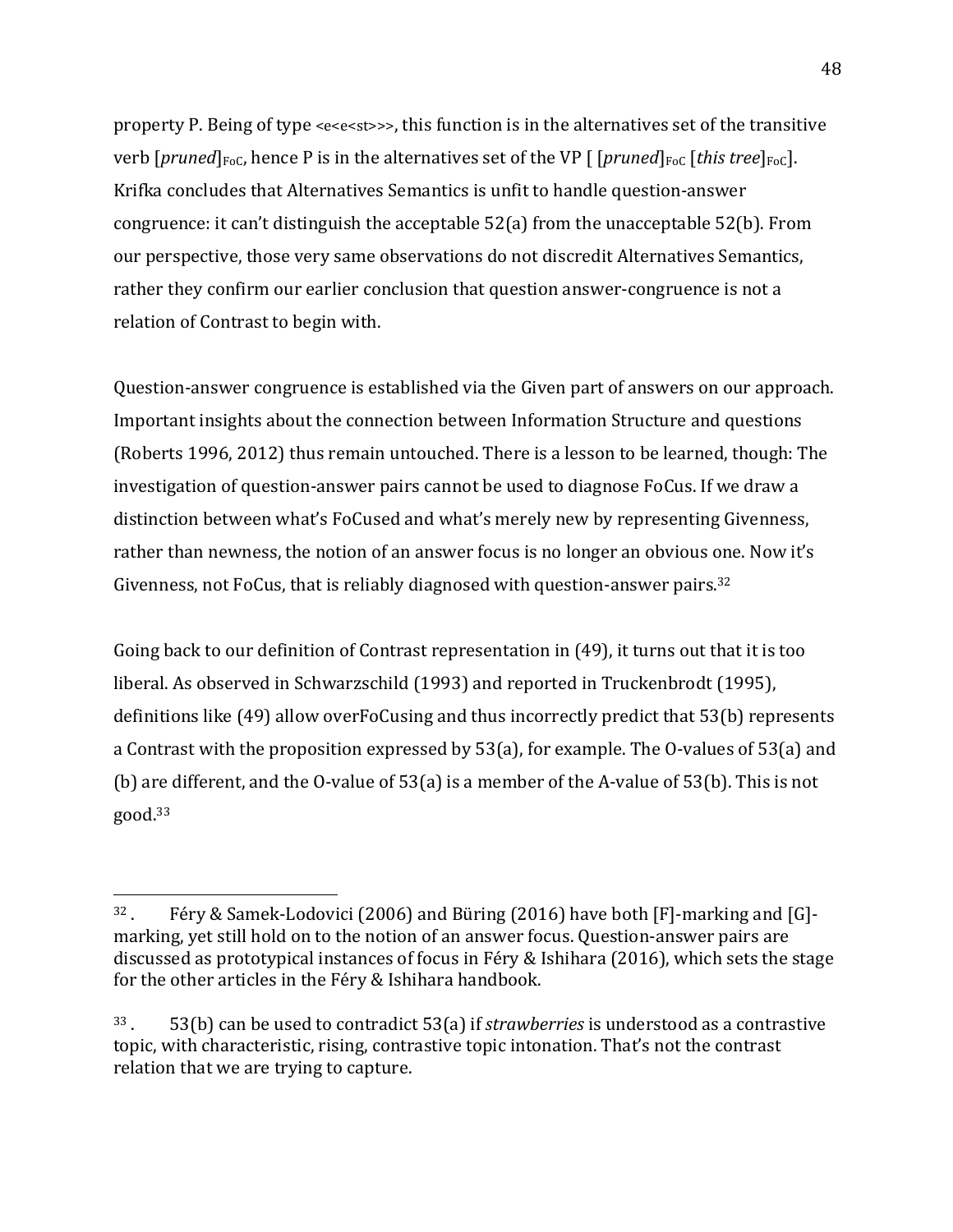property P. Being of type <e<e<st>>>, this function is in the alternatives set of the transitive verb  $[pruned]_{FoC}$ , hence P is in the alternatives set of the VP  $[pruned]_{FoC}$  [*this tree*]<sub>FoC</sub>]. Krifka concludes that Alternatives Semantics is unfit to handle question-answer congruence: it can't distinguish the acceptable  $52(a)$  from the unacceptable  $52(b)$ . From our perspective, those very same observations do not discredit Alternatives Semantics, rather they confirm our earlier conclusion that question answer-congruence is not a relation of Contrast to begin with.

Question-answer congruence is established via the Given part of answers on our approach. Important insights about the connection between Information Structure and questions (Roberts 1996, 2012) thus remain untouched. There is a lesson to be learned, though: The investigation of question-answer pairs cannot be used to diagnose FoCus. If we draw a distinction between what's FoCused and what's merely new by representing Givenness, rather than newness, the notion of an answer focus is no longer an obvious one. Now it's Givenness, not FoCus, that is reliably diagnosed with question-answer pairs.<sup>32</sup>

Going back to our definition of Contrast representation in  $(49)$ , it turns out that it is too liberal. As observed in Schwarzschild (1993) and reported in Truckenbrodt (1995), definitions like (49) allow overFoCusing and thus incorrectly predict that 53(b) represents a Contrast with the proposition expressed by  $53(a)$ , for example. The O-values of  $53(a)$  and (b) are different, and the O-value of  $53(a)$  is a member of the A-value of  $53(b)$ . This is not good.33

 $32$ . Féry & Samek-Lodovici (2006) and Büring (2016) have both [F]-marking and [G]marking, yet still hold on to the notion of an answer focus. Question-answer pairs are discussed as prototypical instances of focus in Féry & Ishihara (2016), which sets the stage for the other articles in the Féry & Ishihara handbook.

 $33.$  53(b) can be used to contradict  $53(a)$  if *strawberries* is understood as a contrastive topic, with characteristic, rising, contrastive topic intonation. That's not the contrast relation that we are trying to capture.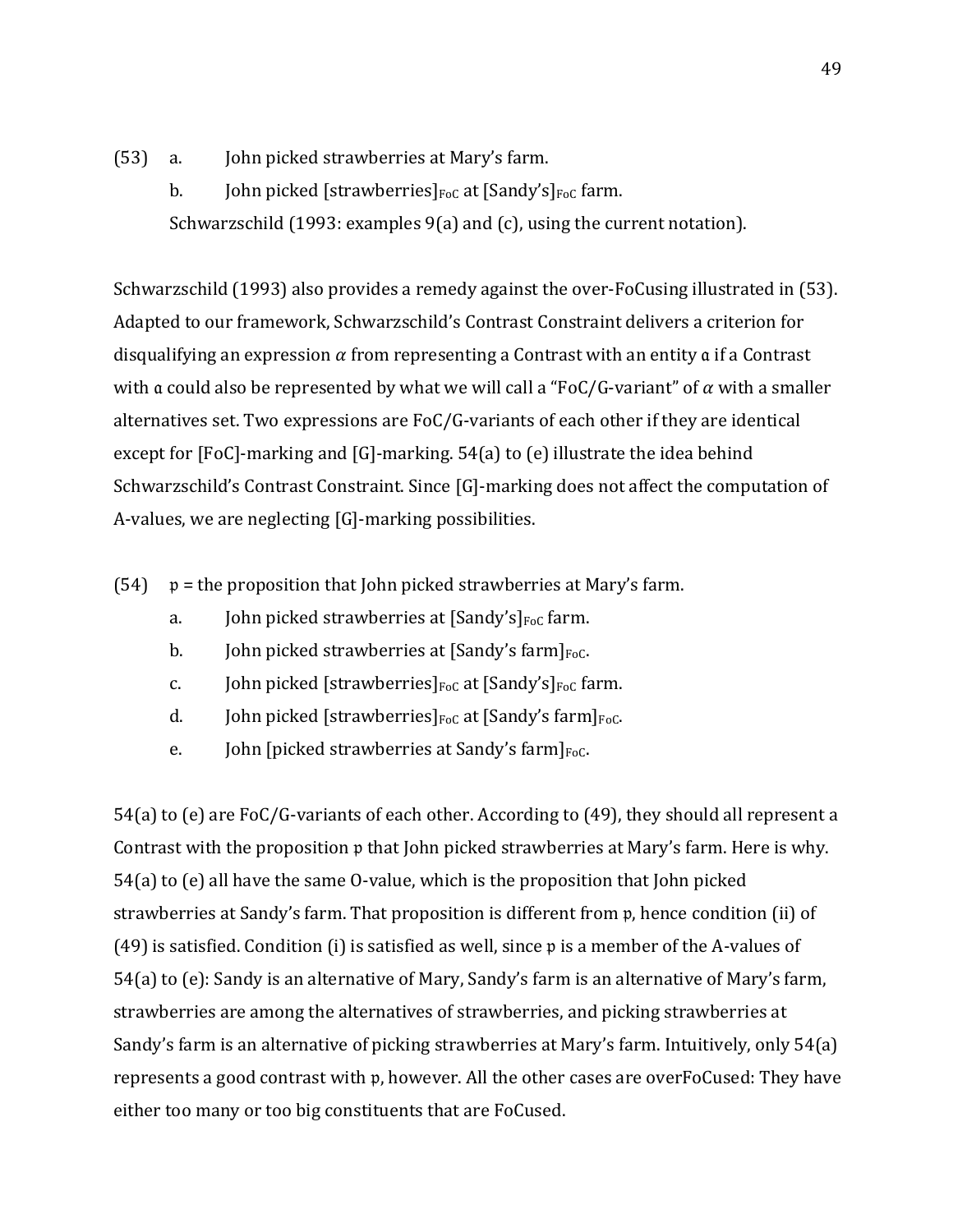(53) a. John picked strawberries at Mary's farm.

b. John picked [strawberries] $_{\text{FoC}}$  at [Sandy's] $_{\text{FoC}}$  farm. Schwarzschild  $(1993:$  examples  $9(a)$  and  $(c)$ , using the current notation).

Schwarzschild (1993) also provides a remedy against the over-FoCusing illustrated in (53). Adapted to our framework, Schwarzschild's Contrast Constraint delivers a criterion for disqualifying an expression  $\alpha$  from representing a Contrast with an entity  $\alpha$  if a Contrast with a could also be represented by what we will call a "FoC/G-variant" of  $\alpha$  with a smaller alternatives set. Two expressions are  $FoC/G$ -variants of each other if they are identical except for [FoC]-marking and [G]-marking.  $54(a)$  to (e) illustrate the idea behind Schwarzschild's Contrast Constraint. Since [G]-marking does not affect the computation of A-values, we are neglecting  $[G]$ -marking possibilities.

- (54)  $p =$  the proposition that John picked strawberries at Mary's farm.
	- a. John picked strawberries at  $[Sandy's]_{Foc}$  farm.
	- b. John picked strawberries at  $[Sandy's farm]_{Foc}$ .
	- c. John picked [strawberries] $_{\text{FoC}}$  at [Sandy's] $_{\text{FoC}}$  farm.
	- d. John picked [strawberries] $_{\text{FoC}}$  at [Sandy's farm] $_{\text{FoC}}$ .
	- e. John [picked strawberries at Sandy's farm] $_{\text{Foc}}$ .

54(a) to (e) are FoC/G-variants of each other. According to  $(49)$ , they should all represent a Contrast with the proposition  $\mathfrak p$  that John picked strawberries at Mary's farm. Here is why.  $54(a)$  to (e) all have the same O-value, which is the proposition that John picked strawberries at Sandy's farm. That proposition is different from  $p$ , hence condition (ii) of (49) is satisfied. Condition (i) is satisfied as well, since  $\mathfrak p$  is a member of the A-values of 54(a) to (e): Sandy is an alternative of Mary, Sandy's farm is an alternative of Mary's farm, strawberries are among the alternatives of strawberries, and picking strawberries at Sandy's farm is an alternative of picking strawberries at Mary's farm. Intuitively, only  $54(a)$ represents a good contrast with p, however. All the other cases are overFoCused: They have either too many or too big constituents that are FoCused.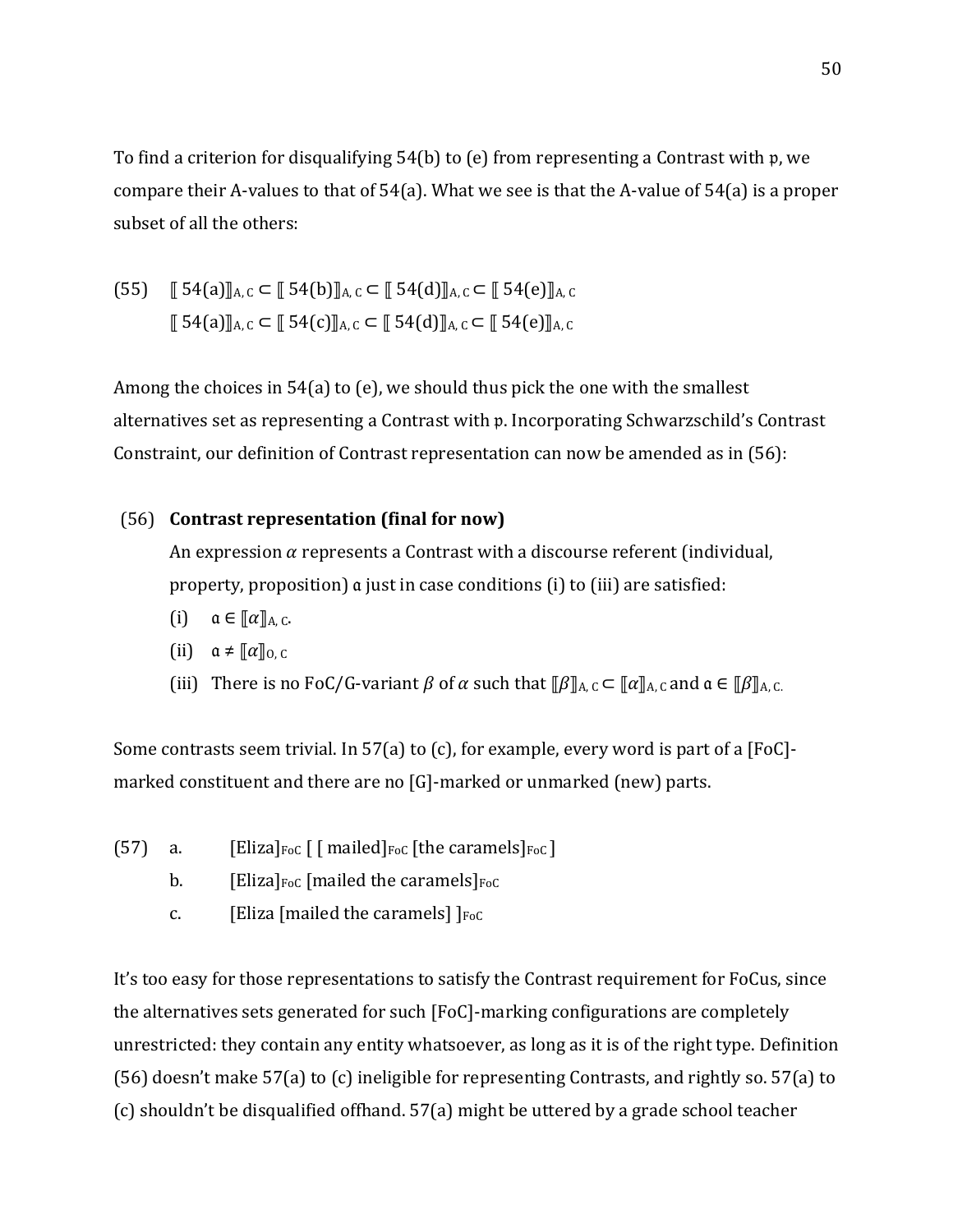To find a criterion for disqualifying  $54(b)$  to (e) from representing a Contrast with p, we compare their A-values to that of  $54(a)$ . What we see is that the A-value of  $54(a)$  is a proper subset of all the others:

$$
(55) \quad \text{[} 54(a) \text{]} \text{A}, c \subset \text{[} 54(b) \text{]} \text{A}, c \subset \text{[} 54(d) \text{]} \text{A}, c \subset \text{[} 54(e) \text{]} \text{A}, c
$$
\n
$$
\text{[} 54(a) \text{]} \text{A}, c \subset \text{[} 54(c) \text{]} \text{A}, c \subset \text{[} 54(d) \text{]} \text{A}, c \subset \text{[} 54(e) \text{]} \text{A}, c
$$

Among the choices in 54(a) to (e), we should thus pick the one with the smallest alternatives set as representing a Contrast with p. Incorporating Schwarzschild's Contrast Constraint, our definition of Contrast representation can now be amended as in  $(56)$ :

## (56) **Contrast representation (final for now)**

An expression  $\alpha$  represents a Contrast with a discourse referent (individual, property, proposition)  $\alpha$  just in case conditions (i) to (iii) are satisfied:

- (i)  $\alpha \in [\![\alpha]\!]_{A,C}.$
- (ii)  $\alpha \neq \llbracket \alpha \rrbracket_{0,C}$
- (iii) There is no FoC/G-variant  $\beta$  of  $\alpha$  such that  $\lbrack \lbrack \beta \rbrack_{A,C} \subset \lbrack \lbrack \alpha \rbrack_{A,C}$  and  $\alpha \in \lbrack \lbrack \beta \rbrack_{A,C}$ .

Some contrasts seem trivial. In 57(a) to (c), for example, every word is part of a [FoC]marked constituent and there are no  $[G]$ -marked or unmarked (new) parts.

- (57) a. [Eliza] $_{\text{FoC}}$  [ [ mailed] $_{\text{FoC}}$  [the caramels] $_{\text{FoC}}$ ]
	- b. [Eliza] $F_{\text{p0C}}$  [mailed the caramels] $F_{\text{p0C}}$
	- c. [Eliza [mailed the caramels]  $|F_{\text{p0C}}|$

It's too easy for those representations to satisfy the Contrast requirement for FoCus, since the alternatives sets generated for such  $[FoC]$ -marking configurations are completely unrestricted: they contain any entity whatsoever, as long as it is of the right type. Definition (56) doesn't make  $57(a)$  to (c) ineligible for representing Contrasts, and rightly so.  $57(a)$  to  $(c)$  shouldn't be disqualified offhand.  $57(a)$  might be uttered by a grade school teacher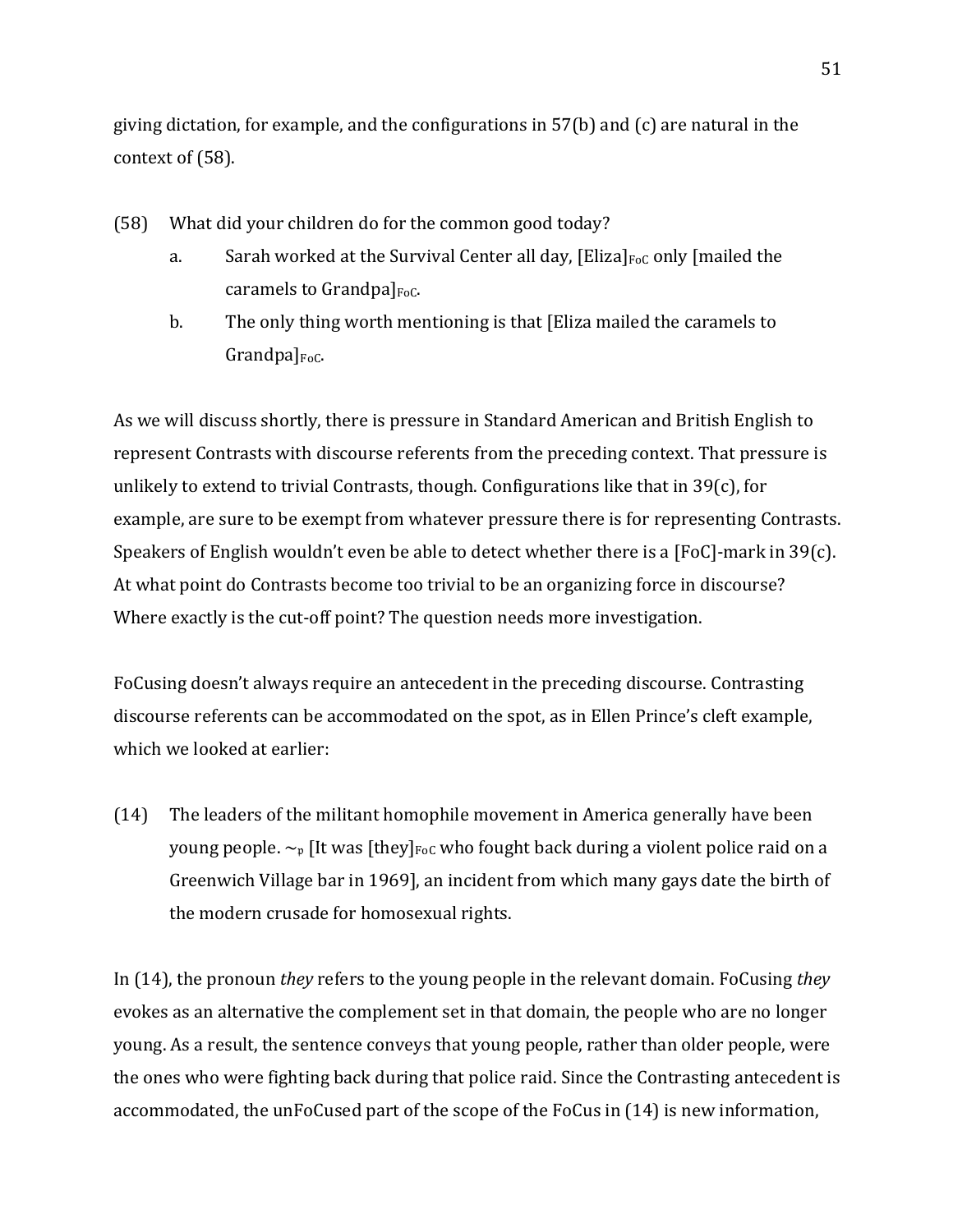giving dictation, for example, and the configurations in  $57(b)$  and (c) are natural in the context of  $(58)$ .

- (58) What did your children do for the common good today?
	- a. Sarah worked at the Survival Center all day,  $[E$ liza $]_{F \circ C}$  only [mailed the caramels to Grandpa] $_{\text{Foc.}}$
	- b. The only thing worth mentioning is that [Eliza mailed the caramels to  $Grandpal<sub>FoC</sub>$ .

As we will discuss shortly, there is pressure in Standard American and British English to represent Contrasts with discourse referents from the preceding context. That pressure is unlikely to extend to trivial Contrasts, though. Configurations like that in  $39(c)$ , for example, are sure to be exempt from whatever pressure there is for representing Contrasts. Speakers of English wouldn't even be able to detect whether there is a [FoC]-mark in 39(c). At what point do Contrasts become too trivial to be an organizing force in discourse? Where exactly is the cut-off point? The question needs more investigation.

FoCusing doesn't always require an antecedent in the preceding discourse. Contrasting discourse referents can be accommodated on the spot, as in Ellen Prince's cleft example, which we looked at earlier:

(14) The leaders of the militant homophile movement in America generally have been young people.  $\sim_{p}$  [It was [they]<sub>FoC</sub> who fought back during a violent police raid on a Greenwich Village bar in 1969], an incident from which many gays date the birth of the modern crusade for homosexual rights.

In (14), the pronoun *they* refers to the young people in the relevant domain. FoCusing *they* evokes as an alternative the complement set in that domain, the people who are no longer young. As a result, the sentence conveys that young people, rather than older people, were the ones who were fighting back during that police raid. Since the Contrasting antecedent is accommodated, the unFoCused part of the scope of the FoCus in (14) is new information,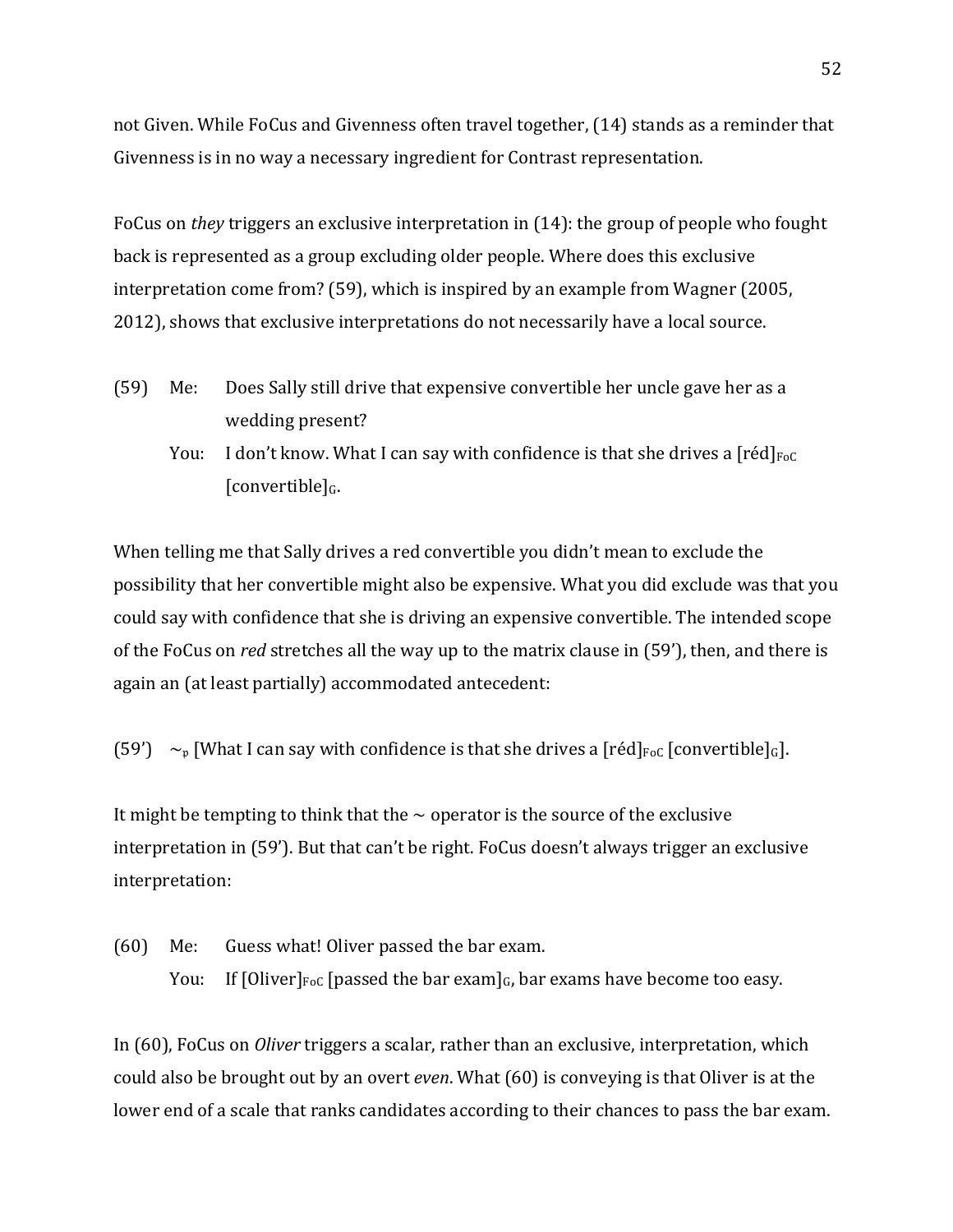not Given. While FoCus and Givenness often travel together, (14) stands as a reminder that Givenness is in no way a necessary ingredient for Contrast representation.

FoCus on *they* triggers an exclusive interpretation in (14): the group of people who fought back is represented as a group excluding older people. Where does this exclusive interpretation come from?  $(59)$ , which is inspired by an example from Wagner  $(2005)$ , 2012), shows that exclusive interpretations do not necessarily have a local source.

- (59) Me: Does Sally still drive that expensive convertible her uncle gave her as a wedding present?
	- You: I don't know. What I can say with confidence is that she drives a  $[réd]_{FoC}$  $[convertible]_G.$

When telling me that Sally drives a red convertible you didn't mean to exclude the possibility that her convertible might also be expensive. What you did exclude was that you could say with confidence that she is driving an expensive convertible. The intended scope of the FoCus on *red* stretches all the way up to the matrix clause in (59'), then, and there is again an (at least partially) accommodated antecedent:

(59')  $\sim_{p}$  [What I can say with confidence is that she drives a [réd]<sub>FoC</sub> [convertible]<sub>G</sub>].

It might be tempting to think that the  $\sim$  operator is the source of the exclusive interpretation in (59'). But that can't be right. FoCus doesn't always trigger an exclusive interpretation:

(60) Me: Guess what! Oliver passed the bar exam. You: If  $[Oliver]_{FoC}$  [passed the bar exam]<sub>G</sub>, bar exams have become too easy.

In (60), FoCus on *Oliver* triggers a scalar, rather than an exclusive, interpretation, which could also be brought out by an overt *even*. What (60) is conveying is that Oliver is at the lower end of a scale that ranks candidates according to their chances to pass the bar exam.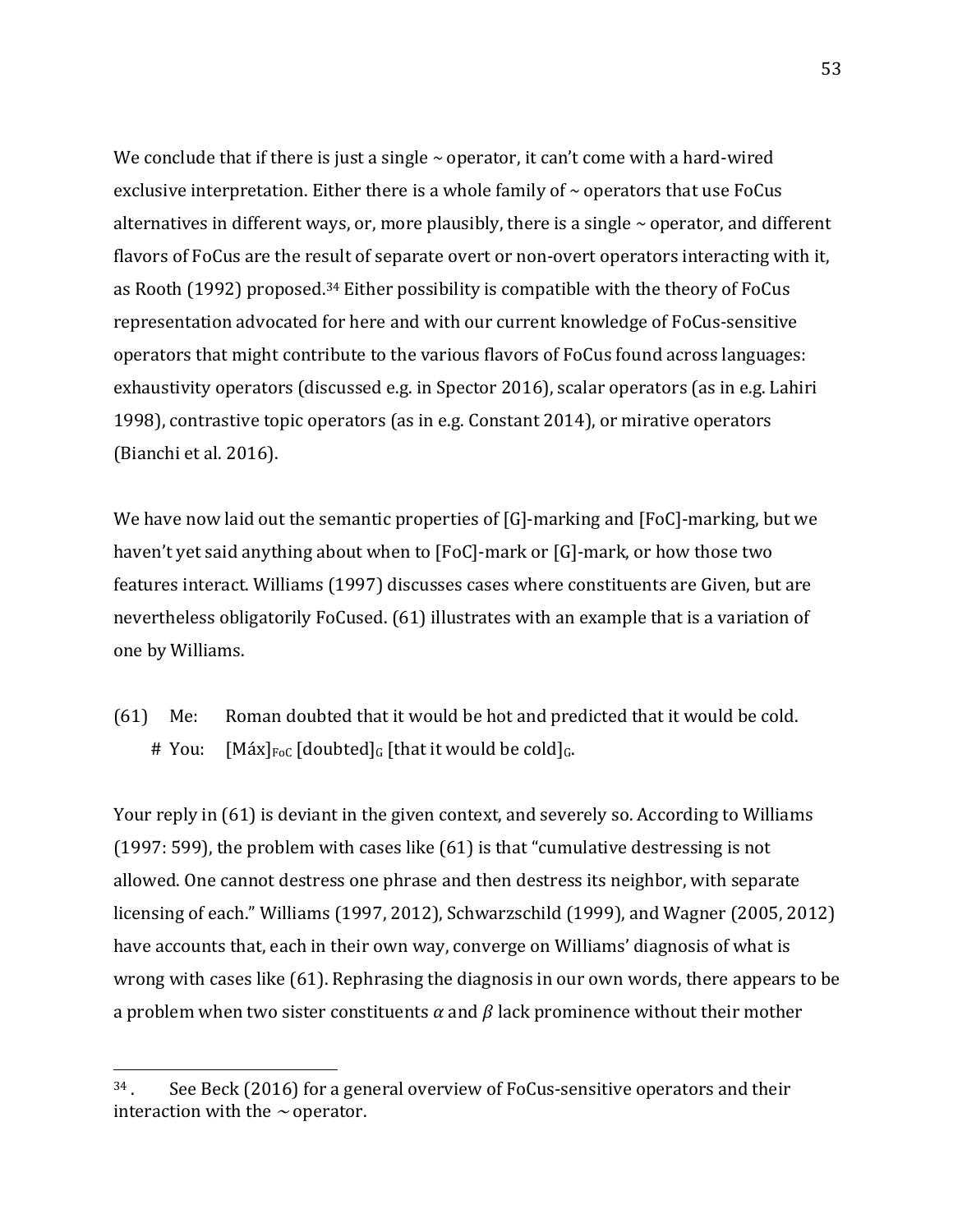We conclude that if there is just a single  $\sim$  operator, it can't come with a hard-wired exclusive interpretation. Either there is a whole family of  $\sim$  operators that use FoCus alternatives in different ways, or, more plausibly, there is a single  $\sim$  operator, and different flavors of FoCus are the result of separate overt or non-overt operators interacting with it, as Rooth  $(1992)$  proposed.<sup>34</sup> Either possibility is compatible with the theory of FoCus representation advocated for here and with our current knowledge of FoCus-sensitive operators that might contribute to the various flavors of FoCus found across languages: exhaustivity operators (discussed e.g. in Spector 2016), scalar operators (as in e.g. Lahiri 1998), contrastive topic operators (as in e.g. Constant  $2014$ ), or mirative operators (Bianchi et al. 2016).

We have now laid out the semantic properties of  $[G]$ -marking and  $[FoC]$ -marking, but we haven't yet said anything about when to  $[FeC]$ -mark or  $[G]$ -mark, or how those two features interact. Williams (1997) discusses cases where constituents are Given, but are nevertheless obligatorily FoCused. (61) illustrates with an example that is a variation of one by Williams.

(61) Me: Roman doubted that it would be hot and predicted that it would be cold. # You:  $[M\acute{a}x]_{\text{FoC}}$  [doubted]<sub>G</sub> [that it would be cold]<sub>G</sub>.

Your reply in (61) is deviant in the given context, and severely so. According to Williams (1997: 599), the problem with cases like  $(61)$  is that "cumulative destressing is not allowed. One cannot destress one phrase and then destress its neighbor, with separate licensing of each." Williams (1997, 2012), Schwarzschild (1999), and Wagner (2005, 2012) have accounts that, each in their own way, converge on Williams' diagnosis of what is wrong with cases like  $(61)$ . Rephrasing the diagnosis in our own words, there appears to be a problem when two sister constituents  $\alpha$  and  $\beta$  lack prominence without their mother

 $34$ . See Beck (2016) for a general overview of FoCus-sensitive operators and their interaction with the  $\sim$  operator.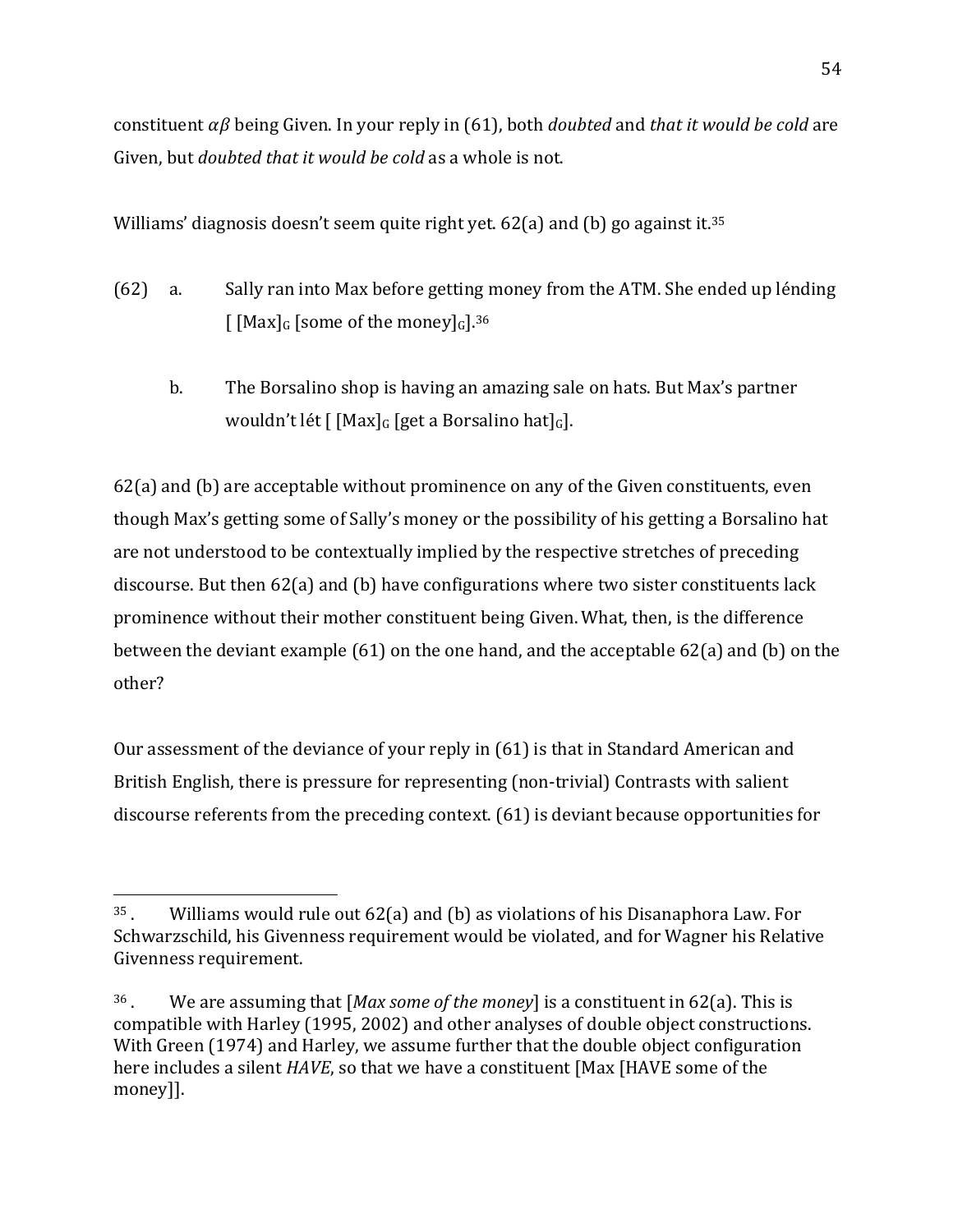constituent  $\alpha\beta$  being Given. In your reply in (61), both *doubted* and *that it would be cold* are Given, but *doubted that it would be cold* as a whole is not.

Williams' diagnosis doesn't seem quite right yet. 62(a) and (b) go against it.<sup>35</sup>

- (62) a. Sally ran into Max before getting money from the ATM. She ended up lénding  $\int$  [Max]<sub>G</sub> [some of the money]<sub>G</sub>].<sup>36</sup>
	- b. The Borsalino shop is having an amazing sale on hats. But Max's partner wouldn't lét  $\lceil$  [Max]<sub>G</sub> [get a Borsalino hat]<sub>G</sub>].

 $62(a)$  and (b) are acceptable without prominence on any of the Given constituents, even though Max's getting some of Sally's money or the possibility of his getting a Borsalino hat are not understood to be contextually implied by the respective stretches of preceding discourse. But then  $62(a)$  and (b) have configurations where two sister constituents lack prominence without their mother constituent being Given. What, then, is the difference between the deviant example  $(61)$  on the one hand, and the acceptable  $62(a)$  and  $(b)$  on the other? 

Our assessment of the deviance of your reply in (61) is that in Standard American and British English, there is pressure for representing (non-trivial) Contrasts with salient discourse referents from the preceding context.  $(61)$  is deviant because opportunities for

 $35$ . Williams would rule out  $62(a)$  and (b) as violations of his Disanaphora Law. For Schwarzschild, his Givenness requirement would be violated, and for Wagner his Relative Givenness requirement.

<sup>&</sup>lt;sup>36</sup>. We are assuming that  $[Max\,some\,of\,the\,money]$  is a constituent in 62(a). This is compatible with Harley (1995, 2002) and other analyses of double object constructions. With Green (1974) and Harley, we assume further that the double object configuration here includes a silent *HAVE*, so that we have a constituent [Max [HAVE some of the money]].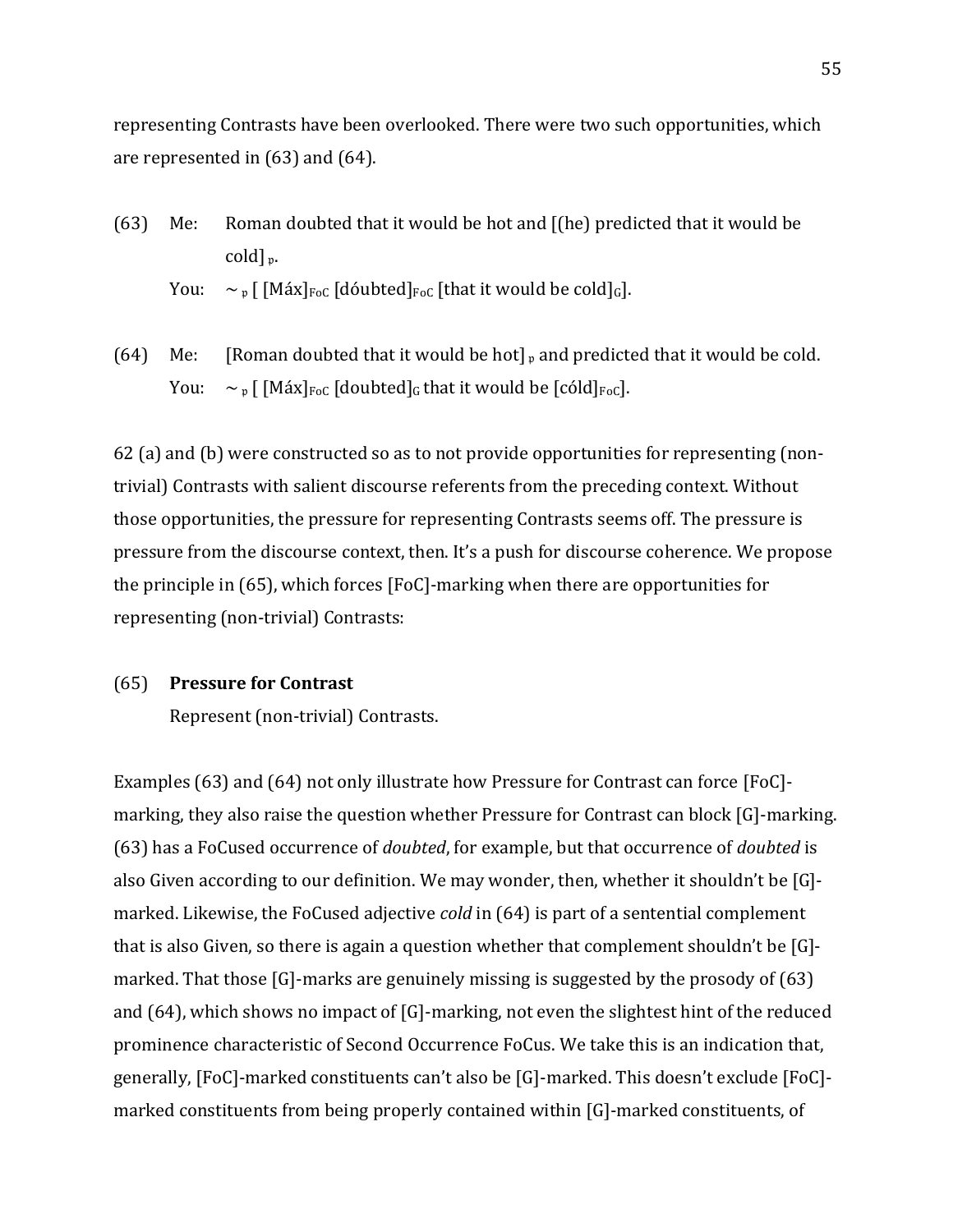representing Contrasts have been overlooked. There were two such opportunities, which are represented in  $(63)$  and  $(64)$ .

(63) Me: Roman doubted that it would be hot and  $[(he]$  predicted that it would be cold]<sub>p</sub>.

```
You: \sim \mathfrak{p} [ [Máx]<sub>FoC</sub> [dóubted]<sub>FoC</sub> [that it would be cold]<sub>G</sub>].
```
(64) Me: [Roman doubted that it would be hot]  $_{\text{p}}$  and predicted that it would be cold. You:  $\sim_{\text{p}}$  [ [Máx]<sub>FoC</sub> [doubted]<sub>G</sub> that it would be [cóld]<sub>FoC</sub>].

62 (a) and (b) were constructed so as to not provide opportunities for representing (nontrivial) Contrasts with salient discourse referents from the preceding context. Without those opportunities, the pressure for representing Contrasts seems off. The pressure is pressure from the discourse context, then. It's a push for discourse coherence. We propose the principle in  $(65)$ , which forces  $[FeC]$ -marking when there are opportunities for representing (non-trivial) Contrasts:

### (65) **Pressure for Contrast**

Represent (non-trivial) Contrasts.

Examples  $(63)$  and  $(64)$  not only illustrate how Pressure for Contrast can force [FoC]marking, they also raise the question whether Pressure for Contrast can block [G]-marking. (63) has a FoCused occurrence of *doubted*, for example, but that occurrence of *doubted* is also Given according to our definition. We may wonder, then, whether it shouldn't be  $[G]$ marked. Likewise, the FoCused adjective *cold* in (64) is part of a sentential complement that is also Given, so there is again a question whether that complement shouldn't be  $[G]$ marked. That those  $[G]$ -marks are genuinely missing is suggested by the prosody of  $(63)$ and  $(64)$ , which shows no impact of  $[G]$ -marking, not even the slightest hint of the reduced prominence characteristic of Second Occurrence FoCus. We take this is an indication that, generally, [FoC]-marked constituents can't also be [G]-marked. This doesn't exclude [FoC]marked constituents from being properly contained within [G]-marked constituents, of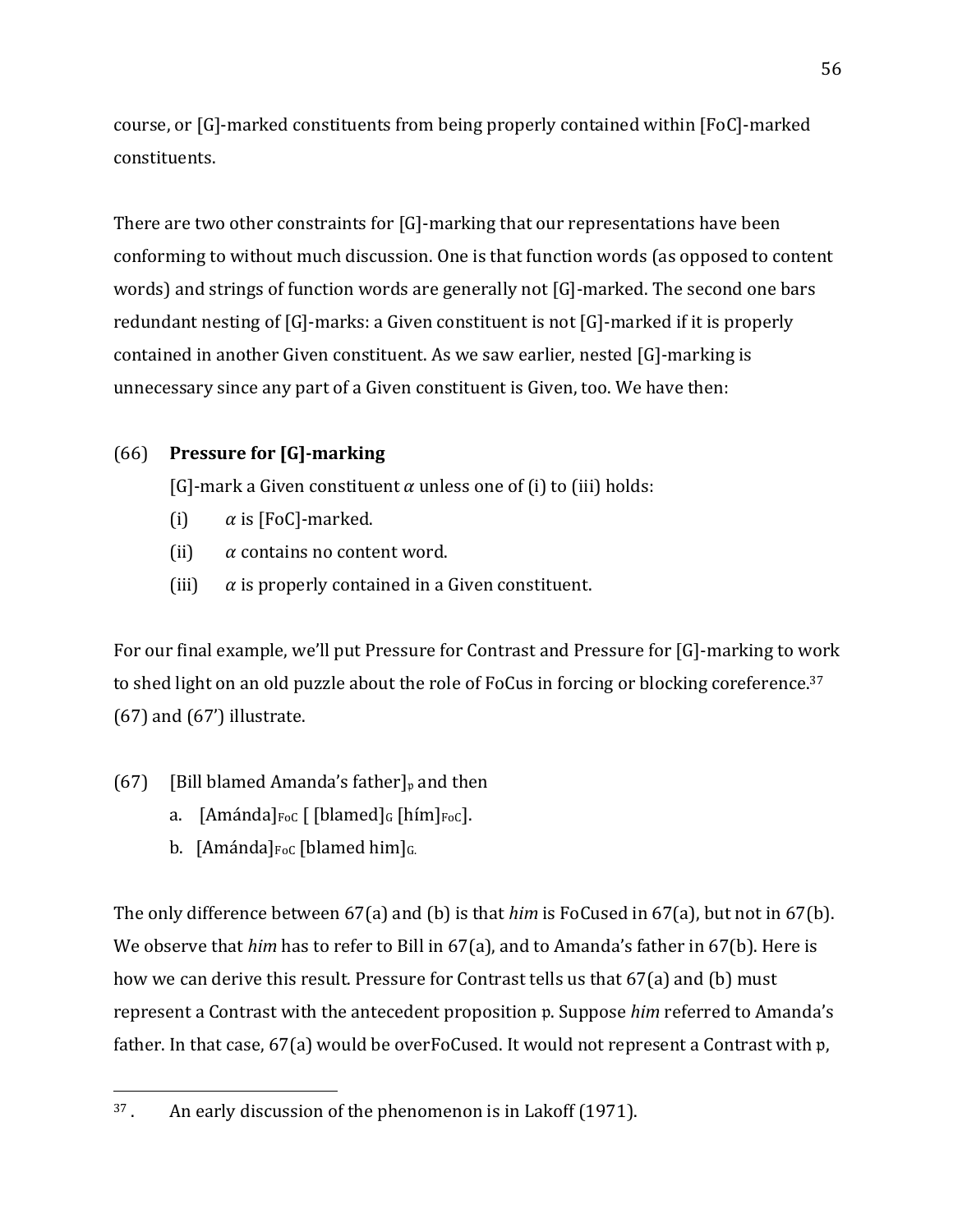course, or [G]-marked constituents from being properly contained within [FoC]-marked constituents. 

There are two other constraints for  $[G]$ -marking that our representations have been conforming to without much discussion. One is that function words (as opposed to content words) and strings of function words are generally not [G]-marked. The second one bars redundant nesting of  $[G]$ -marks: a Given constituent is not  $[G]$ -marked if it is properly contained in another Given constituent. As we saw earlier, nested  $[G]$ -marking is unnecessary since any part of a Given constituent is Given, too. We have then:

# **(66)** Pressure for [G]-marking

[G]-mark a Given constituent  $\alpha$  unless one of (i) to (iii) holds:

- (i)  $\alpha$  is [FoC]-marked.
- (ii)  $\alpha$  contains no content word.
- (iii)  $\alpha$  is properly contained in a Given constituent.

For our final example, we'll put Pressure for Contrast and Pressure for [G]-marking to work to shed light on an old puzzle about the role of FoCus in forcing or blocking coreference.<sup>37</sup>  $(67)$  and  $(67')$  illustrate.

- (67) [Bill blamed Amanda's father]<sub>v</sub> and then
	- a.  $[Am\'anda]_{\text{Foc}}$   $[[blamed]_G$   $[him]_{\text{Foc}}]$ .
	- b. [Amánda] $_{\text{FoC}}$  [blamed him] $_{\text{G}}$

 

The only difference between  $67(a)$  and (b) is that *him* is FoCused in  $67(a)$ , but not in  $67(b)$ . We observe that *him* has to refer to Bill in 67(a), and to Amanda's father in 67(b). Here is how we can derive this result. Pressure for Contrast tells us that 67(a) and (b) must represent a Contrast with the antecedent proposition p. Suppose *him* referred to Amanda's father. In that case,  $67(a)$  would be overFoCused. It would not represent a Contrast with  $p$ ,

 $37$ . An early discussion of the phenomenon is in Lakoff (1971).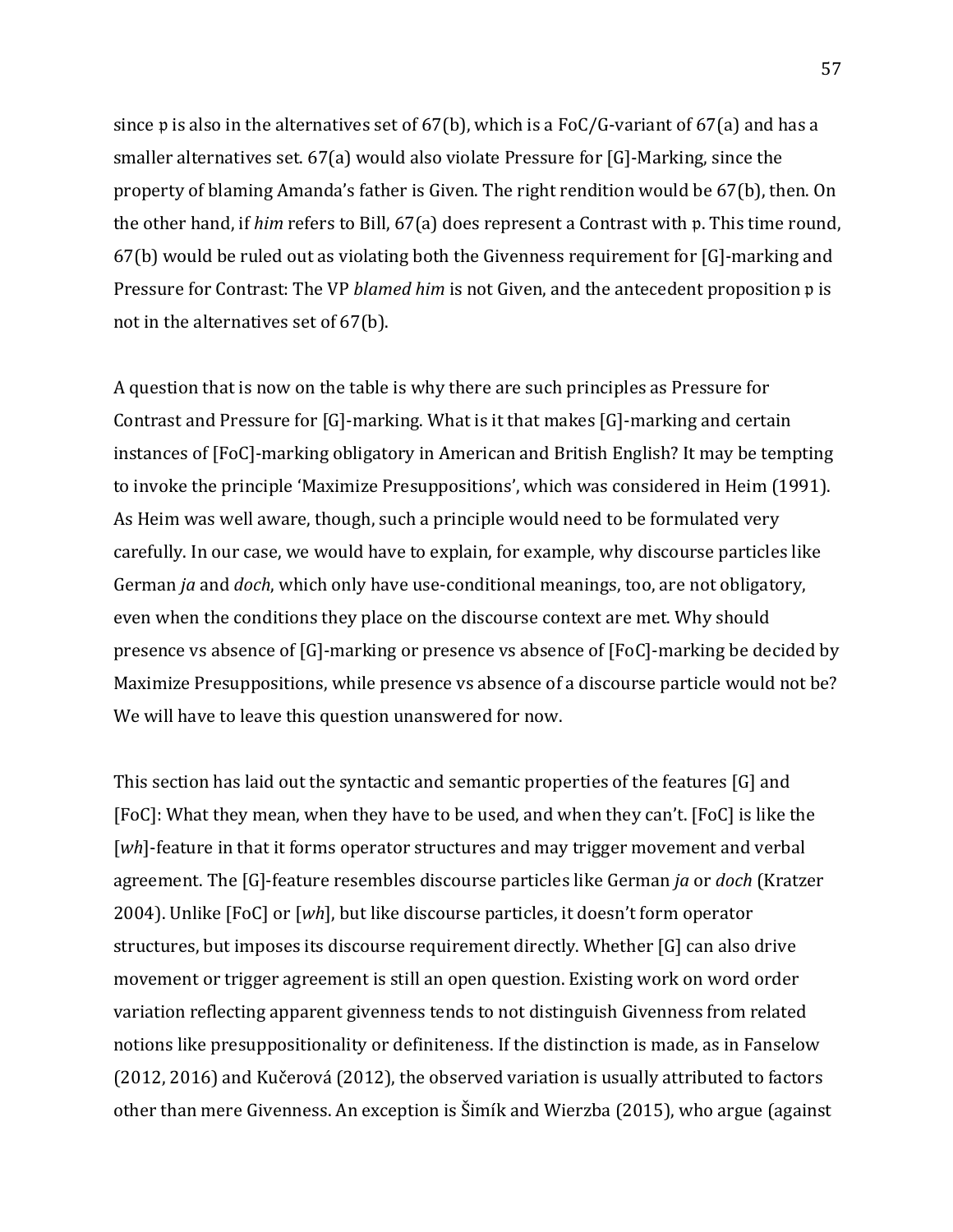since p is also in the alternatives set of  $67(b)$ , which is a FoC/G-variant of  $67(a)$  and has a smaller alternatives set.  $67(a)$  would also violate Pressure for [G]-Marking, since the property of blaming Amanda's father is Given. The right rendition would be  $67(b)$ , then. On the other hand, if *him* refers to Bill, 67(a) does represent a Contrast with p. This time round,  $67(b)$  would be ruled out as violating both the Givenness requirement for  $[G]$ -marking and Pressure for Contrast: The VP *blamed him* is not Given, and the antecedent proposition  $\mathfrak p$  is not in the alternatives set of  $67(b)$ .

A question that is now on the table is why there are such principles as Pressure for Contrast and Pressure for  $[G]$ -marking. What is it that makes  $[G]$ -marking and certain instances of [FoC]-marking obligatory in American and British English? It may be tempting to invoke the principle 'Maximize Presuppositions', which was considered in Heim (1991). As Heim was well aware, though, such a principle would need to be formulated very carefully. In our case, we would have to explain, for example, why discourse particles like German *ja* and *doch*, which only have use-conditional meanings, too, are not obligatory, even when the conditions they place on the discourse context are met. Why should presence vs absence of  $[G]$ -marking or presence vs absence of  $[FoC]$ -marking be decided by Maximize Presuppositions, while presence vs absence of a discourse particle would not be? We will have to leave this question unanswered for now.

This section has laid out the syntactic and semantic properties of the features  $[G]$  and [FoC]: What they mean, when they have to be used, and when they can't. [FoC] is like the [wh]-feature in that it forms operator structures and may trigger movement and verbal agreement. The [G]-feature resembles discourse particles like German *ja* or *doch* (Kratzer 2004). Unlike [FoC] or [wh], but like discourse particles, it doesn't form operator structures, but imposes its discourse requirement directly. Whether [G] can also drive movement or trigger agreement is still an open question. Existing work on word order variation reflecting apparent givenness tends to not distinguish Givenness from related notions like presuppositionality or definiteness. If the distinction is made, as in Fanselow (2012, 2016) and Kučerová (2012), the observed variation is usually attributed to factors other than mere Givenness. An exception is Šimík and Wierzba (2015), who argue (against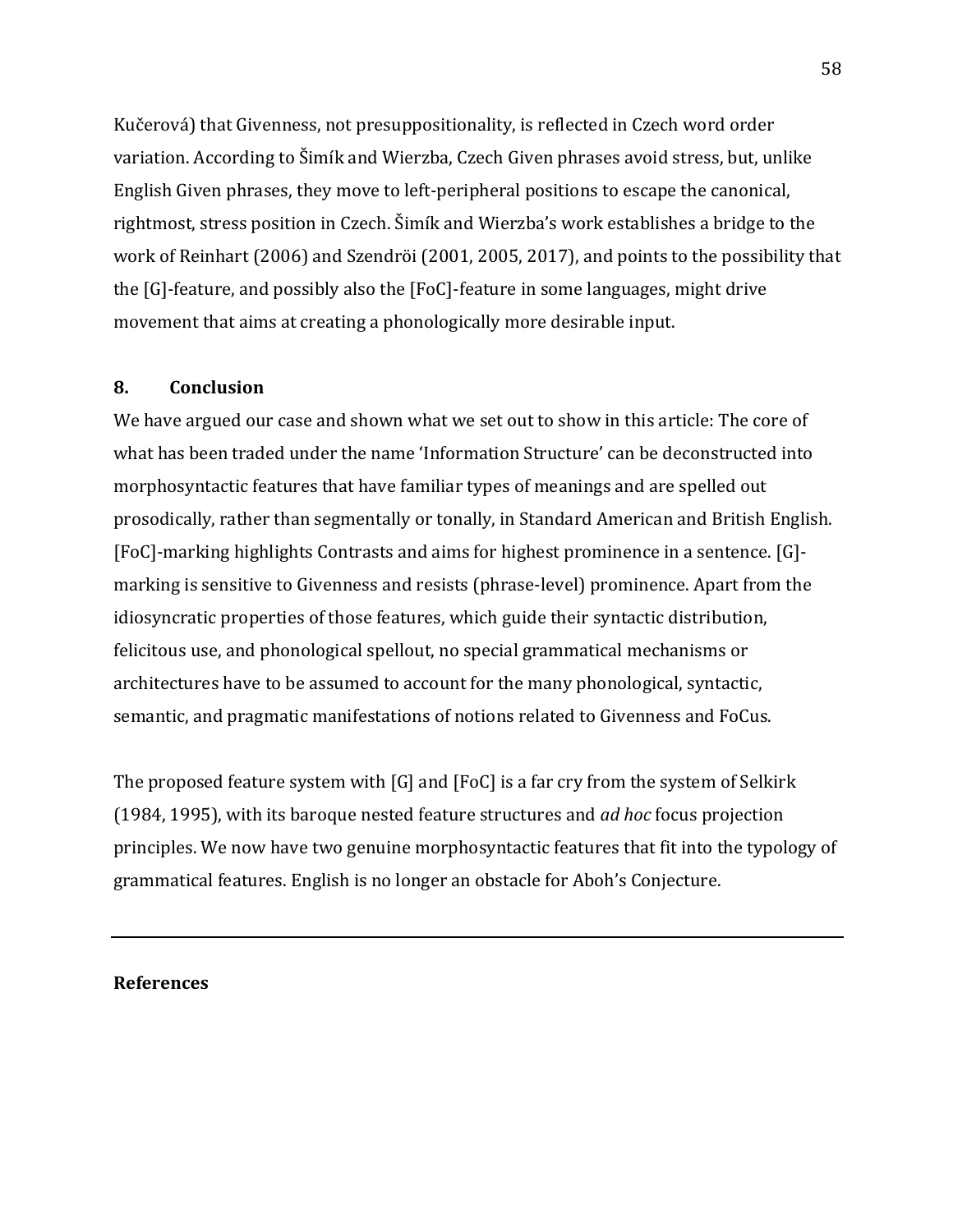Kučerová) that Givenness, not presuppositionality, is reflected in Czech word order variation. According to Šimík and Wierzba, Czech Given phrases avoid stress, but, unlike English Given phrases, they move to left-peripheral positions to escape the canonical, rightmost, stress position in Czech. Šimík and Wierzba's work establishes a bridge to the work of Reinhart (2006) and Szendröi (2001, 2005, 2017), and points to the possibility that the  $[G]$ -feature, and possibly also the  $[FeC]$ -feature in some languages, might drive movement that aims at creating a phonologically more desirable input.

## **8. Conclusion**

We have argued our case and shown what we set out to show in this article: The core of what has been traded under the name 'Information Structure' can be deconstructed into morphosyntactic features that have familiar types of meanings and are spelled out prosodically, rather than segmentally or tonally, in Standard American and British English. [FoC]-marking highlights Contrasts and aims for highest prominence in a sentence. [G]marking is sensitive to Givenness and resists (phrase-level) prominence. Apart from the idiosyncratic properties of those features, which guide their syntactic distribution, felicitous use, and phonological spellout, no special grammatical mechanisms or architectures have to be assumed to account for the many phonological, syntactic, semantic, and pragmatic manifestations of notions related to Givenness and FoCus.

The proposed feature system with  $[G]$  and  $[FoC]$  is a far cry from the system of Selkirk (1984, 1995), with its baroque nested feature structures and *ad hoc* focus projection principles. We now have two genuine morphosyntactic features that fit into the typology of grammatical features. English is no longer an obstacle for Aboh's Conjecture.

### **References**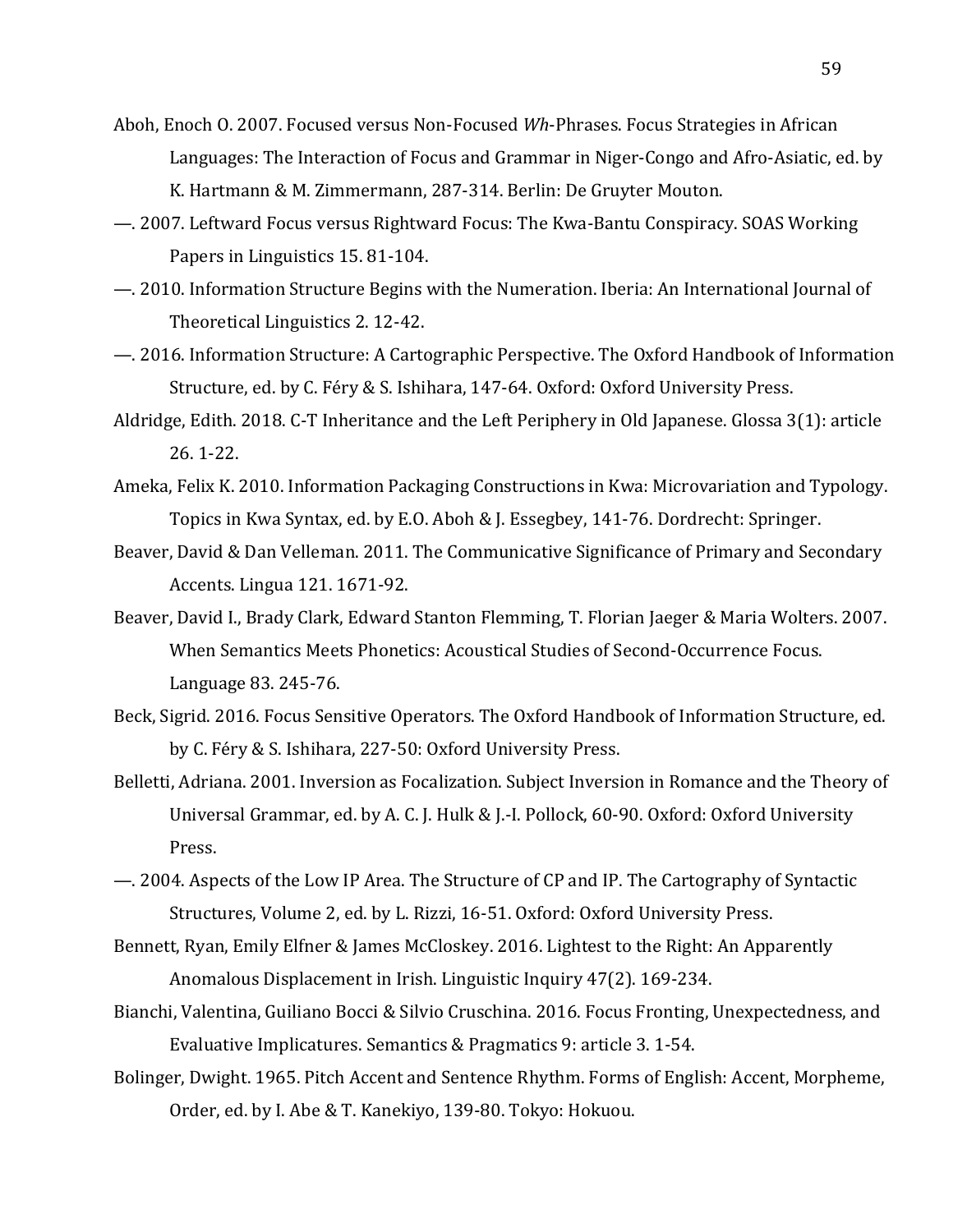- Aboh, Enoch O. 2007. Focused versus Non-Focused *Wh*-Phrases. Focus Strategies in African Languages: The Interaction of Focus and Grammar in Niger-Congo and Afro-Asiatic, ed. by K. Hartmann & M. Zimmermann, 287-314. Berlin: De Gruyter Mouton.
- —. 2007. Leftward Focus versus Rightward Focus: The Kwa-Bantu Conspiracy. SOAS Working Papers in Linguistics 15.81-104.
- $-$ . 2010. Information Structure Begins with the Numeration. Iberia: An International Journal of Theoretical Linguistics 2.12-42.
- —. 2016. Information Structure: A Cartographic Perspective. The Oxford Handbook of Information Structure, ed. by C. Féry & S. Ishihara, 147-64. Oxford: Oxford University Press.
- Aldridge, Edith. 2018. C-T Inheritance and the Left Periphery in Old Japanese. Glossa 3(1): article 26. 1-22.
- Ameka, Felix K. 2010. Information Packaging Constructions in Kwa: Microvariation and Typology. Topics in Kwa Syntax, ed. by E.O. Aboh & J. Essegbey, 141-76. Dordrecht: Springer.
- Beaver, David & Dan Velleman. 2011. The Communicative Significance of Primary and Secondary Accents. Lingua 121. 1671-92.
- Beaver, David I., Brady Clark, Edward Stanton Flemming, T. Florian Jaeger & Maria Wolters. 2007. When Semantics Meets Phonetics: Acoustical Studies of Second-Occurrence Focus. Language 83. 245-76.
- Beck, Sigrid. 2016. Focus Sensitive Operators. The Oxford Handbook of Information Structure, ed. by C. Féry & S. Ishihara, 227-50: Oxford University Press.
- Belletti, Adriana. 2001. Inversion as Focalization. Subject Inversion in Romance and the Theory of Universal Grammar, ed. by A. C. J. Hulk & J.-I. Pollock, 60-90. Oxford: Oxford University Press.
- —. 2004. Aspects of the Low IP Area. The Structure of CP and IP. The Cartography of Syntactic Structures, Volume 2, ed. by L. Rizzi, 16-51. Oxford: Oxford University Press.
- Bennett, Ryan, Emily Elfner & James McCloskey. 2016. Lightest to the Right: An Apparently Anomalous Displacement in Irish. Linguistic Inquiry 47(2). 169-234.
- Bianchi, Valentina, Guiliano Bocci & Silvio Cruschina. 2016. Focus Fronting, Unexpectedness, and Evaluative Implicatures. Semantics & Pragmatics 9: article 3.1-54.
- Bolinger, Dwight. 1965. Pitch Accent and Sentence Rhythm. Forms of English: Accent, Morpheme, Order, ed. by I. Abe & T. Kanekiyo, 139-80. Tokyo: Hokuou.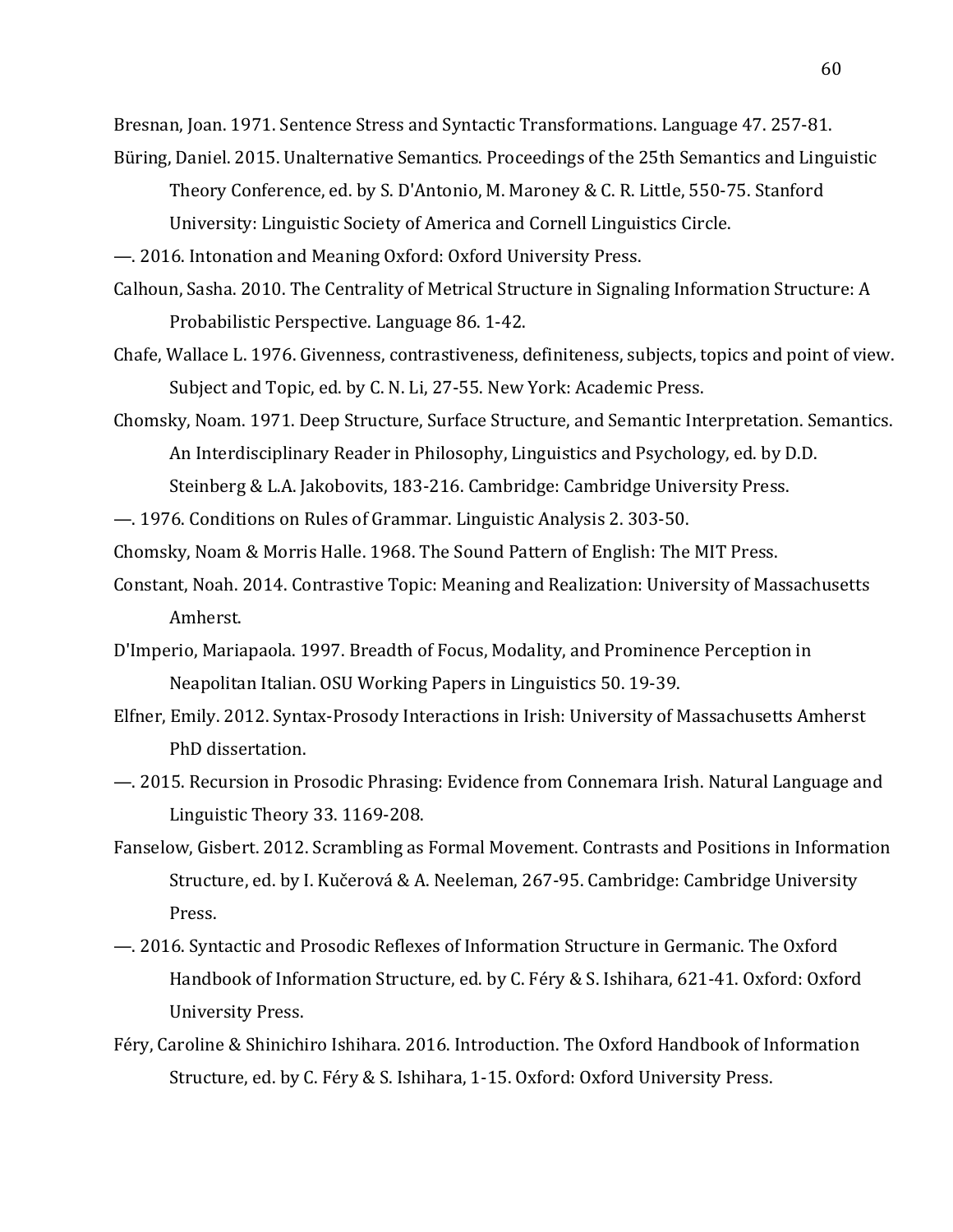Bresnan, Joan. 1971. Sentence Stress and Syntactic Transformations. Language 47. 257-81.

Büring, Daniel. 2015. Unalternative Semantics. Proceedings of the 25th Semantics and Linguistic Theory Conference, ed. by S. D'Antonio, M. Maroney & C. R. Little, 550-75. Stanford

University: Linguistic Society of America and Cornell Linguistics Circle.

 $-$ . 2016. Intonation and Meaning Oxford: Oxford University Press.

- Calhoun, Sasha. 2010. The Centrality of Metrical Structure in Signaling Information Structure: A Probabilistic Perspective. Language 86. 1-42.
- Chafe, Wallace L. 1976. Givenness, contrastiveness, definiteness, subjects, topics and point of view. Subject and Topic, ed. by C. N. Li, 27-55. New York: Academic Press.
- Chomsky, Noam. 1971. Deep Structure, Surface Structure, and Semantic Interpretation. Semantics. An Interdisciplinary Reader in Philosophy, Linguistics and Psychology, ed. by D.D. Steinberg & L.A. Jakobovits, 183-216. Cambridge: Cambridge University Press.
- —. 1976. Conditions on Rules of Grammar. Linguistic Analysis 2. 303-50.

Chomsky, Noam & Morris Halle. 1968. The Sound Pattern of English: The MIT Press.

- Constant, Noah. 2014. Contrastive Topic: Meaning and Realization: University of Massachusetts Amherst.
- D'Imperio, Mariapaola. 1997. Breadth of Focus, Modality, and Prominence Perception in Neapolitan Italian. OSU Working Papers in Linguistics 50. 19-39.
- Elfner, Emily. 2012. Syntax-Prosody Interactions in Irish: University of Massachusetts Amherst PhD dissertation.
- —. 2015. Recursion in Prosodic Phrasing: Evidence from Connemara Irish. Natural Language and Linguistic Theory 33. 1169-208.
- Fanselow, Gisbert. 2012. Scrambling as Formal Movement. Contrasts and Positions in Information Structure, ed. by I. Kučerová & A. Neeleman, 267-95. Cambridge: Cambridge University Press.
- —. 2016. Syntactic and Prosodic Reflexes of Information Structure in Germanic. The Oxford Handbook of Information Structure, ed. by C. Féry & S. Ishihara, 621-41. Oxford: Oxford University Press.
- Féry, Caroline & Shinichiro Ishihara. 2016. Introduction. The Oxford Handbook of Information Structure, ed. by C. Féry & S. Ishihara, 1-15. Oxford: Oxford University Press.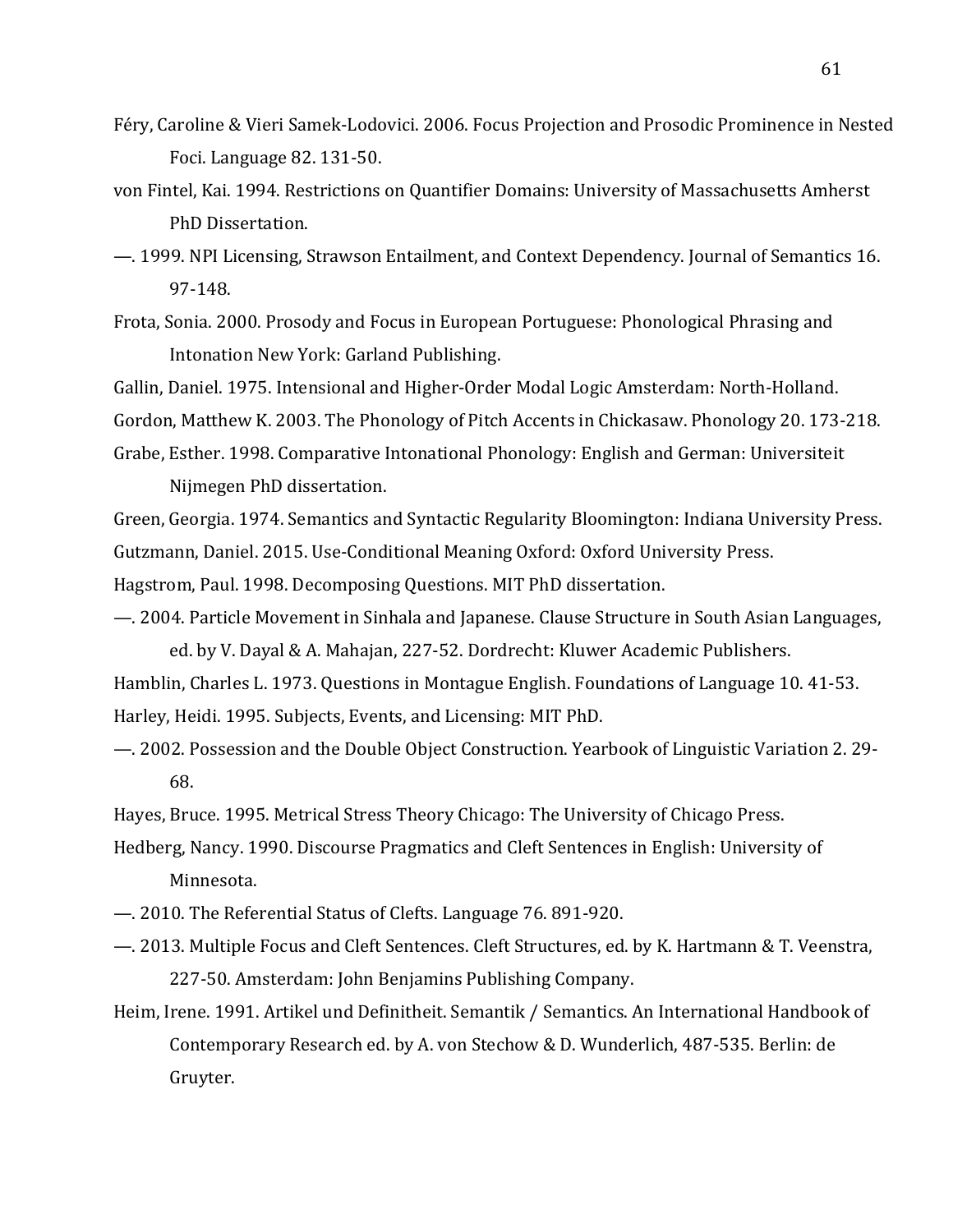- Féry, Caroline & Vieri Samek-Lodovici. 2006. Focus Projection and Prosodic Prominence in Nested Foci. Language 82. 131-50.
- von Fintel, Kai. 1994. Restrictions on Quantifier Domains: University of Massachusetts Amherst PhD Dissertation.
- 1999. NPI Licensing, Strawson Entailment, and Context Dependency. Journal of Semantics 16. 97-148.
- Frota, Sonia. 2000. Prosody and Focus in European Portuguese: Phonological Phrasing and Intonation New York: Garland Publishing.

Gallin, Daniel. 1975. Intensional and Higher-Order Modal Logic Amsterdam: North-Holland.

Gordon, Matthew K. 2003. The Phonology of Pitch Accents in Chickasaw. Phonology 20. 173-218.

- Grabe, Esther. 1998. Comparative Intonational Phonology: English and German: Universiteit Nijmegen PhD dissertation.
- Green, Georgia. 1974. Semantics and Syntactic Regularity Bloomington: Indiana University Press.
- Gutzmann, Daniel. 2015. Use-Conditional Meaning Oxford: Oxford University Press.

Hagstrom, Paul. 1998. Decomposing Questions. MIT PhD dissertation.

—. 2004. Particle Movement in Sinhala and Japanese. Clause Structure in South Asian Languages, ed. by V. Dayal & A. Mahajan, 227-52. Dordrecht: Kluwer Academic Publishers.

Hamblin, Charles L. 1973. Questions in Montague English. Foundations of Language 10. 41-53. Harley, Heidi. 1995. Subjects, Events, and Licensing: MIT PhD.

 $-$ . 2002. Possession and the Double Object Construction. Yearbook of Linguistic Variation 2. 29-68.

Hayes, Bruce. 1995. Metrical Stress Theory Chicago: The University of Chicago Press.

Hedberg, Nancy. 1990. Discourse Pragmatics and Cleft Sentences in English: University of Minnesota.

- 2010. The Referential Status of Clefts. Language 76. 891-920.
- —. 2013. Multiple Focus and Cleft Sentences. Cleft Structures, ed. by K. Hartmann & T. Veenstra, 227-50. Amsterdam: John Benjamins Publishing Company.
- Heim, Irene. 1991. Artikel und Definitheit. Semantik / Semantics. An International Handbook of Contemporary Research ed. by A. von Stechow & D. Wunderlich, 487-535. Berlin: de Gruyter.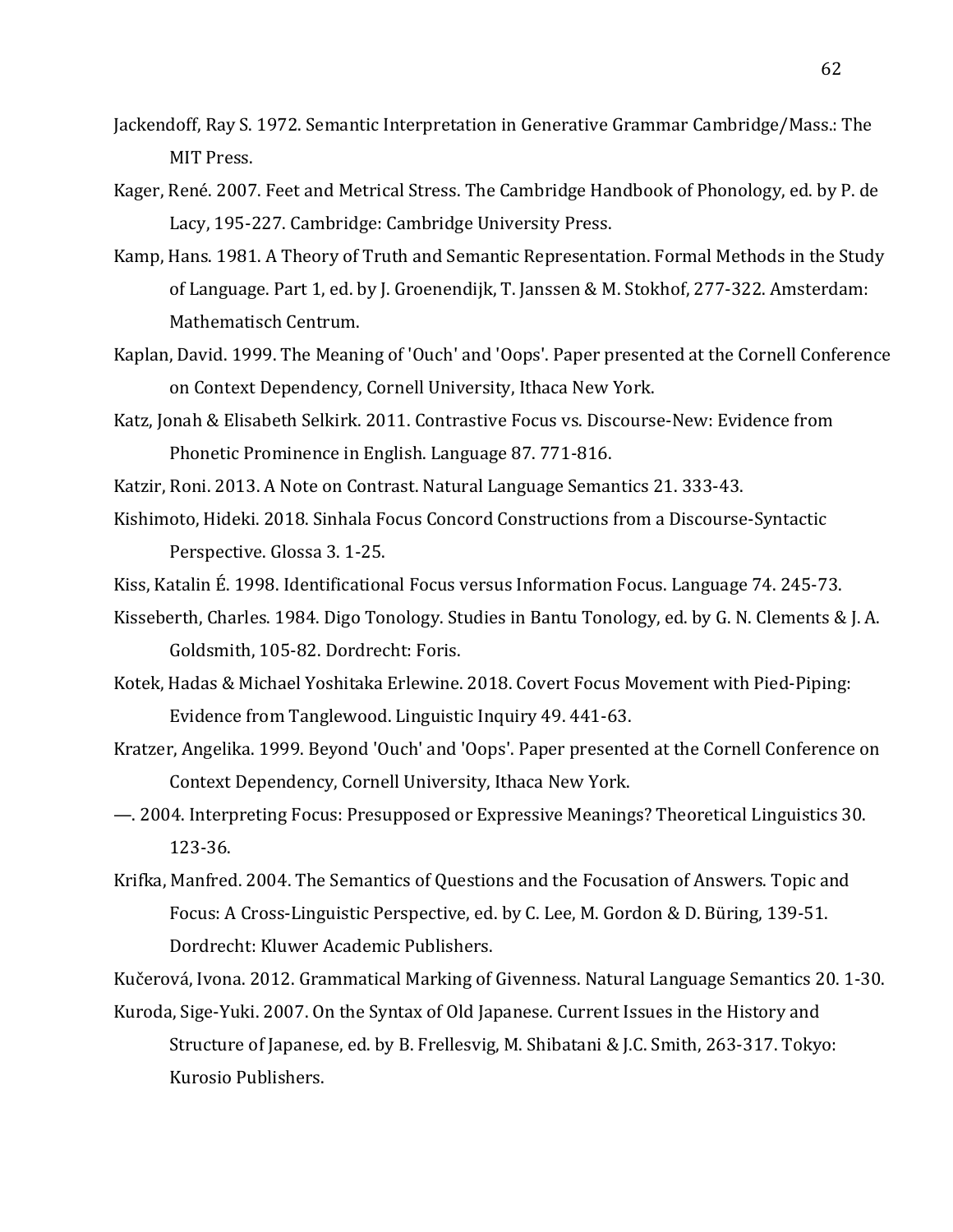- Jackendoff, Ray S. 1972. Semantic Interpretation in Generative Grammar Cambridge/Mass.: The MIT Press.
- Kager, René. 2007. Feet and Metrical Stress. The Cambridge Handbook of Phonology, ed. by P. de Lacy, 195-227. Cambridge: Cambridge University Press.
- Kamp, Hans. 1981. A Theory of Truth and Semantic Representation. Formal Methods in the Study of Language. Part 1, ed. by J. Groenendijk, T. Janssen & M. Stokhof, 277-322. Amsterdam: Mathematisch Centrum.
- Kaplan, David. 1999. The Meaning of 'Ouch' and 'Oops'. Paper presented at the Cornell Conference on Context Dependency, Cornell University, Ithaca New York.
- Katz, Jonah & Elisabeth Selkirk. 2011. Contrastive Focus vs. Discourse-New: Evidence from Phonetic Prominence in English. Language 87. 771-816.
- Katzir, Roni. 2013. A Note on Contrast. Natural Language Semantics 21. 333-43.
- Kishimoto, Hideki. 2018. Sinhala Focus Concord Constructions from a Discourse-Syntactic Perspective. Glossa 3.1-25.
- Kiss, Katalin É. 1998. Identificational Focus versus Information Focus. Language 74. 245-73.
- Kisseberth, Charles. 1984. Digo Tonology. Studies in Bantu Tonology, ed. by G. N. Clements & J. A. Goldsmith, 105-82. Dordrecht: Foris.
- Kotek, Hadas & Michael Yoshitaka Erlewine. 2018. Covert Focus Movement with Pied-Piping: Evidence from Tanglewood. Linguistic Inquiry 49. 441-63.
- Kratzer, Angelika. 1999. Beyond 'Ouch' and 'Oops'. Paper presented at the Cornell Conference on Context Dependency, Cornell University, Ithaca New York.
- $-$ . 2004. Interpreting Focus: Presupposed or Expressive Meanings? Theoretical Linguistics 30. 123-36.
- Krifka, Manfred. 2004. The Semantics of Questions and the Focusation of Answers. Topic and Focus: A Cross-Linguistic Perspective, ed. by C. Lee, M. Gordon & D. Büring, 139-51. Dordrecht: Kluwer Academic Publishers.

Kučerová, Ivona. 2012. Grammatical Marking of Givenness. Natural Language Semantics 20. 1-30.

Kuroda, Sige-Yuki. 2007. On the Syntax of Old Japanese. Current Issues in the History and Structure of Japanese, ed. by B. Frellesvig, M. Shibatani & J.C. Smith, 263-317. Tokyo: Kurosio Publishers.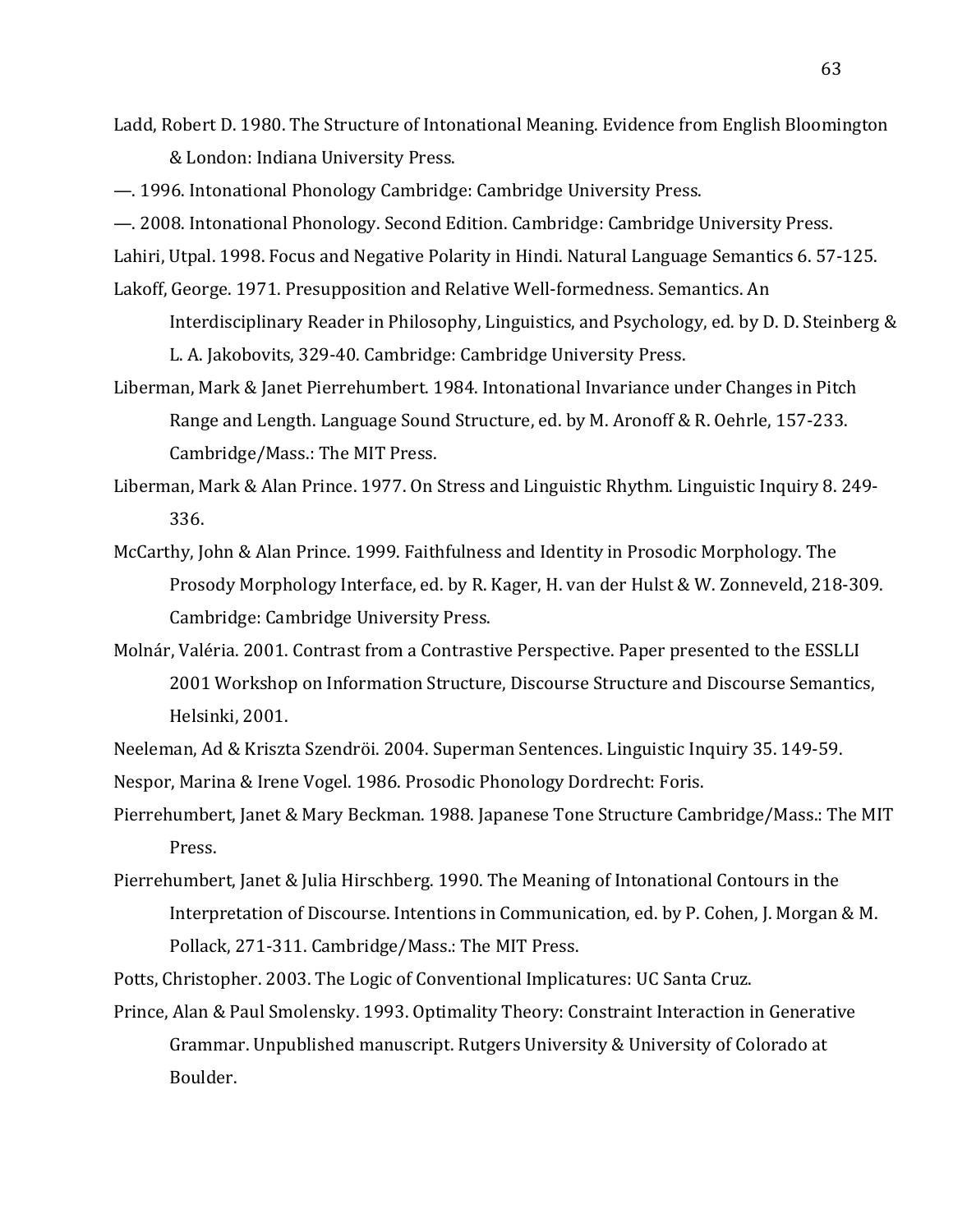Ladd, Robert D. 1980. The Structure of Intonational Meaning. Evidence from English Bloomington & London: Indiana University Press.

—. 1996. Intonational Phonology Cambridge: Cambridge University Press.

- $-$ . 2008. Intonational Phonology. Second Edition. Cambridge: Cambridge University Press.
- Lahiri, Utpal. 1998. Focus and Negative Polarity in Hindi. Natural Language Semantics 6. 57-125.
- Lakoff, George. 1971. Presupposition and Relative Well-formedness. Semantics. An
	- Interdisciplinary Reader in Philosophy, Linguistics, and Psychology, ed. by D. D. Steinberg  $&$ L. A. Jakobovits, 329-40. Cambridge: Cambridge University Press.
- Liberman, Mark & Janet Pierrehumbert. 1984. Intonational Invariance under Changes in Pitch Range and Length. Language Sound Structure, ed. by M. Aronoff & R. Oehrle, 157-233. Cambridge/Mass.: The MIT Press.
- Liberman, Mark & Alan Prince. 1977. On Stress and Linguistic Rhythm. Linguistic Inquiry 8. 249-336.
- McCarthy, John & Alan Prince. 1999. Faithfulness and Identity in Prosodic Morphology. The Prosody Morphology Interface, ed. by R. Kager, H. van der Hulst & W. Zonneveld, 218-309. Cambridge: Cambridge University Press.
- Molnár, Valéria. 2001. Contrast from a Contrastive Perspective. Paper presented to the ESSLLI 2001 Workshop on Information Structure, Discourse Structure and Discourse Semantics, Helsinki, 2001.
- Neeleman, Ad & Kriszta Szendröi. 2004. Superman Sentences. Linguistic Inquiry 35. 149-59.

Nespor, Marina & Irene Vogel. 1986. Prosodic Phonology Dordrecht: Foris.

- Pierrehumbert, Janet & Mary Beckman. 1988. Japanese Tone Structure Cambridge/Mass.: The MIT Press.
- Pierrehumbert, Janet & Julia Hirschberg. 1990. The Meaning of Intonational Contours in the Interpretation of Discourse. Intentions in Communication, ed. by P. Cohen, J. Morgan & M. Pollack, 271-311. Cambridge/Mass.: The MIT Press.
- Potts, Christopher. 2003. The Logic of Conventional Implicatures: UC Santa Cruz.
- Prince, Alan & Paul Smolensky. 1993. Optimality Theory: Constraint Interaction in Generative Grammar. Unpublished manuscript. Rutgers University & University of Colorado at Boulder.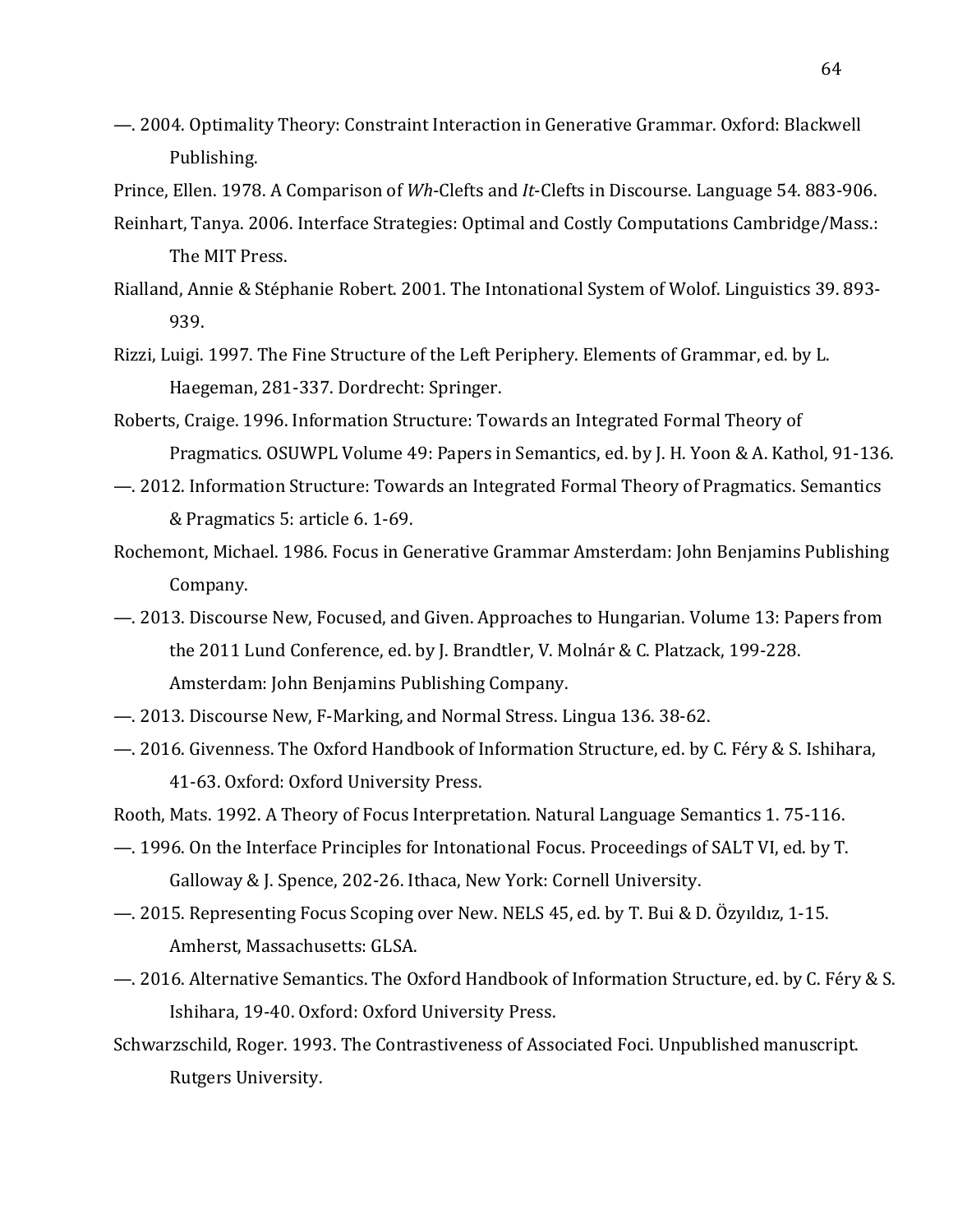—. 2004. Optimality Theory: Constraint Interaction in Generative Grammar. Oxford: Blackwell Publishing.

Prince, Ellen. 1978. A Comparison of *Wh*-Clefts and *It*-Clefts in Discourse. Language 54. 883-906.

- Reinhart, Tanya. 2006. Interface Strategies: Optimal and Costly Computations Cambridge/Mass.: The MIT Press.
- Rialland, Annie & Stéphanie Robert. 2001. The Intonational System of Wolof. Linguistics 39. 893-939.
- Rizzi, Luigi. 1997. The Fine Structure of the Left Periphery. Elements of Grammar, ed. by L. Haegeman, 281-337. Dordrecht: Springer.
- Roberts, Craige. 1996. Information Structure: Towards an Integrated Formal Theory of Pragmatics. OSUWPL Volume 49: Papers in Semantics, ed. by J. H. Yoon & A. Kathol, 91-136.
- $-$ . 2012. Information Structure: Towards an Integrated Formal Theory of Pragmatics. Semantics & Pragmatics 5: article 6. 1-69.
- Rochemont, Michael. 1986. Focus in Generative Grammar Amsterdam: John Benjamins Publishing Company.
- $-$ . 2013. Discourse New, Focused, and Given. Approaches to Hungarian. Volume 13: Papers from the 2011 Lund Conference, ed. by J. Brandtler, V. Molnár & C. Platzack, 199-228. Amsterdam: John Benjamins Publishing Company.
- 2013. Discourse New, F-Marking, and Normal Stress. Lingua 136. 38-62.
- —. 2016. Givenness. The Oxford Handbook of Information Structure, ed. by C. Féry & S. Ishihara, 41-63. Oxford: Oxford University Press.

Rooth, Mats. 1992. A Theory of Focus Interpretation. Natural Language Semantics 1.75-116.

- —. 1996. On the Interface Principles for Intonational Focus. Proceedings of SALT VI, ed. by T. Galloway & J. Spence, 202-26. Ithaca, New York: Cornell University.
- —. 2015. Representing Focus Scoping over New. NELS 45, ed. by T. Bui & D. Özyıldız, 1-15. Amherst, Massachusetts: GLSA.
- —. 2016. Alternative Semantics. The Oxford Handbook of Information Structure, ed. by C. Féry & S. Ishihara, 19-40. Oxford: Oxford University Press.
- Schwarzschild, Roger. 1993. The Contrastiveness of Associated Foci. Unpublished manuscript. Rutgers University.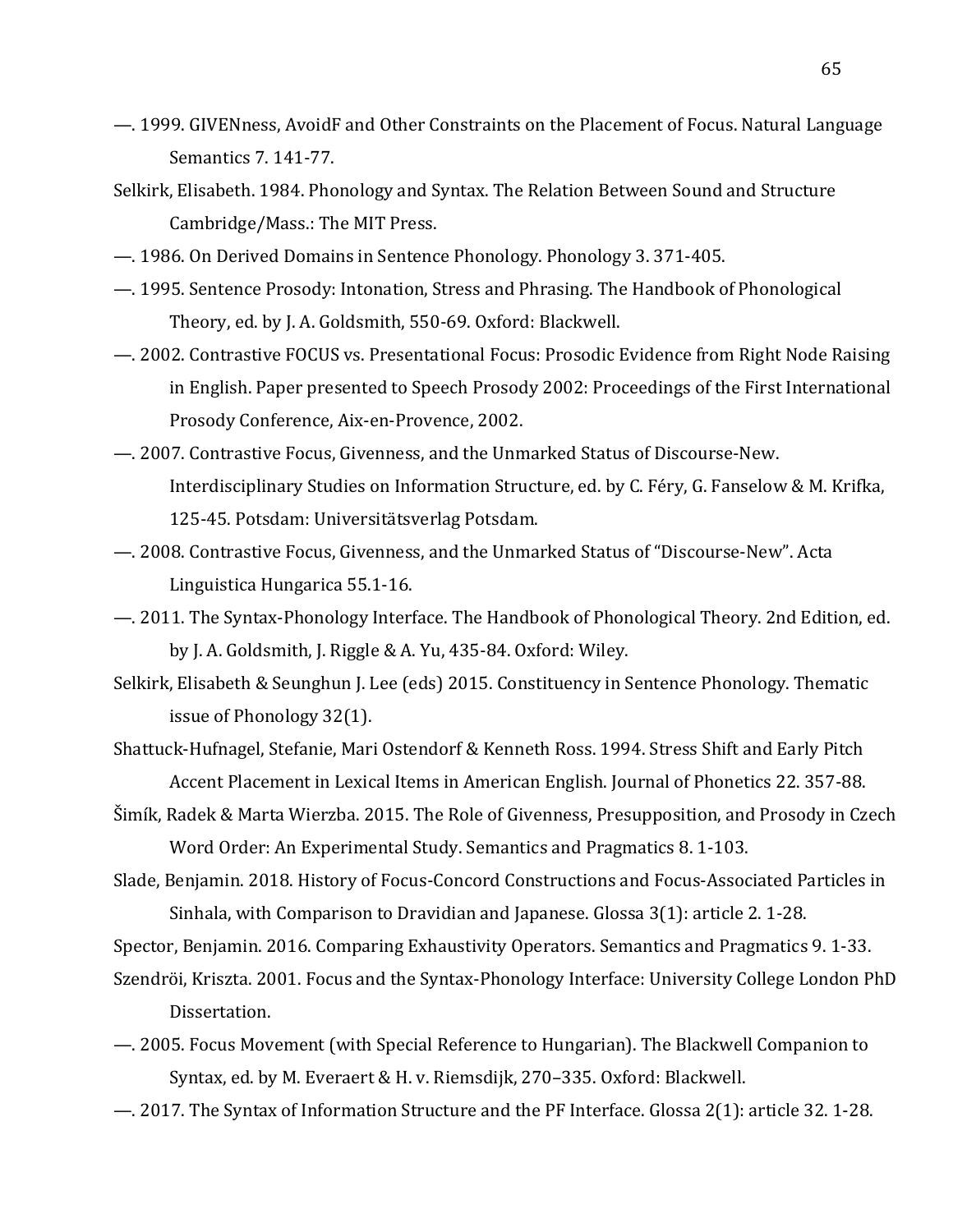- $-$ . 1999. GIVENness, AvoidF and Other Constraints on the Placement of Focus. Natural Language Semantics 7. 141-77.
- Selkirk, Elisabeth. 1984. Phonology and Syntax. The Relation Between Sound and Structure Cambridge/Mass.: The MIT Press.
- 1986. On Derived Domains in Sentence Phonology. Phonology 3. 371-405.
- $-$ . 1995. Sentence Prosody: Intonation, Stress and Phrasing. The Handbook of Phonological Theory, ed. by J. A. Goldsmith, 550-69. Oxford: Blackwell.
- —. 2002. Contrastive FOCUS vs. Presentational Focus: Prosodic Evidence from Right Node Raising in English. Paper presented to Speech Prosody 2002: Proceedings of the First International Prosody Conference, Aix-en-Provence, 2002.
- 2007. Contrastive Focus, Givenness, and the Unmarked Status of Discourse-New. Interdisciplinary Studies on Information Structure, ed. by C. Féry, G. Fanselow & M. Krifka, 125-45. Potsdam: Universitätsverlag Potsdam.
- $-$ . 2008. Contrastive Focus, Givenness, and the Unmarked Status of "Discourse-New". Acta Linguistica Hungarica 55.1-16.
- —. 2011. The Syntax-Phonology Interface. The Handbook of Phonological Theory. 2nd Edition, ed. by J. A. Goldsmith, J. Riggle & A. Yu,  $435-84$ . Oxford: Wiley.
- Selkirk, Elisabeth & Seunghun J. Lee (eds) 2015. Constituency in Sentence Phonology. Thematic issue of Phonology 32(1).
- Shattuck-Hufnagel, Stefanie, Mari Ostendorf & Kenneth Ross. 1994. Stress Shift and Early Pitch Accent Placement in Lexical Items in American English. Journal of Phonetics 22. 357-88.
- Šimík, Radek & Marta Wierzba. 2015. The Role of Givenness, Presupposition, and Prosody in Czech Word Order: An Experimental Study. Semantics and Pragmatics 8. 1-103.
- Slade, Benjamin. 2018. History of Focus-Concord Constructions and Focus-Associated Particles in Sinhala, with Comparison to Dravidian and Japanese. Glossa  $3(1)$ : article 2. 1-28.

Spector, Benjamin. 2016. Comparing Exhaustivity Operators. Semantics and Pragmatics 9. 1-33.

- Szendröi, Kriszta. 2001. Focus and the Syntax-Phonology Interface: University College London PhD Dissertation.
- —. 2005. Focus Movement (with Special Reference to Hungarian). The Blackwell Companion to Syntax, ed. by M. Everaert & H. v. Riemsdijk, 270-335. Oxford: Blackwell.
- —. 2017. The Syntax of Information Structure and the PF Interface. Glossa 2(1): article 32. 1-28.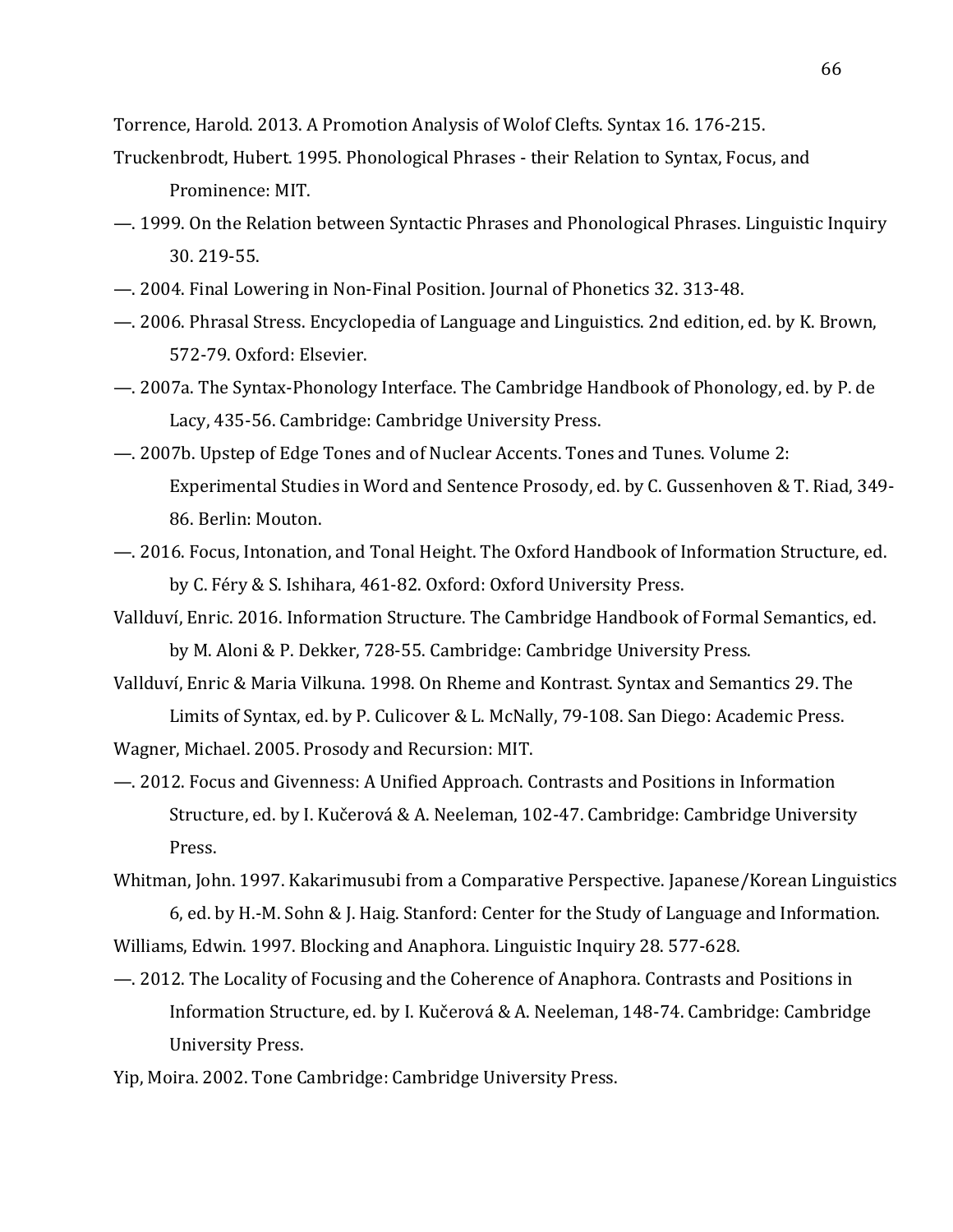Torrence, Harold. 2013. A Promotion Analysis of Wolof Clefts. Syntax 16. 176-215.

- Truckenbrodt, Hubert. 1995. Phonological Phrases their Relation to Syntax, Focus, and Prominence: MIT.
- $-$ . 1999. On the Relation between Syntactic Phrases and Phonological Phrases. Linguistic Inquiry 30. 219-55.
- 2004. Final Lowering in Non-Final Position. Journal of Phonetics 32. 313-48.
- —. 2006. Phrasal Stress. Encyclopedia of Language and Linguistics. 2nd edition, ed. by K. Brown, 572-79. Oxford: Elsevier.
- —. 2007a. The Syntax-Phonology Interface. The Cambridge Handbook of Phonology, ed. by P. de Lacy, 435-56. Cambridge: Cambridge University Press.
- 2007b. Upstep of Edge Tones and of Nuclear Accents. Tones and Tunes. Volume 2: Experimental Studies in Word and Sentence Prosody, ed. by C. Gussenhoven & T. Riad, 349-86. Berlin: Mouton.
- $-$ . 2016. Focus, Intonation, and Tonal Height. The Oxford Handbook of Information Structure, ed. by C. Féry & S. Ishihara, 461-82. Oxford: Oxford University Press.
- Vallduví, Enric. 2016. Information Structure. The Cambridge Handbook of Formal Semantics, ed. by M. Aloni & P. Dekker, 728-55. Cambridge: Cambridge University Press.
- Vallduví, Enric & Maria Vilkuna. 1998. On Rheme and Kontrast. Syntax and Semantics 29. The Limits of Syntax, ed. by P. Culicover & L. McNally, 79-108. San Diego: Academic Press.

Wagner, Michael. 2005. Prosody and Recursion: MIT.

- —. 2012. Focus and Givenness: A Unified Approach. Contrasts and Positions in Information Structure, ed. by I. Kučerová & A. Neeleman, 102-47. Cambridge: Cambridge University Press.
- Whitman, John. 1997. Kakarimusubi from a Comparative Perspective. Japanese/Korean Linguistics 6, ed. by H.-M. Sohn & J. Haig. Stanford: Center for the Study of Language and Information. Williams, Edwin. 1997. Blocking and Anaphora. Linguistic Inquiry 28. 577-628.
- —. 2012. The Locality of Focusing and the Coherence of Anaphora. Contrasts and Positions in Information Structure, ed. by I. Kučerová & A. Neeleman, 148-74. Cambridge: Cambridge University Press.
- Yip, Moira. 2002. Tone Cambridge: Cambridge University Press.